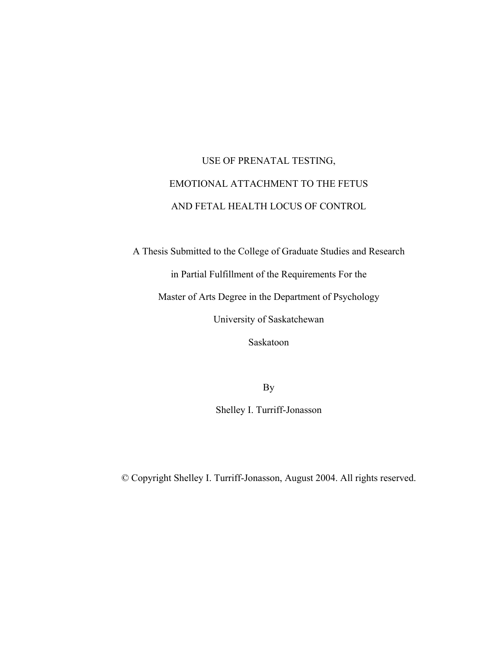# USE OF PRENATAL TESTING, EMOTIONAL ATTACHMENT TO THE FETUS AND FETAL HEALTH LOCUS OF CONTROL

A Thesis Submitted to the College of Graduate Studies and Research

in Partial Fulfillment of the Requirements For the

Master of Arts Degree in the Department of Psychology

University of Saskatchewan

Saskatoon

By

Shelley I. Turriff-Jonasson

© Copyright Shelley I. Turriff-Jonasson, August 2004. All rights reserved.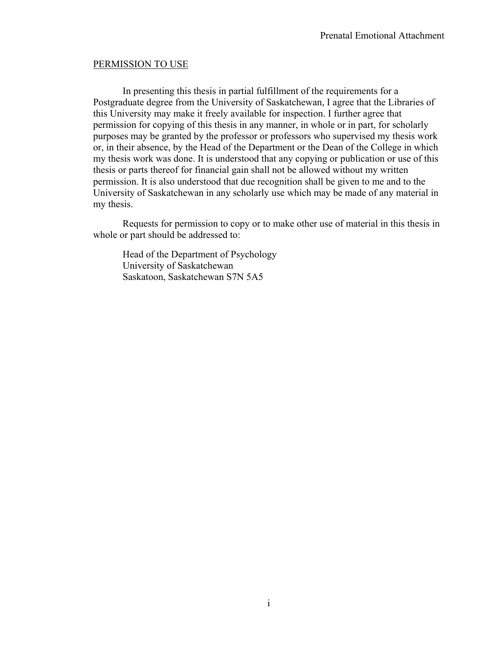### PERMISSION TO USE

In presenting this thesis in partial fulfillment of the requirements for a Postgraduate degree from the University of Saskatchewan, I agree that the Libraries of this University may make it freely available for inspection. I further agree that permission for copying of this thesis in any manner, in whole or in part, for scholarly purposes may be granted by the professor or professors who supervised my thesis work or, in their absence, by the Head of the Department or the Dean of the College in which my thesis work was done. It is understood that any copying or publication or use of this thesis or parts thereof for financial gain shall not be allowed without my written permission. It is also understood that due recognition shall be given to me and to the University of Saskatchewan in any scholarly use which may be made of any material in my thesis.

 Requests for permission to copy or to make other use of material in this thesis in whole or part should be addressed to:

 Head of the Department of Psychology University of Saskatchewan Saskatoon, Saskatchewan S7N 5A5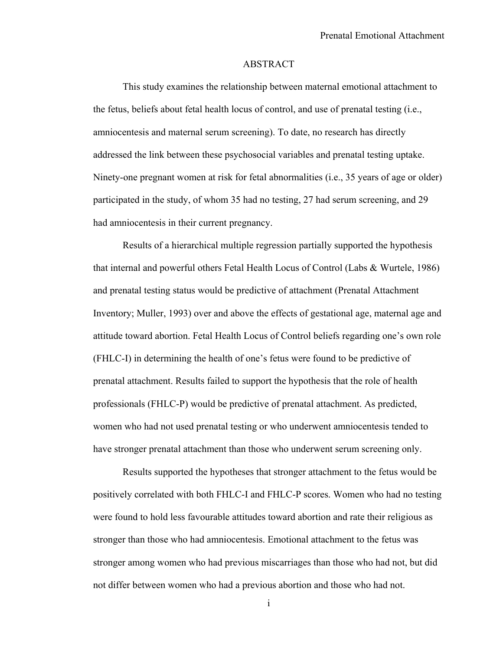#### ABSTRACT

 This study examines the relationship between maternal emotional attachment to the fetus, beliefs about fetal health locus of control, and use of prenatal testing (i.e., amniocentesis and maternal serum screening). To date, no research has directly addressed the link between these psychosocial variables and prenatal testing uptake. Ninety-one pregnant women at risk for fetal abnormalities (i.e., 35 years of age or older) participated in the study, of whom 35 had no testing, 27 had serum screening, and 29 had amniocentesis in their current pregnancy.

 Results of a hierarchical multiple regression partially supported the hypothesis that internal and powerful others Fetal Health Locus of Control (Labs & Wurtele, 1986) and prenatal testing status would be predictive of attachment (Prenatal Attachment Inventory; Muller, 1993) over and above the effects of gestational age, maternal age and attitude toward abortion. Fetal Health Locus of Control beliefs regarding one's own role (FHLC-I) in determining the health of one's fetus were found to be predictive of prenatal attachment. Results failed to support the hypothesis that the role of health professionals (FHLC-P) would be predictive of prenatal attachment. As predicted, women who had not used prenatal testing or who underwent amniocentesis tended to have stronger prenatal attachment than those who underwent serum screening only.

Results supported the hypotheses that stronger attachment to the fetus would be positively correlated with both FHLC-I and FHLC-P scores. Women who had no testing were found to hold less favourable attitudes toward abortion and rate their religious as stronger than those who had amniocentesis. Emotional attachment to the fetus was stronger among women who had previous miscarriages than those who had not, but did not differ between women who had a previous abortion and those who had not.

i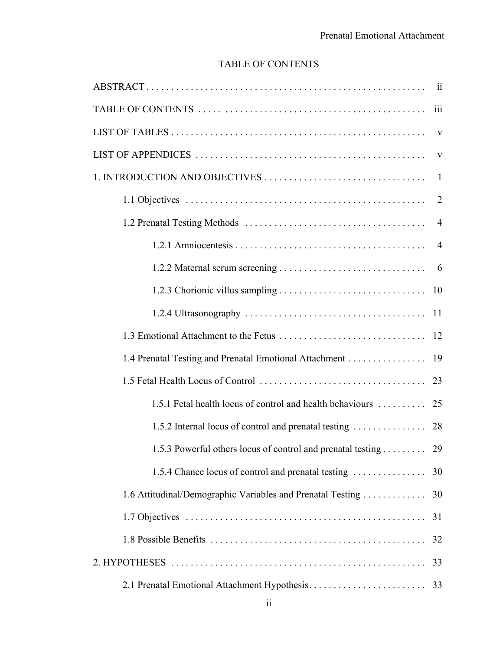# TABLE OF CONTENTS

|                                                                | 2              |
|----------------------------------------------------------------|----------------|
|                                                                | $\overline{4}$ |
|                                                                |                |
|                                                                | - 6            |
|                                                                |                |
|                                                                |                |
|                                                                |                |
| 1.4 Prenatal Testing and Prenatal Emotional Attachment         | 19             |
|                                                                |                |
| 1.5.1 Fetal health locus of control and health behaviours      | 25             |
| 1.5.2 Internal locus of control and prenatal testing           | 28             |
| 1.5.3 Powerful others locus of control and prenatal testing 29 |                |
| 1.5.4 Chance locus of control and prenatal testing             | 30             |
| 1.6 Attitudinal/Demographic Variables and Prenatal Testing     | 30             |
|                                                                | 31             |
|                                                                | 32             |
|                                                                | 33             |
|                                                                | 33             |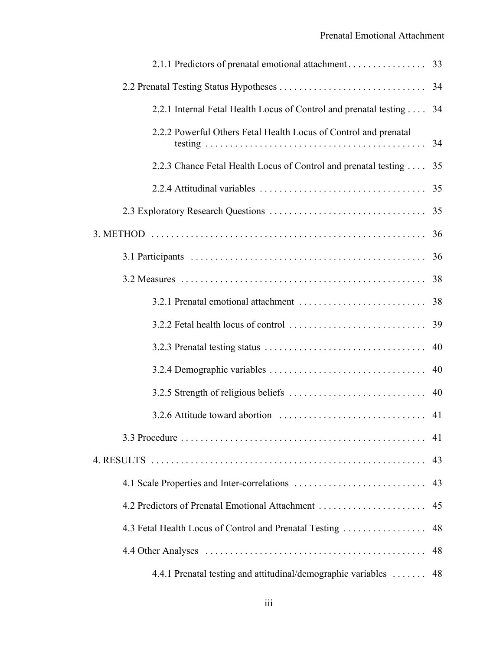| 2.2.1 Internal Fetal Health Locus of Control and prenatal testing 34 |    |
|----------------------------------------------------------------------|----|
| 2.2.2 Powerful Others Fetal Health Locus of Control and prenatal     |    |
| 2.2.3 Chance Fetal Health Locus of Control and prenatal testing  35  |    |
|                                                                      |    |
|                                                                      |    |
|                                                                      |    |
|                                                                      |    |
|                                                                      |    |
|                                                                      |    |
|                                                                      |    |
|                                                                      |    |
|                                                                      |    |
|                                                                      |    |
|                                                                      |    |
|                                                                      | 41 |
|                                                                      | 43 |
|                                                                      | 43 |
|                                                                      | 45 |
| 4.3 Fetal Health Locus of Control and Prenatal Testing               | 48 |
|                                                                      | 48 |
| 4.4.1 Prenatal testing and attitudinal/demographic variables         | 48 |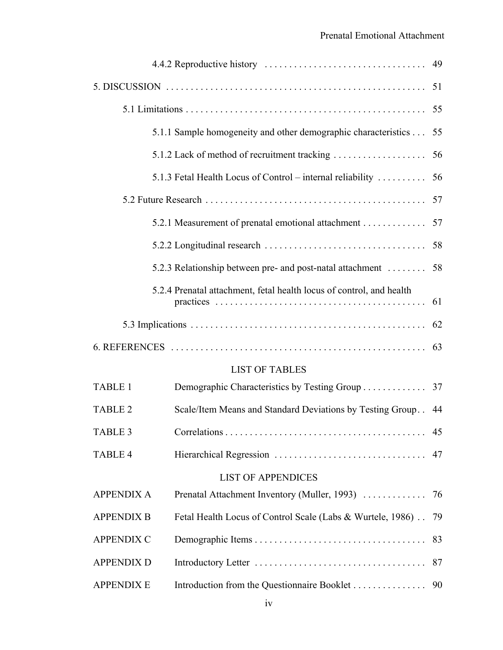|                   |                                                                                                   | 49 |
|-------------------|---------------------------------------------------------------------------------------------------|----|
|                   |                                                                                                   |    |
|                   |                                                                                                   |    |
|                   | 5.1.1 Sample homogeneity and other demographic characteristics                                    | 55 |
|                   |                                                                                                   |    |
|                   | 5.1.3 Fetal Health Locus of Control – internal reliability $\dots \dots$                          | 56 |
|                   |                                                                                                   |    |
|                   | 5.2.1 Measurement of prenatal emotional attachment 57                                             |    |
|                   | $5.2.2$ Longitudinal research $\ldots \ldots \ldots \ldots \ldots \ldots \ldots \ldots \ldots$ 58 |    |
|                   | 5.2.3 Relationship between pre- and post-natal attachment  58                                     |    |
|                   | 5.2.4 Prenatal attachment, fetal health locus of control, and health                              |    |
|                   |                                                                                                   |    |
|                   |                                                                                                   |    |
|                   |                                                                                                   |    |
|                   | <b>LIST OF TABLES</b>                                                                             |    |
| <b>TABLE 1</b>    | Demographic Characteristics by Testing Group 37                                                   |    |
| <b>TABLE 2</b>    | Scale/Item Means and Standard Deviations by Testing Group                                         | 44 |
| <b>TABLE 3</b>    |                                                                                                   | 45 |
| TABLE 4           |                                                                                                   | 47 |
|                   | <b>LIST OF APPENDICES</b>                                                                         |    |
| <b>APPENDIX A</b> | Prenatal Attachment Inventory (Muller, 1993)                                                      | 76 |
| <b>APPENDIX B</b> | Fetal Health Locus of Control Scale (Labs & Wurtele, 1986).                                       | 79 |
| <b>APPENDIX C</b> |                                                                                                   | 83 |
| <b>APPENDIX D</b> |                                                                                                   | 87 |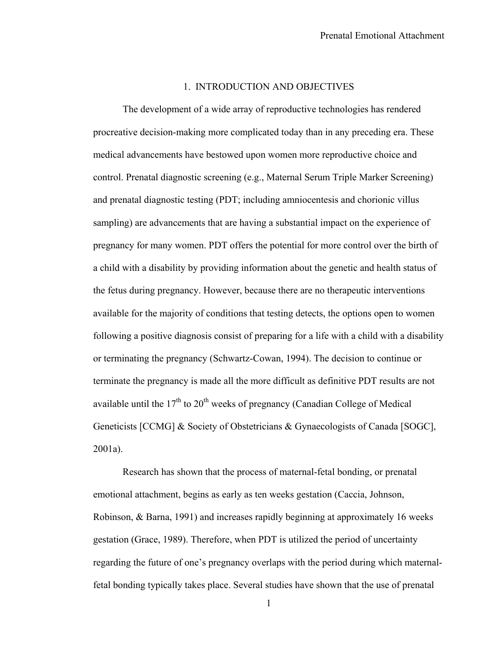### 1. INTRODUCTION AND OBJECTIVES

The development of a wide array of reproductive technologies has rendered procreative decision-making more complicated today than in any preceding era. These medical advancements have bestowed upon women more reproductive choice and control. Prenatal diagnostic screening (e.g., Maternal Serum Triple Marker Screening) and prenatal diagnostic testing (PDT; including amniocentesis and chorionic villus sampling) are advancements that are having a substantial impact on the experience of pregnancy for many women. PDT offers the potential for more control over the birth of a child with a disability by providing information about the genetic and health status of the fetus during pregnancy. However, because there are no therapeutic interventions available for the majority of conditions that testing detects, the options open to women following a positive diagnosis consist of preparing for a life with a child with a disability or terminating the pregnancy (Schwartz-Cowan, 1994). The decision to continue or terminate the pregnancy is made all the more difficult as definitive PDT results are not available until the  $17<sup>th</sup>$  to  $20<sup>th</sup>$  weeks of pregnancy (Canadian College of Medical Geneticists [CCMG] & Society of Obstetricians & Gynaecologists of Canada [SOGC], 2001a).

Research has shown that the process of maternal-fetal bonding, or prenatal emotional attachment, begins as early as ten weeks gestation (Caccia, Johnson, Robinson, & Barna, 1991) and increases rapidly beginning at approximately 16 weeks gestation (Grace, 1989). Therefore, when PDT is utilized the period of uncertainty regarding the future of one's pregnancy overlaps with the period during which maternalfetal bonding typically takes place. Several studies have shown that the use of prenatal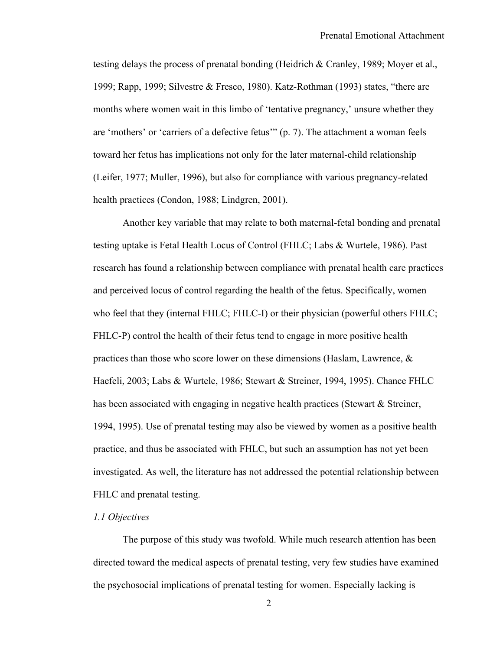testing delays the process of prenatal bonding (Heidrich & Cranley, 1989; Moyer et al., 1999; Rapp, 1999; Silvestre & Fresco, 1980). Katz-Rothman (1993) states, "there are months where women wait in this limbo of 'tentative pregnancy,' unsure whether they are 'mothers' or 'carriers of a defective fetus'" (p. 7). The attachment a woman feels toward her fetus has implications not only for the later maternal-child relationship (Leifer, 1977; Muller, 1996), but also for compliance with various pregnancy-related health practices (Condon, 1988; Lindgren, 2001).

Another key variable that may relate to both maternal-fetal bonding and prenatal testing uptake is Fetal Health Locus of Control (FHLC; Labs & Wurtele, 1986). Past research has found a relationship between compliance with prenatal health care practices and perceived locus of control regarding the health of the fetus. Specifically, women who feel that they (internal FHLC; FHLC-I) or their physician (powerful others FHLC; FHLC-P) control the health of their fetus tend to engage in more positive health practices than those who score lower on these dimensions (Haslam, Lawrence, & Haefeli, 2003; Labs & Wurtele, 1986; Stewart & Streiner, 1994, 1995). Chance FHLC has been associated with engaging in negative health practices (Stewart & Streiner, 1994, 1995). Use of prenatal testing may also be viewed by women as a positive health practice, and thus be associated with FHLC, but such an assumption has not yet been investigated. As well, the literature has not addressed the potential relationship between FHLC and prenatal testing.

### *1.1 Objectives*

The purpose of this study was twofold. While much research attention has been directed toward the medical aspects of prenatal testing, very few studies have examined the psychosocial implications of prenatal testing for women. Especially lacking is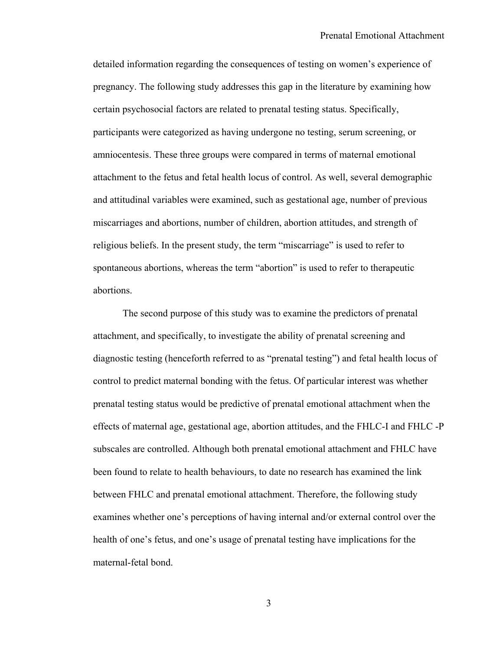detailed information regarding the consequences of testing on women's experience of pregnancy. The following study addresses this gap in the literature by examining how certain psychosocial factors are related to prenatal testing status. Specifically, participants were categorized as having undergone no testing, serum screening, or amniocentesis. These three groups were compared in terms of maternal emotional attachment to the fetus and fetal health locus of control. As well, several demographic and attitudinal variables were examined, such as gestational age, number of previous miscarriages and abortions, number of children, abortion attitudes, and strength of religious beliefs. In the present study, the term "miscarriage" is used to refer to spontaneous abortions, whereas the term "abortion" is used to refer to therapeutic abortions.

The second purpose of this study was to examine the predictors of prenatal attachment, and specifically, to investigate the ability of prenatal screening and diagnostic testing (henceforth referred to as "prenatal testing") and fetal health locus of control to predict maternal bonding with the fetus. Of particular interest was whether prenatal testing status would be predictive of prenatal emotional attachment when the effects of maternal age, gestational age, abortion attitudes, and the FHLC-I and FHLC -P subscales are controlled. Although both prenatal emotional attachment and FHLC have been found to relate to health behaviours, to date no research has examined the link between FHLC and prenatal emotional attachment. Therefore, the following study examines whether one's perceptions of having internal and/or external control over the health of one's fetus, and one's usage of prenatal testing have implications for the maternal-fetal bond.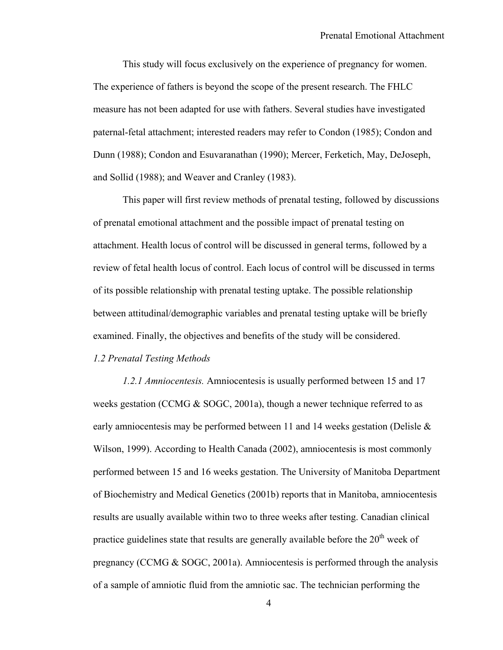This study will focus exclusively on the experience of pregnancy for women. The experience of fathers is beyond the scope of the present research. The FHLC measure has not been adapted for use with fathers. Several studies have investigated paternal-fetal attachment; interested readers may refer to Condon (1985); Condon and Dunn (1988); Condon and Esuvaranathan (1990); Mercer, Ferketich, May, DeJoseph, and Sollid (1988); and Weaver and Cranley (1983).

This paper will first review methods of prenatal testing, followed by discussions of prenatal emotional attachment and the possible impact of prenatal testing on attachment. Health locus of control will be discussed in general terms, followed by a review of fetal health locus of control. Each locus of control will be discussed in terms of its possible relationship with prenatal testing uptake. The possible relationship between attitudinal/demographic variables and prenatal testing uptake will be briefly examined. Finally, the objectives and benefits of the study will be considered. *1.2 Prenatal Testing Methods* 

*1.2.1 Amniocentesis.* Amniocentesis is usually performed between 15 and 17 weeks gestation (CCMG & SOGC, 2001a), though a newer technique referred to as early amniocentesis may be performed between 11 and 14 weeks gestation (Delisle  $\&$ Wilson, 1999). According to Health Canada (2002), amniocentesis is most commonly performed between 15 and 16 weeks gestation. The University of Manitoba Department of Biochemistry and Medical Genetics (2001b) reports that in Manitoba, amniocentesis results are usually available within two to three weeks after testing. Canadian clinical practice guidelines state that results are generally available before the  $20<sup>th</sup>$  week of pregnancy (CCMG  $\&$  SOGC, 2001a). Amniocentesis is performed through the analysis of a sample of amniotic fluid from the amniotic sac. The technician performing the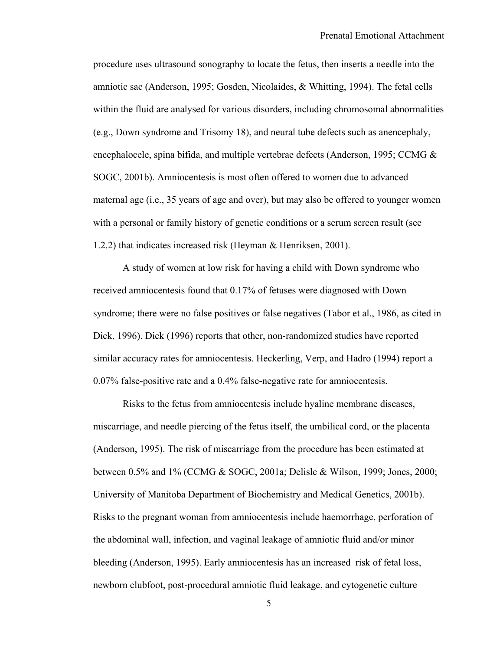procedure uses ultrasound sonography to locate the fetus, then inserts a needle into the amniotic sac (Anderson, 1995; Gosden, Nicolaides, & Whitting, 1994). The fetal cells within the fluid are analysed for various disorders, including chromosomal abnormalities (e.g., Down syndrome and Trisomy 18), and neural tube defects such as anencephaly, encephalocele, spina bifida, and multiple vertebrae defects (Anderson, 1995; CCMG & SOGC, 2001b). Amniocentesis is most often offered to women due to advanced maternal age (i.e., 35 years of age and over), but may also be offered to younger women with a personal or family history of genetic conditions or a serum screen result (see 1.2.2) that indicates increased risk (Heyman & Henriksen, 2001).

A study of women at low risk for having a child with Down syndrome who received amniocentesis found that 0.17% of fetuses were diagnosed with Down syndrome; there were no false positives or false negatives (Tabor et al., 1986, as cited in Dick, 1996). Dick (1996) reports that other, non-randomized studies have reported similar accuracy rates for amniocentesis. Heckerling, Verp, and Hadro (1994) report a 0.07% false-positive rate and a 0.4% false-negative rate for amniocentesis.

Risks to the fetus from amniocentesis include hyaline membrane diseases, miscarriage, and needle piercing of the fetus itself, the umbilical cord, or the placenta (Anderson, 1995). The risk of miscarriage from the procedure has been estimated at between 0.5% and 1% (CCMG & SOGC, 2001a; Delisle & Wilson, 1999; Jones, 2000; University of Manitoba Department of Biochemistry and Medical Genetics, 2001b). Risks to the pregnant woman from amniocentesis include haemorrhage, perforation of the abdominal wall, infection, and vaginal leakage of amniotic fluid and/or minor bleeding (Anderson, 1995). Early amniocentesis has an increased risk of fetal loss, newborn clubfoot, post-procedural amniotic fluid leakage, and cytogenetic culture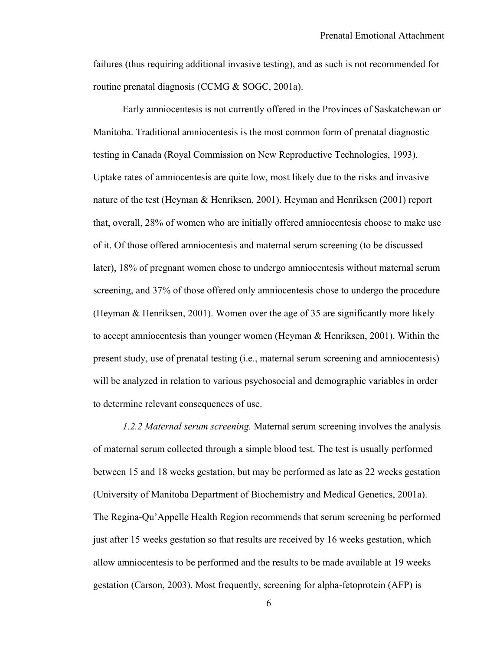failures (thus requiring additional invasive testing), and as such is not recommended for routine prenatal diagnosis (CCMG & SOGC, 2001a).

Early amniocentesis is not currently offered in the Provinces of Saskatchewan or Manitoba. Traditional amniocentesis is the most common form of prenatal diagnostic testing in Canada (Royal Commission on New Reproductive Technologies, 1993). Uptake rates of amniocentesis are quite low, most likely due to the risks and invasive nature of the test (Heyman & Henriksen, 2001). Heyman and Henriksen (2001) report that, overall, 28% of women who are initially offered amniocentesis choose to make use of it. Of those offered amniocentesis and maternal serum screening (to be discussed later), 18% of pregnant women chose to undergo amniocentesis without maternal serum screening, and 37% of those offered only amniocentesis chose to undergo the procedure (Heyman & Henriksen, 2001). Women over the age of 35 are significantly more likely to accept amniocentesis than younger women (Heyman & Henriksen, 2001). Within the present study, use of prenatal testing (i.e., maternal serum screening and amniocentesis) will be analyzed in relation to various psychosocial and demographic variables in order to determine relevant consequences of use.

*1.2.2 Maternal serum screening.* Maternal serum screening involves the analysis of maternal serum collected through a simple blood test. The test is usually performed between 15 and 18 weeks gestation, but may be performed as late as 22 weeks gestation (University of Manitoba Department of Biochemistry and Medical Genetics, 2001a). The Regina-Qu'Appelle Health Region recommends that serum screening be performed just after 15 weeks gestation so that results are received by 16 weeks gestation, which allow amniocentesis to be performed and the results to be made available at 19 weeks gestation (Carson, 2003). Most frequently, screening for alpha-fetoprotein (AFP) is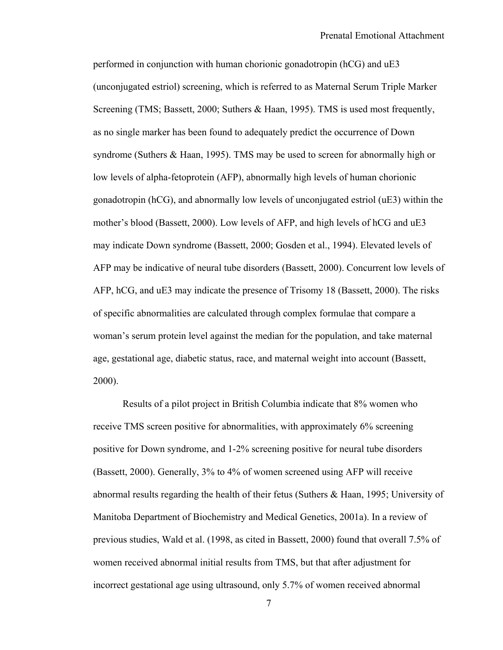performed in conjunction with human chorionic gonadotropin (hCG) and uE3 (unconjugated estriol) screening, which is referred to as Maternal Serum Triple Marker Screening (TMS; Bassett, 2000; Suthers & Haan, 1995). TMS is used most frequently, as no single marker has been found to adequately predict the occurrence of Down syndrome (Suthers & Haan, 1995). TMS may be used to screen for abnormally high or low levels of alpha-fetoprotein (AFP), abnormally high levels of human chorionic gonadotropin (hCG), and abnormally low levels of unconjugated estriol (uE3) within the mother's blood (Bassett, 2000). Low levels of AFP, and high levels of hCG and uE3 may indicate Down syndrome (Bassett, 2000; Gosden et al., 1994). Elevated levels of AFP may be indicative of neural tube disorders (Bassett, 2000). Concurrent low levels of AFP, hCG, and uE3 may indicate the presence of Trisomy 18 (Bassett, 2000). The risks of specific abnormalities are calculated through complex formulae that compare a woman's serum protein level against the median for the population, and take maternal age, gestational age, diabetic status, race, and maternal weight into account (Bassett, 2000).

Results of a pilot project in British Columbia indicate that 8% women who receive TMS screen positive for abnormalities, with approximately 6% screening positive for Down syndrome, and 1-2% screening positive for neural tube disorders (Bassett, 2000). Generally, 3% to 4% of women screened using AFP will receive abnormal results regarding the health of their fetus (Suthers & Haan, 1995; University of Manitoba Department of Biochemistry and Medical Genetics, 2001a). In a review of previous studies, Wald et al. (1998, as cited in Bassett, 2000) found that overall 7.5% of women received abnormal initial results from TMS, but that after adjustment for incorrect gestational age using ultrasound, only 5.7% of women received abnormal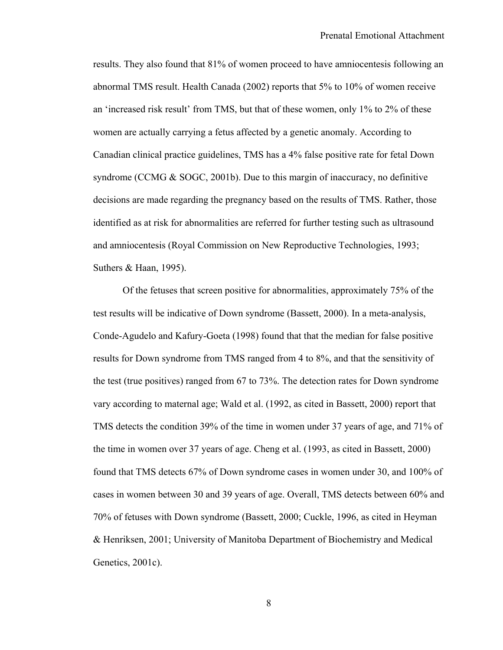results. They also found that 81% of women proceed to have amniocentesis following an abnormal TMS result. Health Canada (2002) reports that 5% to 10% of women receive an 'increased risk result' from TMS, but that of these women, only 1% to 2% of these women are actually carrying a fetus affected by a genetic anomaly. According to Canadian clinical practice guidelines, TMS has a 4% false positive rate for fetal Down syndrome (CCMG & SOGC, 2001b). Due to this margin of inaccuracy, no definitive decisions are made regarding the pregnancy based on the results of TMS. Rather, those identified as at risk for abnormalities are referred for further testing such as ultrasound and amniocentesis (Royal Commission on New Reproductive Technologies, 1993; Suthers & Haan, 1995).

Of the fetuses that screen positive for abnormalities, approximately 75% of the test results will be indicative of Down syndrome (Bassett, 2000). In a meta-analysis, Conde-Agudelo and Kafury-Goeta (1998) found that that the median for false positive results for Down syndrome from TMS ranged from 4 to 8%, and that the sensitivity of the test (true positives) ranged from 67 to 73%. The detection rates for Down syndrome vary according to maternal age; Wald et al. (1992, as cited in Bassett, 2000) report that TMS detects the condition 39% of the time in women under 37 years of age, and 71% of the time in women over 37 years of age. Cheng et al. (1993, as cited in Bassett, 2000) found that TMS detects 67% of Down syndrome cases in women under 30, and 100% of cases in women between 30 and 39 years of age. Overall, TMS detects between 60% and 70% of fetuses with Down syndrome (Bassett, 2000; Cuckle, 1996, as cited in Heyman & Henriksen, 2001; University of Manitoba Department of Biochemistry and Medical Genetics, 2001c).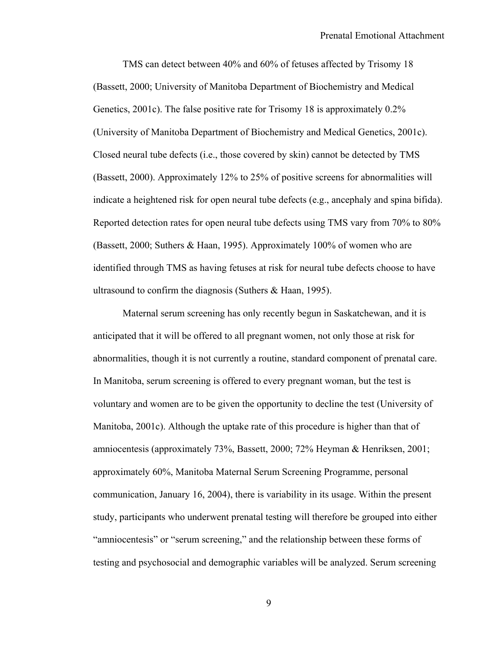TMS can detect between 40% and 60% of fetuses affected by Trisomy 18 (Bassett, 2000; University of Manitoba Department of Biochemistry and Medical Genetics, 2001c). The false positive rate for Trisomy 18 is approximately 0.2% (University of Manitoba Department of Biochemistry and Medical Genetics, 2001c). Closed neural tube defects (i.e., those covered by skin) cannot be detected by TMS (Bassett, 2000). Approximately 12% to 25% of positive screens for abnormalities will indicate a heightened risk for open neural tube defects (e.g., ancephaly and spina bifida). Reported detection rates for open neural tube defects using TMS vary from 70% to 80% (Bassett, 2000; Suthers & Haan, 1995). Approximately 100% of women who are identified through TMS as having fetuses at risk for neural tube defects choose to have ultrasound to confirm the diagnosis (Suthers & Haan, 1995).

Maternal serum screening has only recently begun in Saskatchewan, and it is anticipated that it will be offered to all pregnant women, not only those at risk for abnormalities, though it is not currently a routine, standard component of prenatal care. In Manitoba, serum screening is offered to every pregnant woman, but the test is voluntary and women are to be given the opportunity to decline the test (University of Manitoba, 2001c). Although the uptake rate of this procedure is higher than that of amniocentesis (approximately 73%, Bassett, 2000; 72% Heyman & Henriksen, 2001; approximately 60%, Manitoba Maternal Serum Screening Programme, personal communication, January 16, 2004), there is variability in its usage. Within the present study, participants who underwent prenatal testing will therefore be grouped into either "amniocentesis" or "serum screening," and the relationship between these forms of testing and psychosocial and demographic variables will be analyzed. Serum screening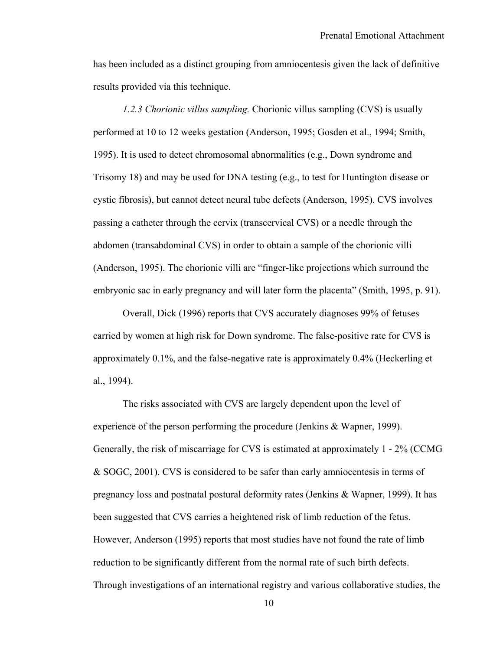has been included as a distinct grouping from amniocentesis given the lack of definitive results provided via this technique.

*1.2.3 Chorionic villus sampling.* Chorionic villus sampling (CVS) is usually performed at 10 to 12 weeks gestation (Anderson, 1995; Gosden et al., 1994; Smith, 1995). It is used to detect chromosomal abnormalities (e.g., Down syndrome and Trisomy 18) and may be used for DNA testing (e.g., to test for Huntington disease or cystic fibrosis), but cannot detect neural tube defects (Anderson, 1995). CVS involves passing a catheter through the cervix (transcervical CVS) or a needle through the abdomen (transabdominal CVS) in order to obtain a sample of the chorionic villi (Anderson, 1995). The chorionic villi are "finger-like projections which surround the embryonic sac in early pregnancy and will later form the placenta" (Smith, 1995, p. 91).

Overall, Dick (1996) reports that CVS accurately diagnoses 99% of fetuses carried by women at high risk for Down syndrome. The false-positive rate for CVS is approximately 0.1%, and the false-negative rate is approximately 0.4% (Heckerling et al., 1994).

The risks associated with CVS are largely dependent upon the level of experience of the person performing the procedure (Jenkins & Wapner, 1999). Generally, the risk of miscarriage for CVS is estimated at approximately 1 - 2% (CCMG & SOGC, 2001). CVS is considered to be safer than early amniocentesis in terms of pregnancy loss and postnatal postural deformity rates (Jenkins & Wapner, 1999). It has been suggested that CVS carries a heightened risk of limb reduction of the fetus. However, Anderson (1995) reports that most studies have not found the rate of limb reduction to be significantly different from the normal rate of such birth defects. Through investigations of an international registry and various collaborative studies, the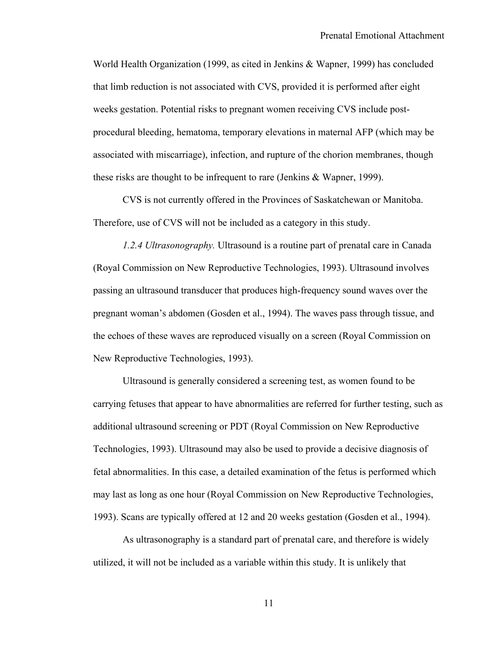World Health Organization (1999, as cited in Jenkins & Wapner, 1999) has concluded that limb reduction is not associated with CVS, provided it is performed after eight weeks gestation. Potential risks to pregnant women receiving CVS include postprocedural bleeding, hematoma, temporary elevations in maternal AFP (which may be associated with miscarriage), infection, and rupture of the chorion membranes, though these risks are thought to be infrequent to rare (Jenkins & Wapner, 1999).

CVS is not currently offered in the Provinces of Saskatchewan or Manitoba. Therefore, use of CVS will not be included as a category in this study.

*1.2.4 Ultrasonography.* Ultrasound is a routine part of prenatal care in Canada (Royal Commission on New Reproductive Technologies, 1993). Ultrasound involves passing an ultrasound transducer that produces high-frequency sound waves over the pregnant woman's abdomen (Gosden et al., 1994). The waves pass through tissue, and the echoes of these waves are reproduced visually on a screen (Royal Commission on New Reproductive Technologies, 1993).

Ultrasound is generally considered a screening test, as women found to be carrying fetuses that appear to have abnormalities are referred for further testing, such as additional ultrasound screening or PDT (Royal Commission on New Reproductive Technologies, 1993). Ultrasound may also be used to provide a decisive diagnosis of fetal abnormalities. In this case, a detailed examination of the fetus is performed which may last as long as one hour (Royal Commission on New Reproductive Technologies, 1993). Scans are typically offered at 12 and 20 weeks gestation (Gosden et al., 1994).

As ultrasonography is a standard part of prenatal care, and therefore is widely utilized, it will not be included as a variable within this study. It is unlikely that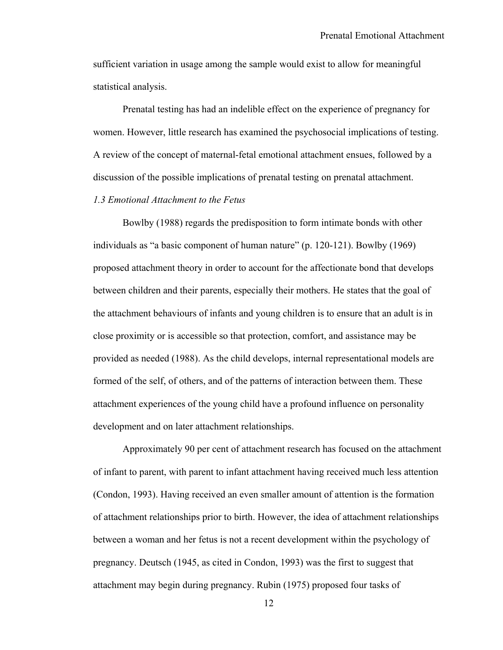sufficient variation in usage among the sample would exist to allow for meaningful statistical analysis.

 Prenatal testing has had an indelible effect on the experience of pregnancy for women. However, little research has examined the psychosocial implications of testing. A review of the concept of maternal-fetal emotional attachment ensues, followed by a discussion of the possible implications of prenatal testing on prenatal attachment.

## *1.3 Emotional Attachment to the Fetus*

 Bowlby (1988) regards the predisposition to form intimate bonds with other individuals as "a basic component of human nature" (p. 120-121). Bowlby (1969) proposed attachment theory in order to account for the affectionate bond that develops between children and their parents, especially their mothers. He states that the goal of the attachment behaviours of infants and young children is to ensure that an adult is in close proximity or is accessible so that protection, comfort, and assistance may be provided as needed (1988). As the child develops, internal representational models are formed of the self, of others, and of the patterns of interaction between them. These attachment experiences of the young child have a profound influence on personality development and on later attachment relationships.

Approximately 90 per cent of attachment research has focused on the attachment of infant to parent, with parent to infant attachment having received much less attention (Condon, 1993). Having received an even smaller amount of attention is the formation of attachment relationships prior to birth. However, the idea of attachment relationships between a woman and her fetus is not a recent development within the psychology of pregnancy. Deutsch (1945, as cited in Condon, 1993) was the first to suggest that attachment may begin during pregnancy. Rubin (1975) proposed four tasks of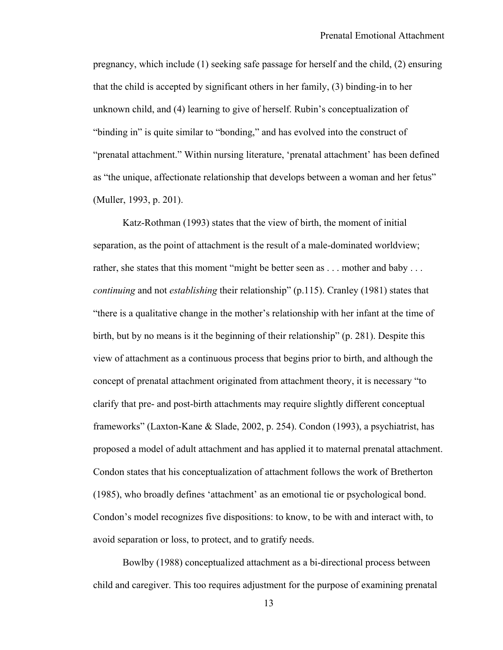pregnancy, which include (1) seeking safe passage for herself and the child, (2) ensuring that the child is accepted by significant others in her family, (3) binding-in to her unknown child, and (4) learning to give of herself. Rubin's conceptualization of "binding in" is quite similar to "bonding," and has evolved into the construct of "prenatal attachment." Within nursing literature, 'prenatal attachment' has been defined as "the unique, affectionate relationship that develops between a woman and her fetus" (Muller, 1993, p. 201).

Katz-Rothman (1993) states that the view of birth, the moment of initial separation, as the point of attachment is the result of a male-dominated worldview; rather, she states that this moment "might be better seen as . . . mother and baby . . . *continuing* and not *establishing* their relationship" (p.115). Cranley (1981) states that "there is a qualitative change in the mother's relationship with her infant at the time of birth, but by no means is it the beginning of their relationship" (p. 281). Despite this view of attachment as a continuous process that begins prior to birth, and although the concept of prenatal attachment originated from attachment theory, it is necessary "to clarify that pre- and post-birth attachments may require slightly different conceptual frameworks" (Laxton-Kane & Slade, 2002, p. 254). Condon (1993), a psychiatrist, has proposed a model of adult attachment and has applied it to maternal prenatal attachment. Condon states that his conceptualization of attachment follows the work of Bretherton (1985), who broadly defines 'attachment' as an emotional tie or psychological bond. Condon's model recognizes five dispositions: to know, to be with and interact with, to avoid separation or loss, to protect, and to gratify needs.

Bowlby (1988) conceptualized attachment as a bi-directional process between child and caregiver. This too requires adjustment for the purpose of examining prenatal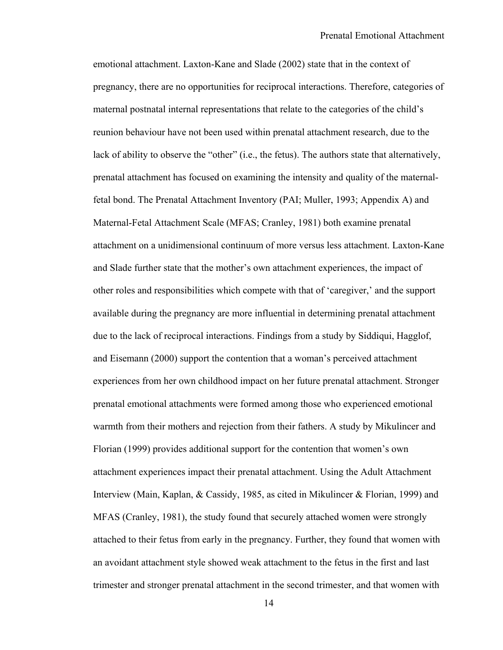emotional attachment. Laxton-Kane and Slade (2002) state that in the context of pregnancy, there are no opportunities for reciprocal interactions. Therefore, categories of maternal postnatal internal representations that relate to the categories of the child's reunion behaviour have not been used within prenatal attachment research, due to the lack of ability to observe the "other" (i.e., the fetus). The authors state that alternatively, prenatal attachment has focused on examining the intensity and quality of the maternalfetal bond. The Prenatal Attachment Inventory (PAI; Muller, 1993; Appendix A) and Maternal-Fetal Attachment Scale (MFAS; Cranley, 1981) both examine prenatal attachment on a unidimensional continuum of more versus less attachment. Laxton-Kane and Slade further state that the mother's own attachment experiences, the impact of other roles and responsibilities which compete with that of 'caregiver,' and the support available during the pregnancy are more influential in determining prenatal attachment due to the lack of reciprocal interactions. Findings from a study by Siddiqui, Hagglof, and Eisemann (2000) support the contention that a woman's perceived attachment experiences from her own childhood impact on her future prenatal attachment. Stronger prenatal emotional attachments were formed among those who experienced emotional warmth from their mothers and rejection from their fathers. A study by Mikulincer and Florian (1999) provides additional support for the contention that women's own attachment experiences impact their prenatal attachment. Using the Adult Attachment Interview (Main, Kaplan, & Cassidy, 1985, as cited in Mikulincer & Florian, 1999) and MFAS (Cranley, 1981), the study found that securely attached women were strongly attached to their fetus from early in the pregnancy. Further, they found that women with an avoidant attachment style showed weak attachment to the fetus in the first and last trimester and stronger prenatal attachment in the second trimester, and that women with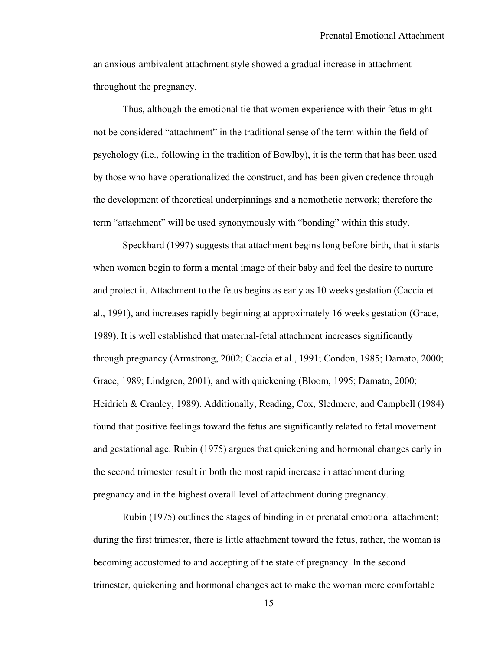an anxious-ambivalent attachment style showed a gradual increase in attachment throughout the pregnancy.

Thus, although the emotional tie that women experience with their fetus might not be considered "attachment" in the traditional sense of the term within the field of psychology (i.e., following in the tradition of Bowlby), it is the term that has been used by those who have operationalized the construct, and has been given credence through the development of theoretical underpinnings and a nomothetic network; therefore the term "attachment" will be used synonymously with "bonding" within this study.

Speckhard (1997) suggests that attachment begins long before birth, that it starts when women begin to form a mental image of their baby and feel the desire to nurture and protect it. Attachment to the fetus begins as early as 10 weeks gestation (Caccia et al., 1991), and increases rapidly beginning at approximately 16 weeks gestation (Grace, 1989). It is well established that maternal-fetal attachment increases significantly through pregnancy (Armstrong, 2002; Caccia et al., 1991; Condon, 1985; Damato, 2000; Grace, 1989; Lindgren, 2001), and with quickening (Bloom, 1995; Damato, 2000; Heidrich & Cranley, 1989). Additionally, Reading, Cox, Sledmere, and Campbell (1984) found that positive feelings toward the fetus are significantly related to fetal movement and gestational age. Rubin (1975) argues that quickening and hormonal changes early in the second trimester result in both the most rapid increase in attachment during pregnancy and in the highest overall level of attachment during pregnancy.

Rubin (1975) outlines the stages of binding in or prenatal emotional attachment; during the first trimester, there is little attachment toward the fetus, rather, the woman is becoming accustomed to and accepting of the state of pregnancy. In the second trimester, quickening and hormonal changes act to make the woman more comfortable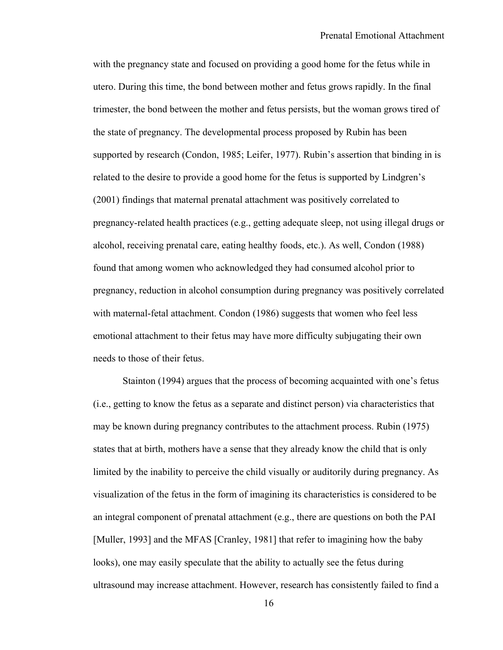with the pregnancy state and focused on providing a good home for the fetus while in utero. During this time, the bond between mother and fetus grows rapidly. In the final trimester, the bond between the mother and fetus persists, but the woman grows tired of the state of pregnancy. The developmental process proposed by Rubin has been supported by research (Condon, 1985; Leifer, 1977). Rubin's assertion that binding in is related to the desire to provide a good home for the fetus is supported by Lindgren's (2001) findings that maternal prenatal attachment was positively correlated to pregnancy-related health practices (e.g., getting adequate sleep, not using illegal drugs or alcohol, receiving prenatal care, eating healthy foods, etc.). As well, Condon (1988) found that among women who acknowledged they had consumed alcohol prior to pregnancy, reduction in alcohol consumption during pregnancy was positively correlated with maternal-fetal attachment. Condon (1986) suggests that women who feel less emotional attachment to their fetus may have more difficulty subjugating their own needs to those of their fetus.

 Stainton (1994) argues that the process of becoming acquainted with one's fetus (i.e., getting to know the fetus as a separate and distinct person) via characteristics that may be known during pregnancy contributes to the attachment process. Rubin (1975) states that at birth, mothers have a sense that they already know the child that is only limited by the inability to perceive the child visually or auditorily during pregnancy. As visualization of the fetus in the form of imagining its characteristics is considered to be an integral component of prenatal attachment (e.g., there are questions on both the PAI [Muller, 1993] and the MFAS [Cranley, 1981] that refer to imagining how the baby looks), one may easily speculate that the ability to actually see the fetus during ultrasound may increase attachment. However, research has consistently failed to find a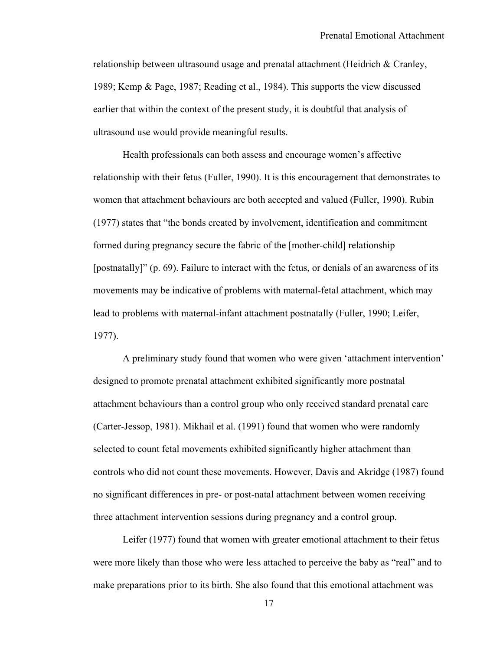relationship between ultrasound usage and prenatal attachment (Heidrich & Cranley, 1989; Kemp & Page, 1987; Reading et al., 1984). This supports the view discussed earlier that within the context of the present study, it is doubtful that analysis of ultrasound use would provide meaningful results.

Health professionals can both assess and encourage women's affective relationship with their fetus (Fuller, 1990). It is this encouragement that demonstrates to women that attachment behaviours are both accepted and valued (Fuller, 1990). Rubin (1977) states that "the bonds created by involvement, identification and commitment formed during pregnancy secure the fabric of the [mother-child] relationship [postnatally]" (p. 69). Failure to interact with the fetus, or denials of an awareness of its movements may be indicative of problems with maternal-fetal attachment, which may lead to problems with maternal-infant attachment postnatally (Fuller, 1990; Leifer, 1977).

A preliminary study found that women who were given 'attachment intervention' designed to promote prenatal attachment exhibited significantly more postnatal attachment behaviours than a control group who only received standard prenatal care (Carter-Jessop, 1981). Mikhail et al. (1991) found that women who were randomly selected to count fetal movements exhibited significantly higher attachment than controls who did not count these movements. However, Davis and Akridge (1987) found no significant differences in pre- or post-natal attachment between women receiving three attachment intervention sessions during pregnancy and a control group.

Leifer (1977) found that women with greater emotional attachment to their fetus were more likely than those who were less attached to perceive the baby as "real" and to make preparations prior to its birth. She also found that this emotional attachment was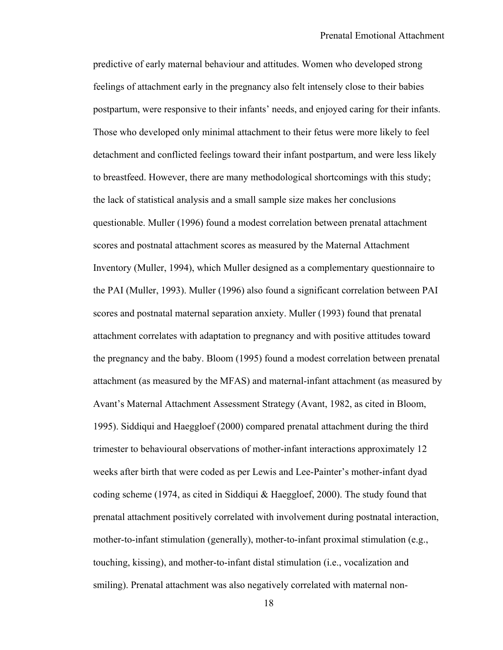predictive of early maternal behaviour and attitudes. Women who developed strong feelings of attachment early in the pregnancy also felt intensely close to their babies postpartum, were responsive to their infants' needs, and enjoyed caring for their infants. Those who developed only minimal attachment to their fetus were more likely to feel detachment and conflicted feelings toward their infant postpartum, and were less likely to breastfeed. However, there are many methodological shortcomings with this study; the lack of statistical analysis and a small sample size makes her conclusions questionable. Muller (1996) found a modest correlation between prenatal attachment scores and postnatal attachment scores as measured by the Maternal Attachment Inventory (Muller, 1994), which Muller designed as a complementary questionnaire to the PAI (Muller, 1993). Muller (1996) also found a significant correlation between PAI scores and postnatal maternal separation anxiety. Muller (1993) found that prenatal attachment correlates with adaptation to pregnancy and with positive attitudes toward the pregnancy and the baby. Bloom (1995) found a modest correlation between prenatal attachment (as measured by the MFAS) and maternal-infant attachment (as measured by Avant's Maternal Attachment Assessment Strategy (Avant, 1982, as cited in Bloom, 1995). Siddiqui and Haeggloef (2000) compared prenatal attachment during the third trimester to behavioural observations of mother-infant interactions approximately 12 weeks after birth that were coded as per Lewis and Lee-Painter's mother-infant dyad coding scheme (1974, as cited in Siddiqui & Haeggloef, 2000). The study found that prenatal attachment positively correlated with involvement during postnatal interaction, mother-to-infant stimulation (generally), mother-to-infant proximal stimulation (e.g., touching, kissing), and mother-to-infant distal stimulation (i.e., vocalization and smiling). Prenatal attachment was also negatively correlated with maternal non-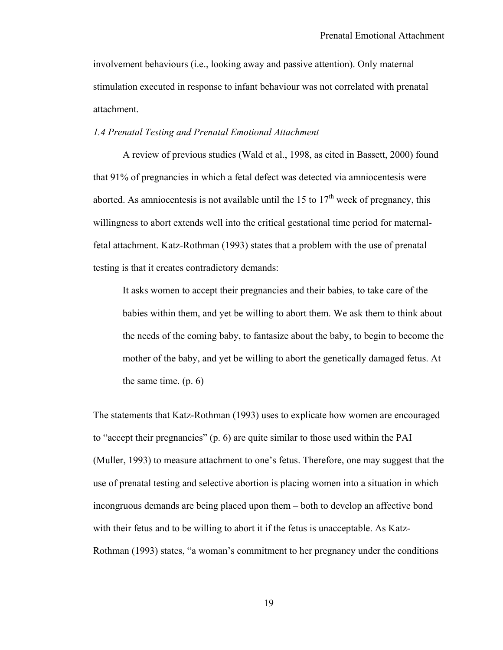involvement behaviours (i.e., looking away and passive attention). Only maternal stimulation executed in response to infant behaviour was not correlated with prenatal attachment.

#### *1.4 Prenatal Testing and Prenatal Emotional Attachment*

 A review of previous studies (Wald et al., 1998, as cited in Bassett, 2000) found that 91% of pregnancies in which a fetal defect was detected via amniocentesis were aborted. As amniocentesis is not available until the 15 to  $17<sup>th</sup>$  week of pregnancy, this willingness to abort extends well into the critical gestational time period for maternalfetal attachment. Katz-Rothman (1993) states that a problem with the use of prenatal testing is that it creates contradictory demands:

It asks women to accept their pregnancies and their babies, to take care of the babies within them, and yet be willing to abort them. We ask them to think about the needs of the coming baby, to fantasize about the baby, to begin to become the mother of the baby, and yet be willing to abort the genetically damaged fetus. At the same time. (p. 6)

The statements that Katz-Rothman (1993) uses to explicate how women are encouraged to "accept their pregnancies" (p. 6) are quite similar to those used within the PAI (Muller, 1993) to measure attachment to one's fetus. Therefore, one may suggest that the use of prenatal testing and selective abortion is placing women into a situation in which incongruous demands are being placed upon them – both to develop an affective bond with their fetus and to be willing to abort it if the fetus is unacceptable. As Katz-Rothman (1993) states, "a woman's commitment to her pregnancy under the conditions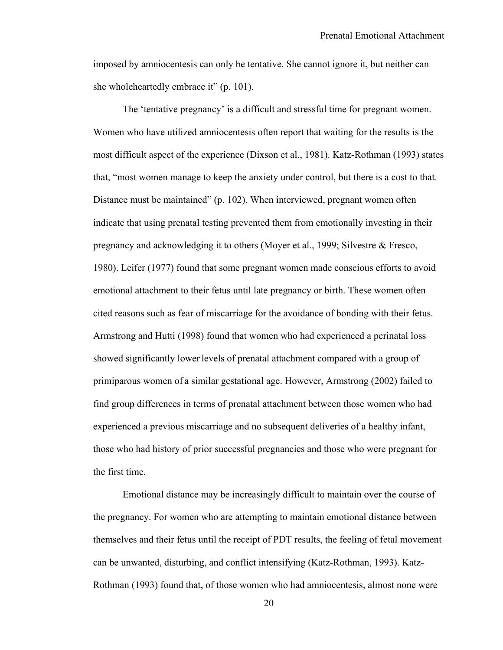imposed by amniocentesis can only be tentative. She cannot ignore it, but neither can she wholeheartedly embrace it" (p. 101).

The 'tentative pregnancy' is a difficult and stressful time for pregnant women. Women who have utilized amniocentesis often report that waiting for the results is the most difficult aspect of the experience (Dixson et al., 1981). Katz-Rothman (1993) states that, "most women manage to keep the anxiety under control, but there is a cost to that. Distance must be maintained" (p. 102). When interviewed, pregnant women often indicate that using prenatal testing prevented them from emotionally investing in their pregnancy and acknowledging it to others (Moyer et al., 1999; Silvestre & Fresco, 1980). Leifer (1977) found that some pregnant women made conscious efforts to avoid emotional attachment to their fetus until late pregnancy or birth. These women often cited reasons such as fear of miscarriage for the avoidance of bonding with their fetus. Armstrong and Hutti (1998) found that women who had experienced a perinatal loss showed significantly lower levels of prenatal attachment compared with a group of primiparous women of a similar gestational age. However, Armstrong (2002) failed to find group differences in terms of prenatal attachment between those women who had experienced a previous miscarriage and no subsequent deliveries of a healthy infant, those who had history of prior successful pregnancies and those who were pregnant for the first time.

Emotional distance may be increasingly difficult to maintain over the course of the pregnancy. For women who are attempting to maintain emotional distance between themselves and their fetus until the receipt of PDT results, the feeling of fetal movement can be unwanted, disturbing, and conflict intensifying (Katz-Rothman, 1993). Katz-Rothman (1993) found that, of those women who had amniocentesis, almost none were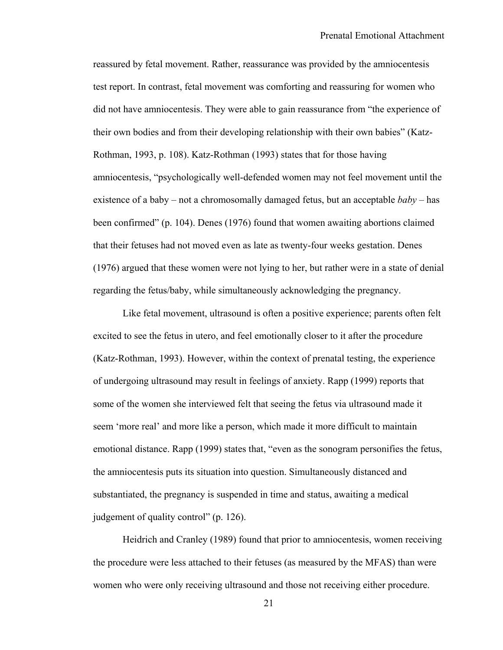reassured by fetal movement. Rather, reassurance was provided by the amniocentesis test report. In contrast, fetal movement was comforting and reassuring for women who did not have amniocentesis. They were able to gain reassurance from "the experience of their own bodies and from their developing relationship with their own babies" (Katz-Rothman, 1993, p. 108). Katz-Rothman (1993) states that for those having amniocentesis, "psychologically well-defended women may not feel movement until the existence of a baby – not a chromosomally damaged fetus, but an acceptable *baby* – has been confirmed" (p. 104). Denes (1976) found that women awaiting abortions claimed that their fetuses had not moved even as late as twenty-four weeks gestation. Denes (1976) argued that these women were not lying to her, but rather were in a state of denial regarding the fetus/baby, while simultaneously acknowledging the pregnancy.

Like fetal movement, ultrasound is often a positive experience; parents often felt excited to see the fetus in utero, and feel emotionally closer to it after the procedure (Katz-Rothman, 1993). However, within the context of prenatal testing, the experience of undergoing ultrasound may result in feelings of anxiety. Rapp (1999) reports that some of the women she interviewed felt that seeing the fetus via ultrasound made it seem 'more real' and more like a person, which made it more difficult to maintain emotional distance. Rapp (1999) states that, "even as the sonogram personifies the fetus, the amniocentesis puts its situation into question. Simultaneously distanced and substantiated, the pregnancy is suspended in time and status, awaiting a medical judgement of quality control" (p. 126).

Heidrich and Cranley (1989) found that prior to amniocentesis, women receiving the procedure were less attached to their fetuses (as measured by the MFAS) than were women who were only receiving ultrasound and those not receiving either procedure.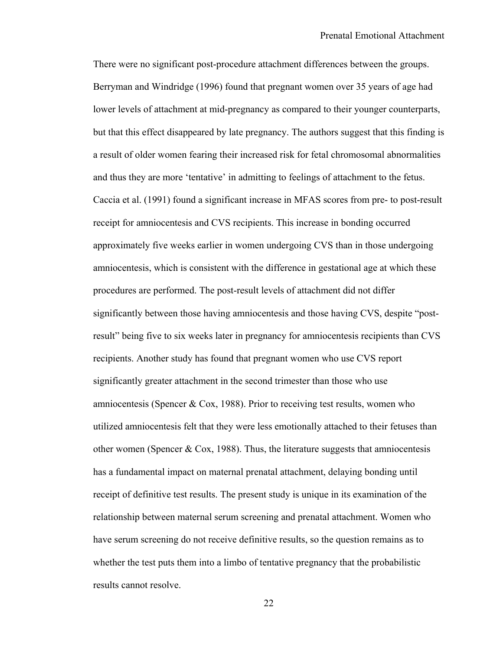There were no significant post-procedure attachment differences between the groups. Berryman and Windridge (1996) found that pregnant women over 35 years of age had lower levels of attachment at mid-pregnancy as compared to their younger counterparts, but that this effect disappeared by late pregnancy. The authors suggest that this finding is a result of older women fearing their increased risk for fetal chromosomal abnormalities and thus they are more 'tentative' in admitting to feelings of attachment to the fetus. Caccia et al. (1991) found a significant increase in MFAS scores from pre- to post-result receipt for amniocentesis and CVS recipients. This increase in bonding occurred approximately five weeks earlier in women undergoing CVS than in those undergoing amniocentesis, which is consistent with the difference in gestational age at which these procedures are performed. The post-result levels of attachment did not differ significantly between those having amniocentesis and those having CVS, despite "postresult" being five to six weeks later in pregnancy for amniocentesis recipients than CVS recipients. Another study has found that pregnant women who use CVS report significantly greater attachment in the second trimester than those who use amniocentesis (Spencer & Cox, 1988). Prior to receiving test results, women who utilized amniocentesis felt that they were less emotionally attached to their fetuses than other women (Spencer & Cox, 1988). Thus, the literature suggests that amniocentesis has a fundamental impact on maternal prenatal attachment, delaying bonding until receipt of definitive test results. The present study is unique in its examination of the relationship between maternal serum screening and prenatal attachment. Women who have serum screening do not receive definitive results, so the question remains as to whether the test puts them into a limbo of tentative pregnancy that the probabilistic results cannot resolve.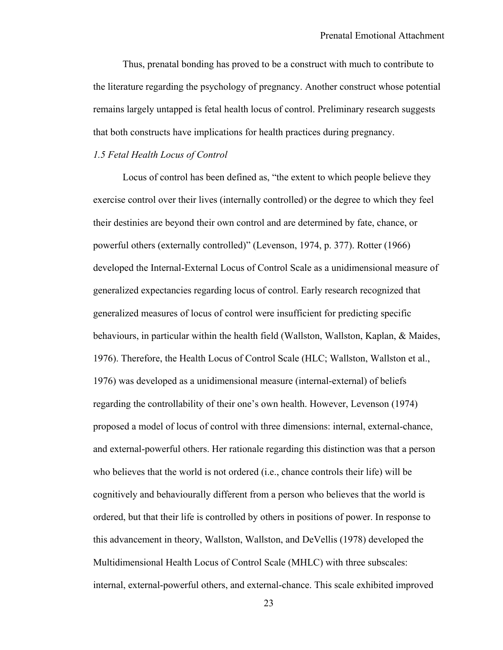Thus, prenatal bonding has proved to be a construct with much to contribute to the literature regarding the psychology of pregnancy. Another construct whose potential remains largely untapped is fetal health locus of control. Preliminary research suggests that both constructs have implications for health practices during pregnancy.

### *1.5 Fetal Health Locus of Control*

 Locus of control has been defined as, "the extent to which people believe they exercise control over their lives (internally controlled) or the degree to which they feel their destinies are beyond their own control and are determined by fate, chance, or powerful others (externally controlled)" (Levenson, 1974, p. 377). Rotter (1966) developed the Internal-External Locus of Control Scale as a unidimensional measure of generalized expectancies regarding locus of control. Early research recognized that generalized measures of locus of control were insufficient for predicting specific behaviours, in particular within the health field (Wallston, Wallston, Kaplan, & Maides, 1976). Therefore, the Health Locus of Control Scale (HLC; Wallston, Wallston et al., 1976) was developed as a unidimensional measure (internal-external) of beliefs regarding the controllability of their one's own health. However, Levenson (1974) proposed a model of locus of control with three dimensions: internal, external-chance, and external-powerful others. Her rationale regarding this distinction was that a person who believes that the world is not ordered (i.e., chance controls their life) will be cognitively and behaviourally different from a person who believes that the world is ordered, but that their life is controlled by others in positions of power. In response to this advancement in theory, Wallston, Wallston, and DeVellis (1978) developed the Multidimensional Health Locus of Control Scale (MHLC) with three subscales: internal, external-powerful others, and external-chance. This scale exhibited improved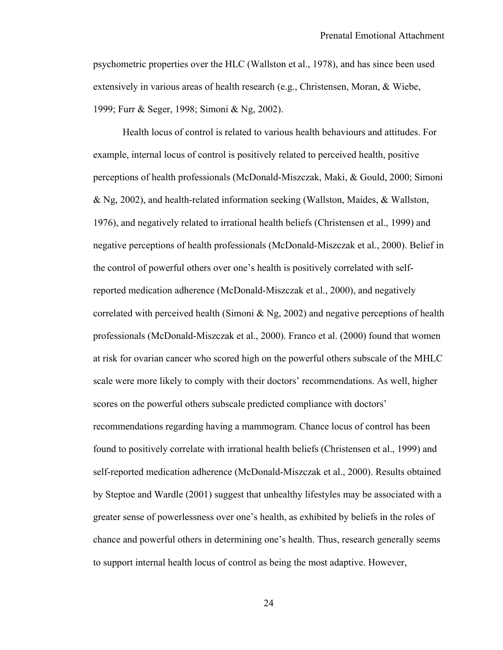psychometric properties over the HLC (Wallston et al., 1978), and has since been used extensively in various areas of health research (e.g., Christensen, Moran, & Wiebe, 1999; Furr & Seger, 1998; Simoni & Ng, 2002).

Health locus of control is related to various health behaviours and attitudes. For example, internal locus of control is positively related to perceived health, positive perceptions of health professionals (McDonald-Miszczak, Maki, & Gould, 2000; Simoni & Ng, 2002), and health-related information seeking (Wallston, Maides, & Wallston, 1976), and negatively related to irrational health beliefs (Christensen et al., 1999) and negative perceptions of health professionals (McDonald-Miszczak et al., 2000). Belief in the control of powerful others over one's health is positively correlated with selfreported medication adherence (McDonald-Miszczak et al., 2000), and negatively correlated with perceived health (Simoni & Ng, 2002) and negative perceptions of health professionals (McDonald-Miszczak et al., 2000). Franco et al. (2000) found that women at risk for ovarian cancer who scored high on the powerful others subscale of the MHLC scale were more likely to comply with their doctors' recommendations. As well, higher scores on the powerful others subscale predicted compliance with doctors' recommendations regarding having a mammogram. Chance locus of control has been found to positively correlate with irrational health beliefs (Christensen et al., 1999) and self-reported medication adherence (McDonald-Miszczak et al., 2000). Results obtained by Steptoe and Wardle (2001) suggest that unhealthy lifestyles may be associated with a greater sense of powerlessness over one's health, as exhibited by beliefs in the roles of chance and powerful others in determining one's health. Thus, research generally seems to support internal health locus of control as being the most adaptive. However,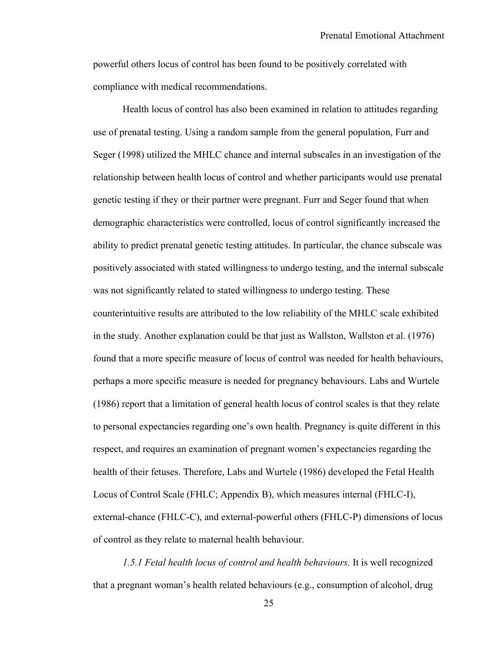powerful others locus of control has been found to be positively correlated with compliance with medical recommendations.

Health locus of control has also been examined in relation to attitudes regarding use of prenatal testing. Using a random sample from the general population, Furr and Seger (1998) utilized the MHLC chance and internal subscales in an investigation of the relationship between health locus of control and whether participants would use prenatal genetic testing if they or their partner were pregnant. Furr and Seger found that when demographic characteristics were controlled, locus of control significantly increased the ability to predict prenatal genetic testing attitudes. In particular, the chance subscale was positively associated with stated willingness to undergo testing, and the internal subscale was not significantly related to stated willingness to undergo testing. These counterintuitive results are attributed to the low reliability of the MHLC scale exhibited in the study. Another explanation could be that just as Wallston, Wallston et al. (1976) found that a more specific measure of locus of control was needed for health behaviours, perhaps a more specific measure is needed for pregnancy behaviours. Labs and Wurtele (1986) report that a limitation of general health locus of control scales is that they relate to personal expectancies regarding one's own health. Pregnancy is quite different in this respect, and requires an examination of pregnant women's expectancies regarding the health of their fetuses. Therefore, Labs and Wurtele (1986) developed the Fetal Health Locus of Control Scale (FHLC; Appendix B), which measures internal (FHLC-I), external-chance (FHLC-C), and external-powerful others (FHLC-P) dimensions of locus of control as they relate to maternal health behaviour.

*1.5.1 Fetal health locus of control and health behaviours.* It is well recognized that a pregnant woman's health related behaviours (e.g., consumption of alcohol, drug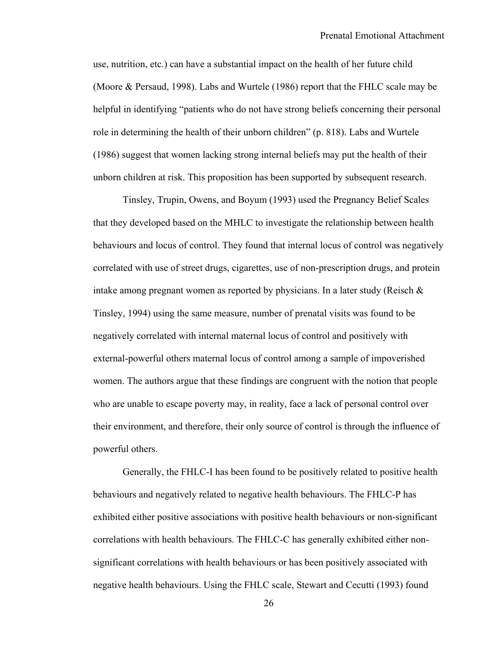use, nutrition, etc.) can have a substantial impact on the health of her future child (Moore & Persaud, 1998). Labs and Wurtele (1986) report that the FHLC scale may be helpful in identifying "patients who do not have strong beliefs concerning their personal role in determining the health of their unborn children" (p. 818). Labs and Wurtele (1986) suggest that women lacking strong internal beliefs may put the health of their unborn children at risk. This proposition has been supported by subsequent research.

Tinsley, Trupin, Owens, and Boyum (1993) used the Pregnancy Belief Scales that they developed based on the MHLC to investigate the relationship between health behaviours and locus of control. They found that internal locus of control was negatively correlated with use of street drugs, cigarettes, use of non-prescription drugs, and protein intake among pregnant women as reported by physicians. In a later study (Reisch  $\&$ Tinsley, 1994) using the same measure, number of prenatal visits was found to be negatively correlated with internal maternal locus of control and positively with external-powerful others maternal locus of control among a sample of impoverished women. The authors argue that these findings are congruent with the notion that people who are unable to escape poverty may, in reality, face a lack of personal control over their environment, and therefore, their only source of control is through the influence of powerful others.

Generally, the FHLC-I has been found to be positively related to positive health behaviours and negatively related to negative health behaviours. The FHLC-P has exhibited either positive associations with positive health behaviours or non-significant correlations with health behaviours. The FHLC-C has generally exhibited either nonsignificant correlations with health behaviours or has been positively associated with negative health behaviours. Using the FHLC scale, Stewart and Cecutti (1993) found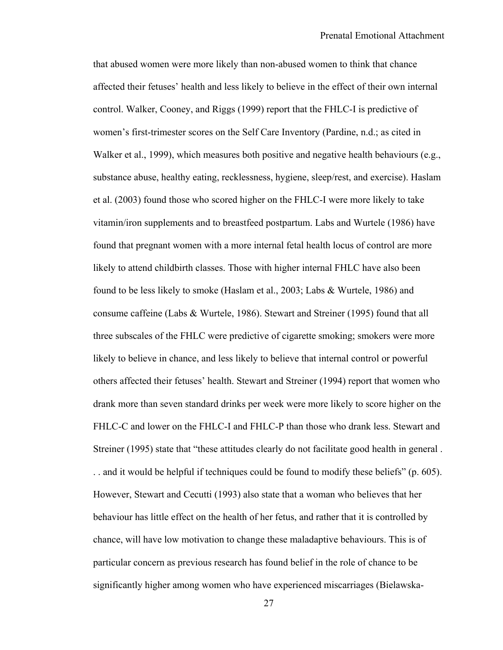that abused women were more likely than non-abused women to think that chance affected their fetuses' health and less likely to believe in the effect of their own internal control. Walker, Cooney, and Riggs (1999) report that the FHLC-I is predictive of women's first-trimester scores on the Self Care Inventory (Pardine, n.d.; as cited in Walker et al., 1999), which measures both positive and negative health behaviours (e.g., substance abuse, healthy eating, recklessness, hygiene, sleep/rest, and exercise). Haslam et al. (2003) found those who scored higher on the FHLC-I were more likely to take vitamin/iron supplements and to breastfeed postpartum. Labs and Wurtele (1986) have found that pregnant women with a more internal fetal health locus of control are more likely to attend childbirth classes. Those with higher internal FHLC have also been found to be less likely to smoke (Haslam et al., 2003; Labs & Wurtele, 1986) and consume caffeine (Labs & Wurtele, 1986). Stewart and Streiner (1995) found that all three subscales of the FHLC were predictive of cigarette smoking; smokers were more likely to believe in chance, and less likely to believe that internal control or powerful others affected their fetuses' health. Stewart and Streiner (1994) report that women who drank more than seven standard drinks per week were more likely to score higher on the FHLC-C and lower on the FHLC-I and FHLC-P than those who drank less. Stewart and Streiner (1995) state that "these attitudes clearly do not facilitate good health in general . . . and it would be helpful if techniques could be found to modify these beliefs" (p. 605). However, Stewart and Cecutti (1993) also state that a woman who believes that her behaviour has little effect on the health of her fetus, and rather that it is controlled by chance, will have low motivation to change these maladaptive behaviours. This is of particular concern as previous research has found belief in the role of chance to be significantly higher among women who have experienced miscarriages (Bielawska-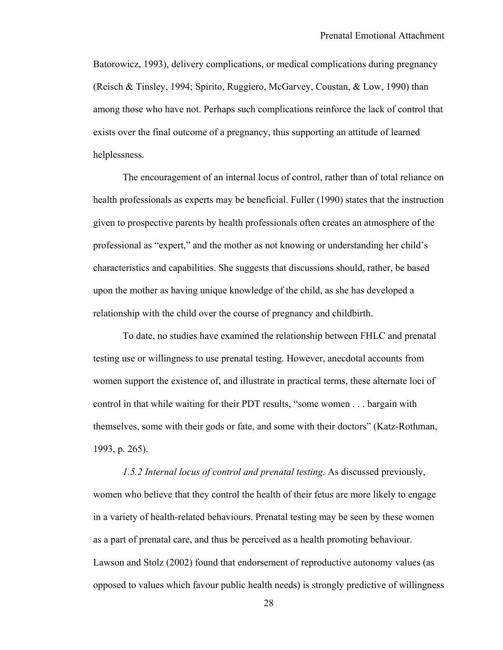Batorowicz, 1993), delivery complications, or medical complications during pregnancy (Reisch & Tinsley, 1994; Spirito, Ruggiero, McGarvey, Coustan, & Low, 1990) than among those who have not. Perhaps such complications reinforce the lack of control that exists over the final outcome of a pregnancy, thus supporting an attitude of learned helplessness.

The encouragement of an internal locus of control, rather than of total reliance on health professionals as experts may be beneficial. Fuller (1990) states that the instruction given to prospective parents by health professionals often creates an atmosphere of the professional as "expert," and the mother as not knowing or understanding her child's characteristics and capabilities. She suggests that discussions should, rather, be based upon the mother as having unique knowledge of the child, as she has developed a relationship with the child over the course of pregnancy and childbirth.

To date, no studies have examined the relationship between FHLC and prenatal testing use or willingness to use prenatal testing. However, anecdotal accounts from women support the existence of, and illustrate in practical terms, these alternate loci of control in that while waiting for their PDT results, "some women . . . bargain with themselves, some with their gods or fate, and some with their doctors" (Katz-Rothman, 1993, p. 265).

*1.5.2 Internal locus of control and prenatal testing.* As discussed previously, women who believe that they control the health of their fetus are more likely to engage in a variety of health-related behaviours. Prenatal testing may be seen by these women as a part of prenatal care, and thus be perceived as a health promoting behaviour. Lawson and Stolz (2002) found that endorsement of reproductive autonomy values (as opposed to values which favour public health needs) is strongly predictive of willingness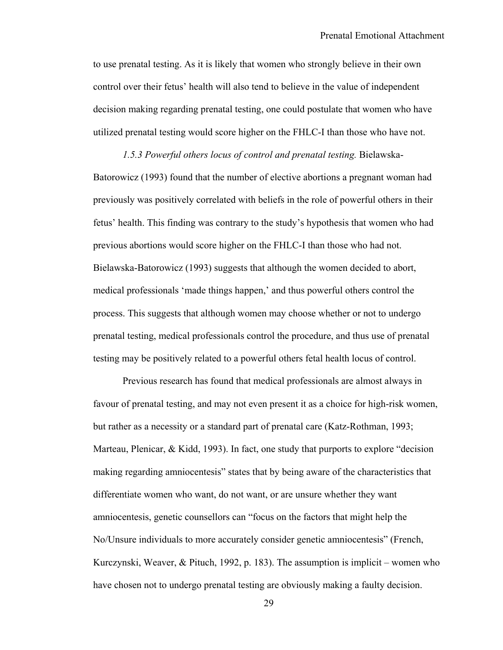to use prenatal testing. As it is likely that women who strongly believe in their own control over their fetus' health will also tend to believe in the value of independent decision making regarding prenatal testing, one could postulate that women who have utilized prenatal testing would score higher on the FHLC-I than those who have not.

*1.5.3 Powerful others locus of control and prenatal testing.* Bielawska-Batorowicz (1993) found that the number of elective abortions a pregnant woman had previously was positively correlated with beliefs in the role of powerful others in their fetus' health. This finding was contrary to the study's hypothesis that women who had previous abortions would score higher on the FHLC-I than those who had not. Bielawska-Batorowicz (1993) suggests that although the women decided to abort, medical professionals 'made things happen,' and thus powerful others control the process. This suggests that although women may choose whether or not to undergo prenatal testing, medical professionals control the procedure, and thus use of prenatal testing may be positively related to a powerful others fetal health locus of control.

Previous research has found that medical professionals are almost always in favour of prenatal testing, and may not even present it as a choice for high-risk women, but rather as a necessity or a standard part of prenatal care (Katz-Rothman, 1993; Marteau, Plenicar, & Kidd, 1993). In fact, one study that purports to explore "decision making regarding amniocentesis" states that by being aware of the characteristics that differentiate women who want, do not want, or are unsure whether they want amniocentesis, genetic counsellors can "focus on the factors that might help the No/Unsure individuals to more accurately consider genetic amniocentesis" (French, Kurczynski, Weaver, & Pituch, 1992, p. 183). The assumption is implicit – women who have chosen not to undergo prenatal testing are obviously making a faulty decision.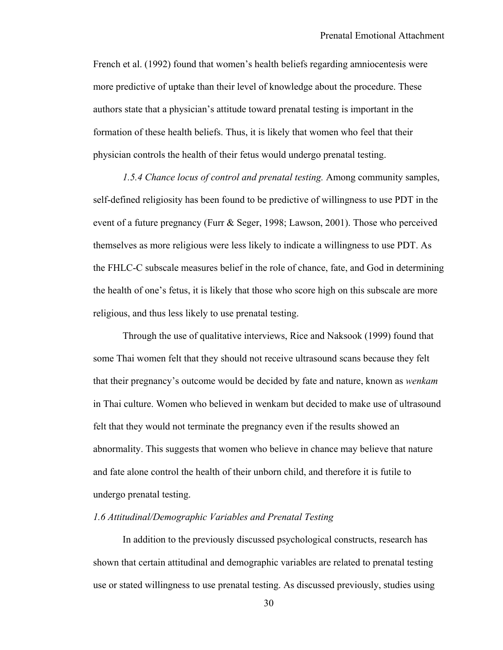French et al. (1992) found that women's health beliefs regarding amniocentesis were more predictive of uptake than their level of knowledge about the procedure. These authors state that a physician's attitude toward prenatal testing is important in the formation of these health beliefs. Thus, it is likely that women who feel that their physician controls the health of their fetus would undergo prenatal testing.

*1.5.4 Chance locus of control and prenatal testing.* Among community samples, self-defined religiosity has been found to be predictive of willingness to use PDT in the event of a future pregnancy (Furr & Seger, 1998; Lawson, 2001). Those who perceived themselves as more religious were less likely to indicate a willingness to use PDT. As the FHLC-C subscale measures belief in the role of chance, fate, and God in determining the health of one's fetus, it is likely that those who score high on this subscale are more religious, and thus less likely to use prenatal testing.

Through the use of qualitative interviews, Rice and Naksook (1999) found that some Thai women felt that they should not receive ultrasound scans because they felt that their pregnancy's outcome would be decided by fate and nature, known as *wenkam*  in Thai culture. Women who believed in wenkam but decided to make use of ultrasound felt that they would not terminate the pregnancy even if the results showed an abnormality. This suggests that women who believe in chance may believe that nature and fate alone control the health of their unborn child, and therefore it is futile to undergo prenatal testing.

### *1.6 Attitudinal/Demographic Variables and Prenatal Testing*

 In addition to the previously discussed psychological constructs, research has shown that certain attitudinal and demographic variables are related to prenatal testing use or stated willingness to use prenatal testing. As discussed previously, studies using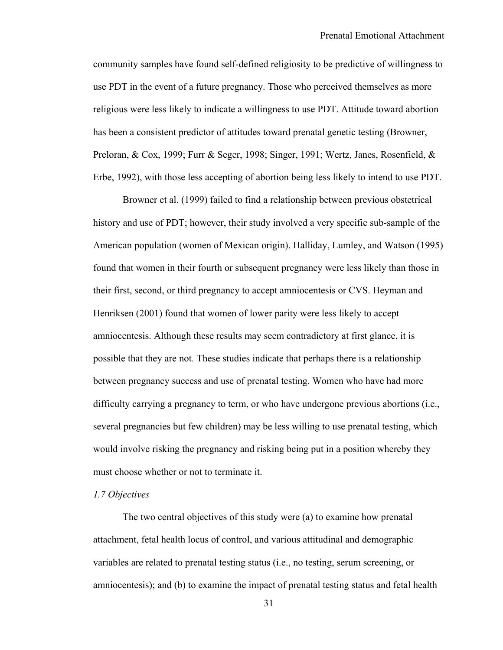community samples have found self-defined religiosity to be predictive of willingness to use PDT in the event of a future pregnancy. Those who perceived themselves as more religious were less likely to indicate a willingness to use PDT. Attitude toward abortion has been a consistent predictor of attitudes toward prenatal genetic testing (Browner, Preloran, & Cox, 1999; Furr & Seger, 1998; Singer, 1991; Wertz, Janes, Rosenfield, & Erbe, 1992), with those less accepting of abortion being less likely to intend to use PDT.

Browner et al. (1999) failed to find a relationship between previous obstetrical history and use of PDT; however, their study involved a very specific sub-sample of the American population (women of Mexican origin). Halliday, Lumley, and Watson (1995) found that women in their fourth or subsequent pregnancy were less likely than those in their first, second, or third pregnancy to accept amniocentesis or CVS. Heyman and Henriksen (2001) found that women of lower parity were less likely to accept amniocentesis. Although these results may seem contradictory at first glance, it is possible that they are not. These studies indicate that perhaps there is a relationship between pregnancy success and use of prenatal testing. Women who have had more difficulty carrying a pregnancy to term, or who have undergone previous abortions (i.e., several pregnancies but few children) may be less willing to use prenatal testing, which would involve risking the pregnancy and risking being put in a position whereby they must choose whether or not to terminate it.

#### *1.7 Objectives*

The two central objectives of this study were (a) to examine how prenatal attachment, fetal health locus of control, and various attitudinal and demographic variables are related to prenatal testing status (i.e., no testing, serum screening, or amniocentesis); and (b) to examine the impact of prenatal testing status and fetal health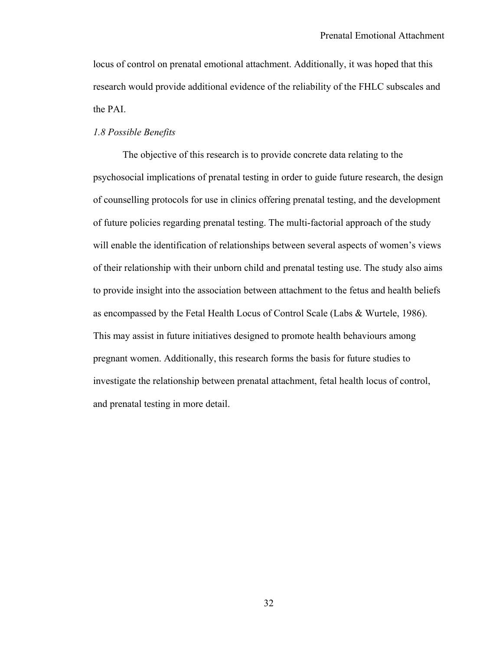locus of control on prenatal emotional attachment. Additionally, it was hoped that this research would provide additional evidence of the reliability of the FHLC subscales and the PAI.

# *1.8 Possible Benefits*

The objective of this research is to provide concrete data relating to the psychosocial implications of prenatal testing in order to guide future research, the design of counselling protocols for use in clinics offering prenatal testing, and the development of future policies regarding prenatal testing. The multi-factorial approach of the study will enable the identification of relationships between several aspects of women's views of their relationship with their unborn child and prenatal testing use. The study also aims to provide insight into the association between attachment to the fetus and health beliefs as encompassed by the Fetal Health Locus of Control Scale (Labs & Wurtele, 1986). This may assist in future initiatives designed to promote health behaviours among pregnant women. Additionally, this research forms the basis for future studies to investigate the relationship between prenatal attachment, fetal health locus of control, and prenatal testing in more detail.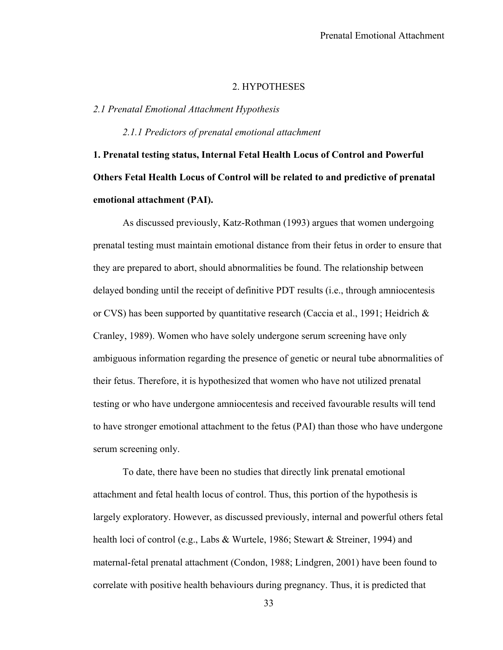## 2. HYPOTHESES

## *2.1 Prenatal Emotional Attachment Hypothesis*

*2.1.1 Predictors of prenatal emotional attachment* 

**1. Prenatal testing status, Internal Fetal Health Locus of Control and Powerful Others Fetal Health Locus of Control will be related to and predictive of prenatal emotional attachment (PAI).** 

 As discussed previously, Katz-Rothman (1993) argues that women undergoing prenatal testing must maintain emotional distance from their fetus in order to ensure that they are prepared to abort, should abnormalities be found. The relationship between delayed bonding until the receipt of definitive PDT results (i.e., through amniocentesis or CVS) has been supported by quantitative research (Caccia et al., 1991; Heidrich  $\&$ Cranley, 1989). Women who have solely undergone serum screening have only ambiguous information regarding the presence of genetic or neural tube abnormalities of their fetus. Therefore, it is hypothesized that women who have not utilized prenatal testing or who have undergone amniocentesis and received favourable results will tend to have stronger emotional attachment to the fetus (PAI) than those who have undergone serum screening only.

To date, there have been no studies that directly link prenatal emotional attachment and fetal health locus of control. Thus, this portion of the hypothesis is largely exploratory. However, as discussed previously, internal and powerful others fetal health loci of control (e.g., Labs & Wurtele, 1986; Stewart & Streiner, 1994) and maternal-fetal prenatal attachment (Condon, 1988; Lindgren, 2001) have been found to correlate with positive health behaviours during pregnancy. Thus, it is predicted that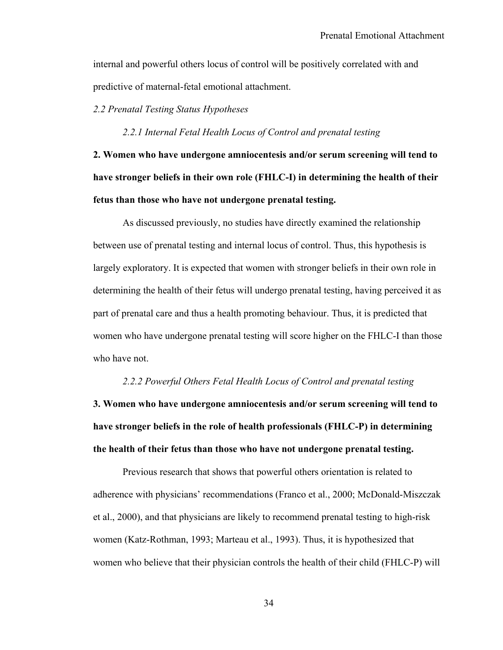internal and powerful others locus of control will be positively correlated with and predictive of maternal-fetal emotional attachment.

## *2.2 Prenatal Testing Status Hypotheses*

*2.2.1 Internal Fetal Health Locus of Control and prenatal testing* 

**2. Women who have undergone amniocentesis and/or serum screening will tend to have stronger beliefs in their own role (FHLC-I) in determining the health of their fetus than those who have not undergone prenatal testing.** 

As discussed previously, no studies have directly examined the relationship between use of prenatal testing and internal locus of control. Thus, this hypothesis is largely exploratory. It is expected that women with stronger beliefs in their own role in determining the health of their fetus will undergo prenatal testing, having perceived it as part of prenatal care and thus a health promoting behaviour. Thus, it is predicted that women who have undergone prenatal testing will score higher on the FHLC-I than those who have not.

#### *2.2.2 Powerful Others Fetal Health Locus of Control and prenatal testing*

**3. Women who have undergone amniocentesis and/or serum screening will tend to have stronger beliefs in the role of health professionals (FHLC-P) in determining the health of their fetus than those who have not undergone prenatal testing.** 

Previous research that shows that powerful others orientation is related to adherence with physicians' recommendations (Franco et al., 2000; McDonald-Miszczak et al., 2000), and that physicians are likely to recommend prenatal testing to high-risk women (Katz-Rothman, 1993; Marteau et al., 1993). Thus, it is hypothesized that women who believe that their physician controls the health of their child (FHLC-P) will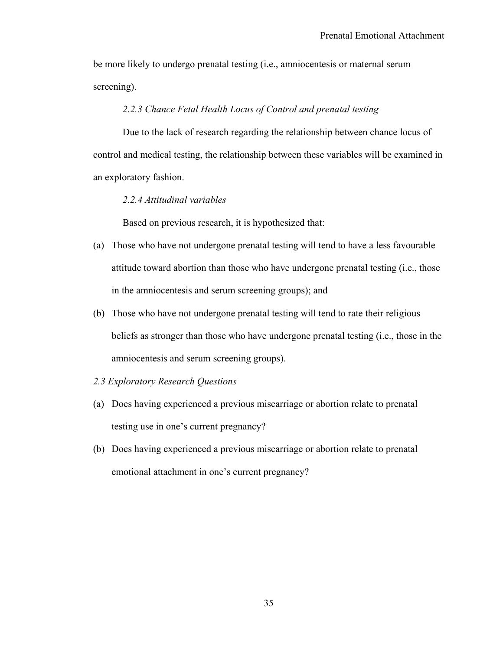be more likely to undergo prenatal testing (i.e., amniocentesis or maternal serum screening).

# *2.2.3 Chance Fetal Health Locus of Control and prenatal testing*

 Due to the lack of research regarding the relationship between chance locus of control and medical testing, the relationship between these variables will be examined in an exploratory fashion.

## *2.2.4 Attitudinal variables*

Based on previous research, it is hypothesized that:

- (a) Those who have not undergone prenatal testing will tend to have a less favourable attitude toward abortion than those who have undergone prenatal testing (i.e., those in the amniocentesis and serum screening groups); and
- (b) Those who have not undergone prenatal testing will tend to rate their religious beliefs as stronger than those who have undergone prenatal testing (i.e., those in the amniocentesis and serum screening groups).
- *2.3 Exploratory Research Questions*
- (a) Does having experienced a previous miscarriage or abortion relate to prenatal testing use in one's current pregnancy?
- (b) Does having experienced a previous miscarriage or abortion relate to prenatal emotional attachment in one's current pregnancy?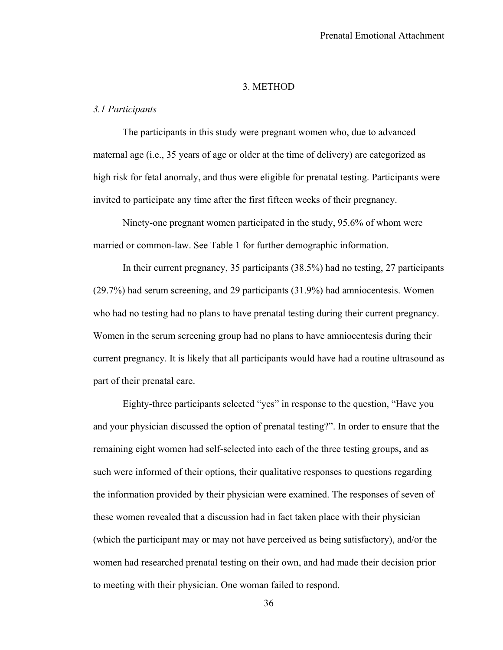## 3. METHOD

## *3.1 Participants*

The participants in this study were pregnant women who, due to advanced maternal age (i.e., 35 years of age or older at the time of delivery) are categorized as high risk for fetal anomaly, and thus were eligible for prenatal testing. Participants were invited to participate any time after the first fifteen weeks of their pregnancy.

Ninety-one pregnant women participated in the study, 95.6% of whom were married or common-law. See Table 1 for further demographic information.

In their current pregnancy, 35 participants (38.5%) had no testing, 27 participants (29.7%) had serum screening, and 29 participants (31.9%) had amniocentesis. Women who had no testing had no plans to have prenatal testing during their current pregnancy. Women in the serum screening group had no plans to have amniocentesis during their current pregnancy. It is likely that all participants would have had a routine ultrasound as part of their prenatal care.

Eighty-three participants selected "yes" in response to the question, "Have you and your physician discussed the option of prenatal testing?". In order to ensure that the remaining eight women had self-selected into each of the three testing groups, and as such were informed of their options, their qualitative responses to questions regarding the information provided by their physician were examined. The responses of seven of these women revealed that a discussion had in fact taken place with their physician (which the participant may or may not have perceived as being satisfactory), and/or the women had researched prenatal testing on their own, and had made their decision prior to meeting with their physician. One woman failed to respond.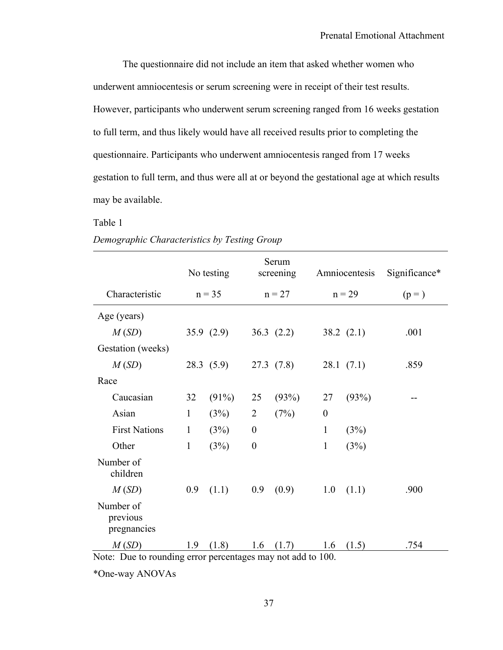The questionnaire did not include an item that asked whether women who underwent amniocentesis or serum screening were in receipt of their test results. However, participants who underwent serum screening ranged from 16 weeks gestation to full term, and thus likely would have all received results prior to completing the questionnaire. Participants who underwent amniocentesis ranged from 17 weeks gestation to full term, and thus were all at or beyond the gestational age at which results may be available.

#### Table 1

|                                      |              | No testing   |                  | Serum<br>screening |              | Amniocentesis | Significance* |
|--------------------------------------|--------------|--------------|------------------|--------------------|--------------|---------------|---------------|
| Characteristic                       |              | $n = 35$     |                  | $n = 27$           |              | $n = 29$      | $(p=)$        |
| Age (years)                          |              |              |                  |                    |              |               |               |
| M(SD)                                |              | 35.9 $(2.9)$ |                  | 36.3 $(2.2)$       |              | 38.2 $(2.1)$  | .001          |
| Gestation (weeks)                    |              |              |                  |                    |              |               |               |
| M(SD)                                |              | 28.3(5.9)    |                  | 27.3(7.8)          |              | 28.1(7.1)     | .859          |
| Race                                 |              |              |                  |                    |              |               |               |
| Caucasian                            | 32           | (91%)        | 25               | (93%)              | 27           | (93%)         |               |
| Asian                                | $\mathbf{1}$ | (3%)         | $\overline{2}$   | (7%)               | $\theta$     |               |               |
| <b>First Nations</b>                 | $\mathbf{1}$ | (3%)         | $\boldsymbol{0}$ |                    | 1            | (3%)          |               |
| Other                                | $\mathbf{1}$ | (3%)         | $\boldsymbol{0}$ |                    | $\mathbf{1}$ | (3%)          |               |
| Number of<br>children                |              |              |                  |                    |              |               |               |
| M(SD)                                | 0.9          | (1.1)        | 0.9              | (0.9)              | 1.0          | (1.1)         | .900          |
| Number of<br>previous<br>pregnancies |              |              |                  |                    |              |               |               |
| M(SD)                                | 1.9          | (1.8)        | 1.6              | (1.7)              | 1.6          | (1.5)         | .754          |

## *Demographic Characteristics by Testing Group*

Note: Due to rounding error percentages may not add to 100.

\*One-way ANOVAs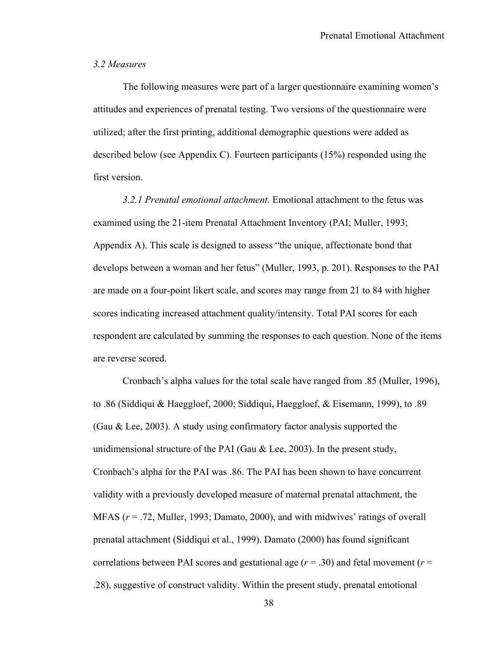# *3.2 Measures*

The following measures were part of a larger questionnaire examining women's attitudes and experiences of prenatal testing. Two versions of the questionnaire were utilized; after the first printing, additional demographic questions were added as described below (see Appendix C). Fourteen participants (15%) responded using the first version.

*3.2.1 Prenatal emotional attachment.* Emotional attachment to the fetus was examined using the 21-item Prenatal Attachment Inventory (PAI; Muller, 1993; Appendix A). This scale is designed to assess "the unique, affectionate bond that develops between a woman and her fetus" (Muller, 1993, p. 201). Responses to the PAI are made on a four-point likert scale, and scores may range from 21 to 84 with higher scores indicating increased attachment quality/intensity. Total PAI scores for each respondent are calculated by summing the responses to each question. None of the items are reverse scored.

Cronbach's alpha values for the total scale have ranged from .85 (Muller, 1996), to .86 (Siddiqui & Haeggloef, 2000; Siddiqui, Haeggloef, & Eisemann, 1999), to .89 (Gau & Lee, 2003). A study using confirmatory factor analysis supported the unidimensional structure of the PAI (Gau  $\&$  Lee, 2003). In the present study, Cronbach's alpha for the PAI was .86. The PAI has been shown to have concurrent validity with a previously developed measure of maternal prenatal attachment, the MFAS (*r* = .72, Muller, 1993; Damato, 2000), and with midwives' ratings of overall prenatal attachment (Siddiqui et al., 1999). Damato (2000) has found significant correlations between PAI scores and gestational age  $(r = .30)$  and fetal movement  $(r = .30)$ .28), suggestive of construct validity. Within the present study, prenatal emotional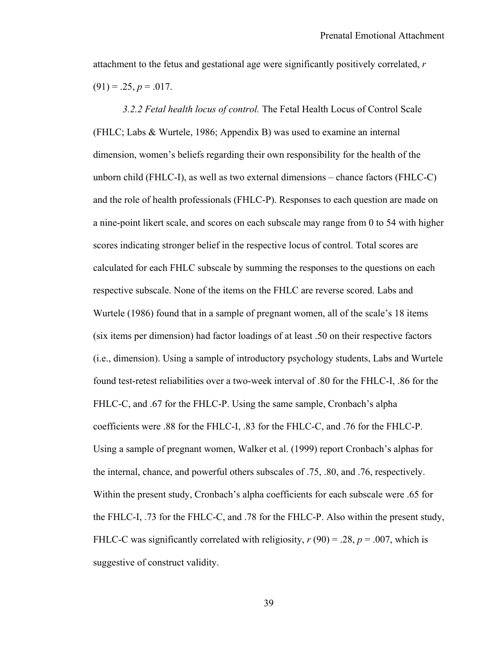attachment to the fetus and gestational age were significantly positively correlated, *r*  $(91) = 0.25, p = 0.017.$ 

*3.2.2 Fetal health locus of control.* The Fetal Health Locus of Control Scale (FHLC; Labs & Wurtele, 1986; Appendix B) was used to examine an internal dimension, women's beliefs regarding their own responsibility for the health of the unborn child (FHLC-I), as well as two external dimensions – chance factors (FHLC-C) and the role of health professionals (FHLC-P). Responses to each question are made on a nine-point likert scale, and scores on each subscale may range from 0 to 54 with higher scores indicating stronger belief in the respective locus of control. Total scores are calculated for each FHLC subscale by summing the responses to the questions on each respective subscale. None of the items on the FHLC are reverse scored. Labs and Wurtele (1986) found that in a sample of pregnant women, all of the scale's 18 items (six items per dimension) had factor loadings of at least .50 on their respective factors (i.e., dimension). Using a sample of introductory psychology students, Labs and Wurtele found test-retest reliabilities over a two-week interval of .80 for the FHLC-I, .86 for the FHLC-C, and .67 for the FHLC-P. Using the same sample, Cronbach's alpha coefficients were .88 for the FHLC-I, .83 for the FHLC-C, and .76 for the FHLC-P. Using a sample of pregnant women, Walker et al. (1999) report Cronbach's alphas for the internal, chance, and powerful others subscales of .75, .80, and .76, respectively. Within the present study, Cronbach's alpha coefficients for each subscale were .65 for the FHLC-I, .73 for the FHLC-C, and .78 for the FHLC-P. Also within the present study, FHLC-C was significantly correlated with religiosity,  $r(90) = .28$ ,  $p = .007$ , which is suggestive of construct validity.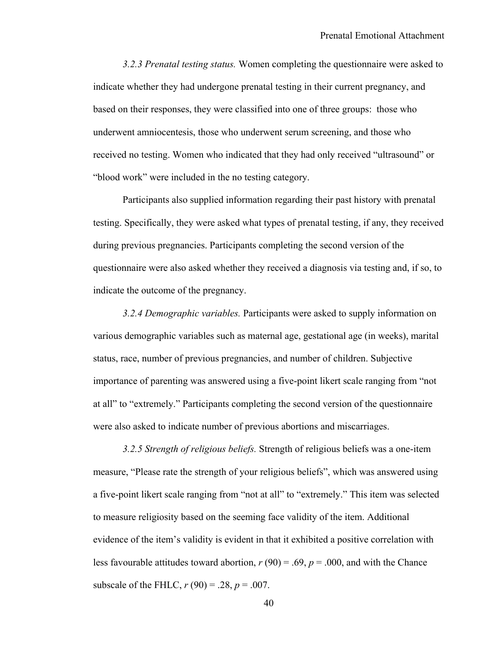*3.2.3 Prenatal testing status.* Women completing the questionnaire were asked to indicate whether they had undergone prenatal testing in their current pregnancy, and based on their responses, they were classified into one of three groups: those who underwent amniocentesis, those who underwent serum screening, and those who received no testing. Women who indicated that they had only received "ultrasound" or "blood work" were included in the no testing category.

Participants also supplied information regarding their past history with prenatal testing. Specifically, they were asked what types of prenatal testing, if any, they received during previous pregnancies. Participants completing the second version of the questionnaire were also asked whether they received a diagnosis via testing and, if so, to indicate the outcome of the pregnancy.

*3.2.4 Demographic variables.* Participants were asked to supply information on various demographic variables such as maternal age, gestational age (in weeks), marital status, race, number of previous pregnancies, and number of children. Subjective importance of parenting was answered using a five-point likert scale ranging from "not at all" to "extremely." Participants completing the second version of the questionnaire were also asked to indicate number of previous abortions and miscarriages.

*3.2.5 Strength of religious beliefs.* Strength of religious beliefs was a one-item measure, "Please rate the strength of your religious beliefs", which was answered using a five-point likert scale ranging from "not at all" to "extremely." This item was selected to measure religiosity based on the seeming face validity of the item. Additional evidence of the item's validity is evident in that it exhibited a positive correlation with less favourable attitudes toward abortion,  $r(90) = .69$ ,  $p = .000$ , and with the Chance subscale of the FHLC,  $r(90) = .28$ ,  $p = .007$ .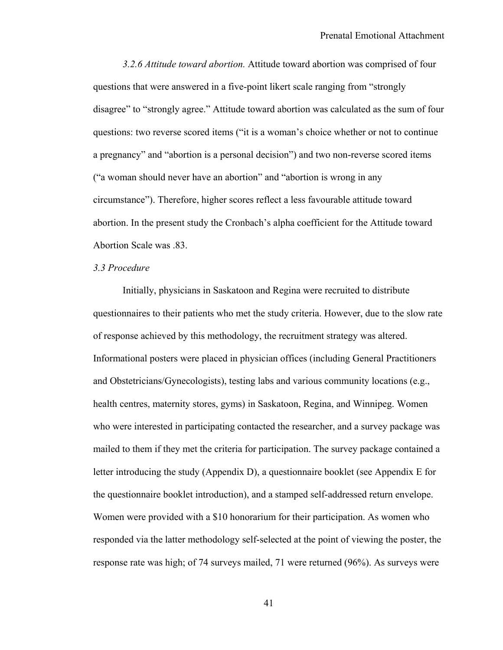*3.2.6 Attitude toward abortion.* Attitude toward abortion was comprised of four questions that were answered in a five-point likert scale ranging from "strongly disagree" to "strongly agree." Attitude toward abortion was calculated as the sum of four questions: two reverse scored items ("it is a woman's choice whether or not to continue a pregnancy" and "abortion is a personal decision") and two non-reverse scored items ("a woman should never have an abortion" and "abortion is wrong in any circumstance"). Therefore, higher scores reflect a less favourable attitude toward abortion. In the present study the Cronbach's alpha coefficient for the Attitude toward Abortion Scale was .83.

## *3.3 Procedure*

Initially, physicians in Saskatoon and Regina were recruited to distribute questionnaires to their patients who met the study criteria. However, due to the slow rate of response achieved by this methodology, the recruitment strategy was altered. Informational posters were placed in physician offices (including General Practitioners and Obstetricians/Gynecologists), testing labs and various community locations (e.g., health centres, maternity stores, gyms) in Saskatoon, Regina, and Winnipeg. Women who were interested in participating contacted the researcher, and a survey package was mailed to them if they met the criteria for participation. The survey package contained a letter introducing the study (Appendix D), a questionnaire booklet (see Appendix E for the questionnaire booklet introduction), and a stamped self-addressed return envelope. Women were provided with a \$10 honorarium for their participation. As women who responded via the latter methodology self-selected at the point of viewing the poster, the response rate was high; of 74 surveys mailed, 71 were returned (96%). As surveys were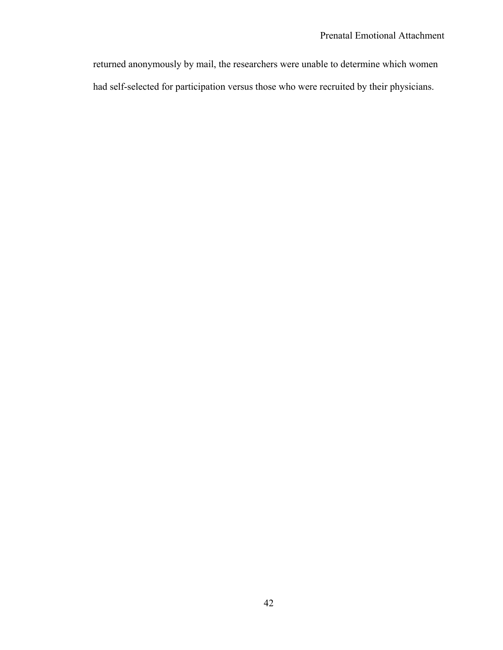returned anonymously by mail, the researchers were unable to determine which women had self-selected for participation versus those who were recruited by their physicians.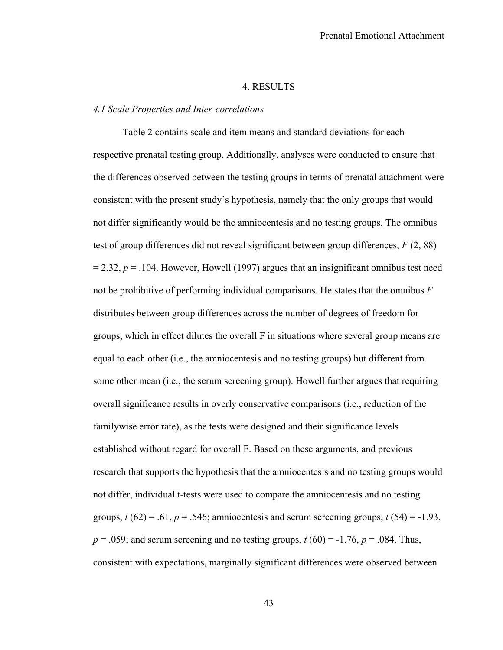## 4. RESULTS

## *4.1 Scale Properties and Inter-correlations*

Table 2 contains scale and item means and standard deviations for each respective prenatal testing group. Additionally, analyses were conducted to ensure that the differences observed between the testing groups in terms of prenatal attachment were consistent with the present study's hypothesis, namely that the only groups that would not differ significantly would be the amniocentesis and no testing groups. The omnibus test of group differences did not reveal significant between group differences, *F* (2, 88)  $= 2.32$ ,  $p = .104$ . However, Howell (1997) argues that an insignificant omnibus test need not be prohibitive of performing individual comparisons. He states that the omnibus *F* distributes between group differences across the number of degrees of freedom for groups, which in effect dilutes the overall F in situations where several group means are equal to each other (i.e., the amniocentesis and no testing groups) but different from some other mean (i.e., the serum screening group). Howell further argues that requiring overall significance results in overly conservative comparisons (i.e., reduction of the familywise error rate), as the tests were designed and their significance levels established without regard for overall F. Based on these arguments, and previous research that supports the hypothesis that the amniocentesis and no testing groups would not differ, individual t-tests were used to compare the amniocentesis and no testing groups,  $t(62) = .61$ ,  $p = .546$ ; amniocentesis and serum screening groups,  $t(54) = -1.93$ ,  $p = .059$ ; and serum screening and no testing groups,  $t(60) = -1.76$ ,  $p = .084$ . Thus, consistent with expectations, marginally significant differences were observed between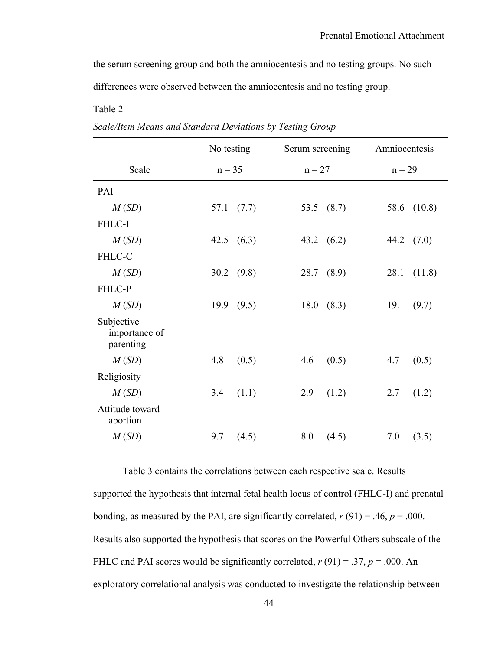the serum screening group and both the amniocentesis and no testing groups. No such differences were observed between the amniocentesis and no testing group.

# Table 2

|                                          | No testing    | Serum screening | Amniocentesis  |  |
|------------------------------------------|---------------|-----------------|----------------|--|
| Scale                                    | $n = 35$      | $n = 27$        | $n = 29$       |  |
| PAI                                      |               |                 |                |  |
| M(SD)                                    | 57.1<br>(7.7) | 53.5<br>(8.7)   | (10.8)<br>58.6 |  |
| FHLC-I                                   |               |                 |                |  |
| M(SD)                                    | 42.5<br>(6.3) | 43.2<br>(6.2)   | 44.2<br>(7.0)  |  |
| FHLC-C                                   |               |                 |                |  |
| M(SD)                                    | 30.2 $(9.8)$  | 28.7<br>(8.9)   | 28.1<br>(11.8) |  |
| FHLC-P                                   |               |                 |                |  |
| M(SD)                                    | 19.9 (9.5)    | 18.0<br>(8.3)   | 19.1<br>(9.7)  |  |
| Subjective<br>importance of<br>parenting |               |                 |                |  |
| M(SD)                                    | 4.8<br>(0.5)  | 4.6<br>(0.5)    | 4.7<br>(0.5)   |  |
| Religiosity                              |               |                 |                |  |
| M(SD)                                    | 3.4<br>(1.1)  | 2.9<br>(1.2)    | 2.7<br>(1.2)   |  |
| Attitude toward<br>abortion              |               |                 |                |  |
| M(SD)                                    | 9.7<br>(4.5)  | 8.0<br>(4.5)    | 7.0<br>(3.5)   |  |

| Scale/Item Means and Standard Deviations by Testing Group |
|-----------------------------------------------------------|
|-----------------------------------------------------------|

 Table 3 contains the correlations between each respective scale. Results supported the hypothesis that internal fetal health locus of control (FHLC-I) and prenatal bonding, as measured by the PAI, are significantly correlated,  $r(91) = .46$ ,  $p = .000$ . Results also supported the hypothesis that scores on the Powerful Others subscale of the FHLC and PAI scores would be significantly correlated,  $r(91) = .37$ ,  $p = .000$ . An exploratory correlational analysis was conducted to investigate the relationship between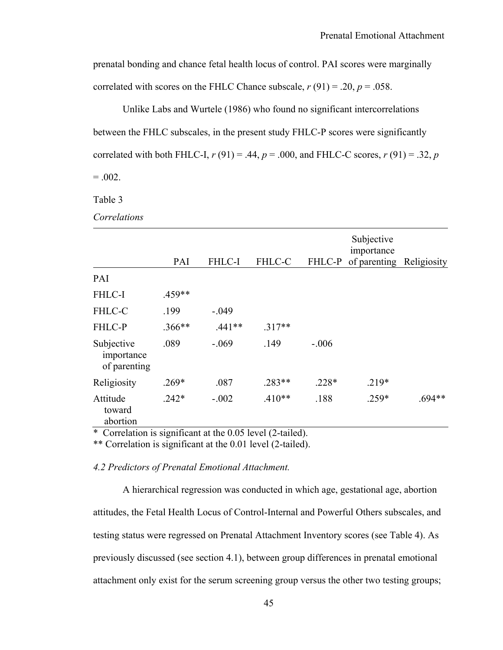prenatal bonding and chance fetal health locus of control. PAI scores were marginally correlated with scores on the FHLC Chance subscale,  $r(91) = .20$ ,  $p = .058$ .

Unlike Labs and Wurtele (1986) who found no significant intercorrelations between the FHLC subscales, in the present study FHLC-P scores were significantly correlated with both FHLC-I,  $r(91) = .44$ ,  $p = .000$ , and FHLC-C scores,  $r(91) = .32$ ,  $p$  $= .002.$ 

Table 3

*Correlations* 

|                                          | PAI                       | <b>FHLC-I</b>                                  | FHLC-C   | FHLC-P  | Subjective<br>importance<br>of parenting Religiosity |          |
|------------------------------------------|---------------------------|------------------------------------------------|----------|---------|------------------------------------------------------|----------|
| PAI                                      |                           |                                                |          |         |                                                      |          |
| FHLC-I                                   | .459**                    |                                                |          |         |                                                      |          |
| FHLC-C                                   | .199                      | $-.049$                                        |          |         |                                                      |          |
| FHLC-P                                   | $.366**$                  | $.441**$                                       | $.317**$ |         |                                                      |          |
| Subjective<br>importance<br>of parenting | .089                      | $-.069$                                        | .149     | $-.006$ |                                                      |          |
| Religiosity                              | $.269*$                   | .087                                           | $.283**$ | $.228*$ | $.219*$                                              |          |
| Attitude<br>toward<br>abortion           | $.242*$<br>$\cdot$ $\sim$ | $-.002$<br>$1/2$ $1/3$ $0/2$ $1/2$ $1/3$ $1/1$ | $.410**$ | .188    | .259*                                                | $.694**$ |

\* Correlation is significant at the 0.05 level (2-tailed).

\*\* Correlation is significant at the 0.01 level (2-tailed).

*4.2 Predictors of Prenatal Emotional Attachment.*

A hierarchical regression was conducted in which age, gestational age, abortion attitudes, the Fetal Health Locus of Control-Internal and Powerful Others subscales, and testing status were regressed on Prenatal Attachment Inventory scores (see Table 4). As previously discussed (see section 4.1), between group differences in prenatal emotional attachment only exist for the serum screening group versus the other two testing groups;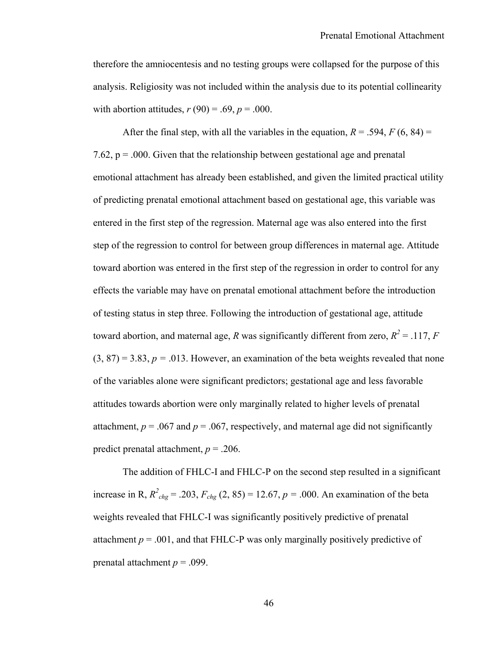therefore the amniocentesis and no testing groups were collapsed for the purpose of this analysis. Religiosity was not included within the analysis due to its potential collinearity with abortion attitudes,  $r(90) = .69$ ,  $p = .000$ .

After the final step, with all the variables in the equation,  $R = .594$ ,  $F(6, 84) =$ 7.62,  $p = 0.000$ . Given that the relationship between gestational age and prenatal emotional attachment has already been established, and given the limited practical utility of predicting prenatal emotional attachment based on gestational age, this variable was entered in the first step of the regression. Maternal age was also entered into the first step of the regression to control for between group differences in maternal age. Attitude toward abortion was entered in the first step of the regression in order to control for any effects the variable may have on prenatal emotional attachment before the introduction of testing status in step three. Following the introduction of gestational age, attitude toward abortion, and maternal age, *R* was significantly different from zero,  $R^2 = .117$ , *F*  $(3, 87) = 3.83$ ,  $p = .013$ . However, an examination of the beta weights revealed that none of the variables alone were significant predictors; gestational age and less favorable attitudes towards abortion were only marginally related to higher levels of prenatal attachment,  $p = .067$  and  $p = .067$ , respectively, and maternal age did not significantly predict prenatal attachment, *p* = .206.

The addition of FHLC-I and FHLC-P on the second step resulted in a significant increase in R,  $R^2_{chg}$  = .203,  $F_{chg}$  (2, 85) = 12.67,  $p = .000$ . An examination of the beta weights revealed that FHLC-I was significantly positively predictive of prenatal attachment  $p = .001$ , and that FHLC-P was only marginally positively predictive of prenatal attachment  $p = .099$ .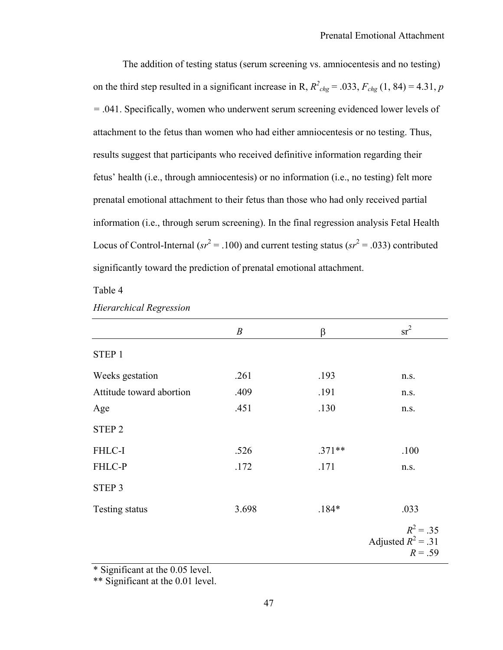The addition of testing status (serum screening vs. amniocentesis and no testing) on the third step resulted in a significant increase in R,  $R^2_{chg} = .033$ ,  $F_{chg}$  (1, 84) = 4.31, *p =* .041. Specifically, women who underwent serum screening evidenced lower levels of attachment to the fetus than women who had either amniocentesis or no testing. Thus, results suggest that participants who received definitive information regarding their fetus' health (i.e., through amniocentesis) or no information (i.e., no testing) felt more prenatal emotional attachment to their fetus than those who had only received partial information (i.e., through serum screening). In the final regression analysis Fetal Health Locus of Control-Internal ( $sr^2 = .100$ ) and current testing status ( $sr^2 = .033$ ) contributed significantly toward the prediction of prenatal emotional attachment.

#### Table 4

|                          | $\boldsymbol{B}$ | β        | $sr^2$                                           |
|--------------------------|------------------|----------|--------------------------------------------------|
| STEP 1                   |                  |          |                                                  |
| Weeks gestation          | .261             | .193     | n.s.                                             |
| Attitude toward abortion | .409             | .191     | n.s.                                             |
| Age                      | .451             | .130     | n.s.                                             |
| STEP <sub>2</sub>        |                  |          |                                                  |
| FHLC-I                   | .526             | $.371**$ | .100                                             |
| FHLC-P                   | .172             | .171     | n.s.                                             |
| STEP 3                   |                  |          |                                                  |
| Testing status           | 3.698            | $.184*$  | .033                                             |
|                          |                  |          | $R^2 = .35$<br>Adjusted $R^2$ = .31<br>$R = .59$ |

*Hierarchical Regression* 

\* Significant at the 0.05 level.

\*\* Significant at the 0.01 level.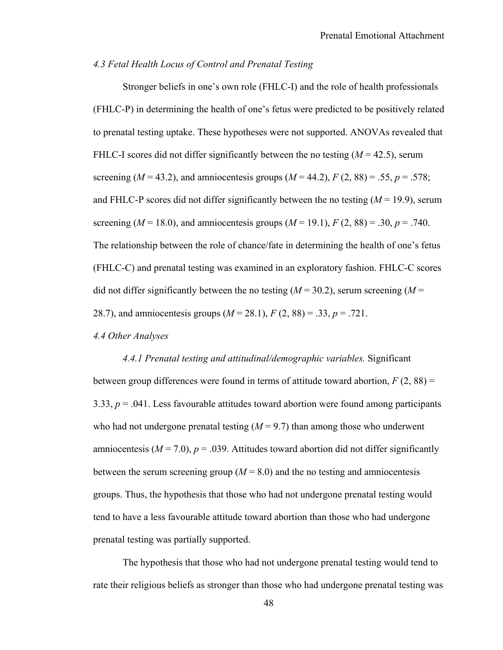# *4.3 Fetal Health Locus of Control and Prenatal Testing*

Stronger beliefs in one's own role (FHLC-I) and the role of health professionals (FHLC-P) in determining the health of one's fetus were predicted to be positively related to prenatal testing uptake. These hypotheses were not supported. ANOVAs revealed that FHLC-I scores did not differ significantly between the no testing  $(M = 42.5)$ , serum screening ( $M = 43.2$ ), and amniocentesis groups ( $M = 44.2$ ),  $F(2, 88) = .55$ ,  $p = .578$ ; and FHLC-P scores did not differ significantly between the no testing  $(M = 19.9)$ , serum screening ( $M = 18.0$ ), and amniocentesis groups ( $M = 19.1$ ),  $F(2, 88) = .30$ ,  $p = .740$ . The relationship between the role of chance/fate in determining the health of one's fetus (FHLC-C) and prenatal testing was examined in an exploratory fashion. FHLC-C scores did not differ significantly between the no testing  $(M = 30.2)$ , serum screening  $(M = 10^{-4}$ 28.7), and amniocentesis groups (*M* = 28.1), *F* (2, 88) = .33, *p* = .721.

*4.4 Other Analyses* 

# *4.4.1 Prenatal testing and attitudinal/demographic variables.* Significant between group differences were found in terms of attitude toward abortion,  $F(2, 88) =$ 3.33, *p* = .041. Less favourable attitudes toward abortion were found among participants who had not undergone prenatal testing  $(M = 9.7)$  than among those who underwent amniocentesis ( $M = 7.0$ ),  $p = .039$ . Attitudes toward abortion did not differ significantly between the serum screening group ( $M = 8.0$ ) and the no testing and amniocentesis groups. Thus, the hypothesis that those who had not undergone prenatal testing would tend to have a less favourable attitude toward abortion than those who had undergone prenatal testing was partially supported.

The hypothesis that those who had not undergone prenatal testing would tend to rate their religious beliefs as stronger than those who had undergone prenatal testing was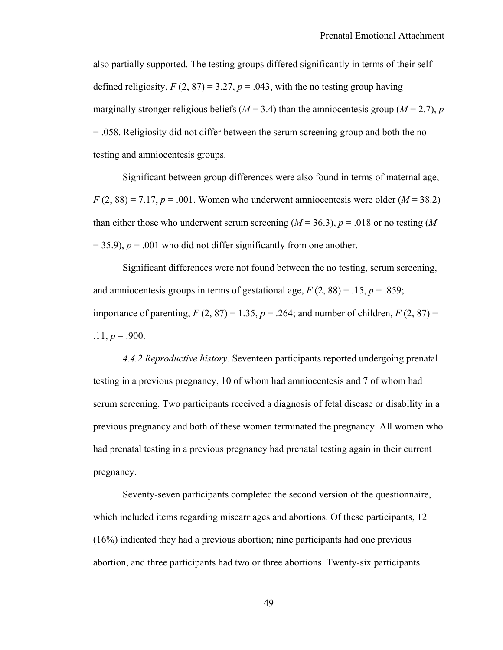also partially supported. The testing groups differed significantly in terms of their selfdefined religiosity,  $F(2, 87) = 3.27$ ,  $p = .043$ , with the no testing group having marginally stronger religious beliefs ( $M = 3.4$ ) than the amniocentesis group ( $M = 2.7$ ), *p* = .058. Religiosity did not differ between the serum screening group and both the no testing and amniocentesis groups.

Significant between group differences were also found in terms of maternal age,  $F(2, 88) = 7.17, p = .001$ . Women who underwent amniocentesis were older  $(M = 38.2)$ than either those who underwent serum screening  $(M = 36.3)$ ,  $p = .018$  or no testing (*M*  $= 35.9$ ),  $p = .001$  who did not differ significantly from one another.

Significant differences were not found between the no testing, serum screening, and amniocentesis groups in terms of gestational age,  $F(2, 88) = .15$ ,  $p = .859$ ; importance of parenting,  $F(2, 87) = 1.35$ ,  $p = .264$ ; and number of children,  $F(2, 87) =$  $.11, p = .900.$ 

*4.4.2 Reproductive history.* Seventeen participants reported undergoing prenatal testing in a previous pregnancy, 10 of whom had amniocentesis and 7 of whom had serum screening. Two participants received a diagnosis of fetal disease or disability in a previous pregnancy and both of these women terminated the pregnancy. All women who had prenatal testing in a previous pregnancy had prenatal testing again in their current pregnancy.

Seventy-seven participants completed the second version of the questionnaire, which included items regarding miscarriages and abortions. Of these participants, 12 (16%) indicated they had a previous abortion; nine participants had one previous abortion, and three participants had two or three abortions. Twenty-six participants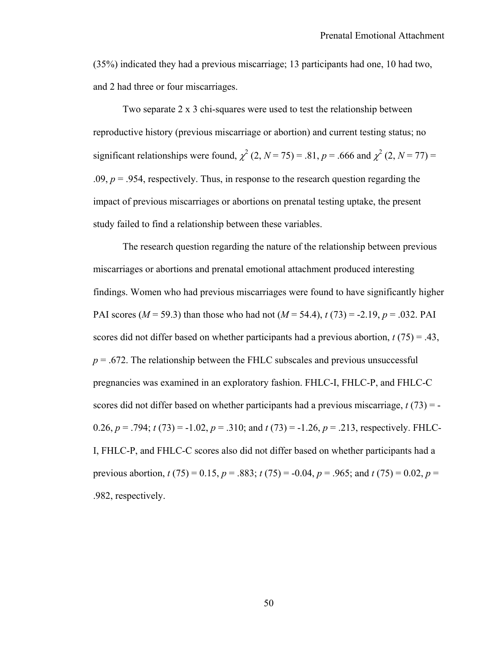(35%) indicated they had a previous miscarriage; 13 participants had one, 10 had two, and 2 had three or four miscarriages.

Two separate 2 x 3 chi-squares were used to test the relationship between reproductive history (previous miscarriage or abortion) and current testing status; no significant relationships were found,  $\chi^2$  (2, *N* = 75) = .81, *p* = .666 and  $\chi^2$  (2, *N* = 77) = .09,  $p = 0.954$ , respectively. Thus, in response to the research question regarding the impact of previous miscarriages or abortions on prenatal testing uptake, the present study failed to find a relationship between these variables.

 The research question regarding the nature of the relationship between previous miscarriages or abortions and prenatal emotional attachment produced interesting findings. Women who had previous miscarriages were found to have significantly higher PAI scores (*M* = 59.3) than those who had not (*M* = 54.4), *t* (73) = -2.19, *p* = .032. PAI scores did not differ based on whether participants had a previous abortion,  $t(75) = .43$ ,  $p = 0.672$ . The relationship between the FHLC subscales and previous unsuccessful pregnancies was examined in an exploratory fashion. FHLC-I, FHLC-P, and FHLC-C scores did not differ based on whether participants had a previous miscarriage, *t* (73) = - 0.26,  $p = .794$ ;  $t(73) = -1.02$ ,  $p = .310$ ; and  $t(73) = -1.26$ ,  $p = .213$ , respectively. FHLC-I, FHLC-P, and FHLC-C scores also did not differ based on whether participants had a previous abortion, *t* (75) = 0.15, *p* = .883; *t* (75) = -0.04, *p* = .965; and *t* (75) = 0.02, *p* = .982, respectively.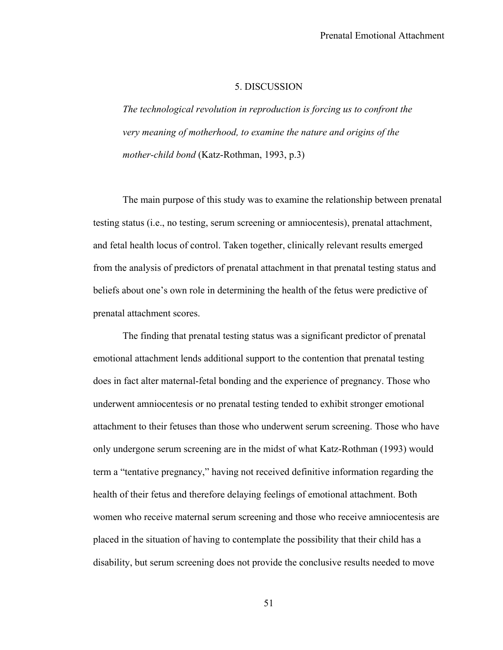#### 5. DISCUSSION

*The technological revolution in reproduction is forcing us to confront the very meaning of motherhood, to examine the nature and origins of the mother-child bond* (Katz-Rothman, 1993, p.3)

The main purpose of this study was to examine the relationship between prenatal testing status (i.e., no testing, serum screening or amniocentesis), prenatal attachment, and fetal health locus of control. Taken together, clinically relevant results emerged from the analysis of predictors of prenatal attachment in that prenatal testing status and beliefs about one's own role in determining the health of the fetus were predictive of prenatal attachment scores.

The finding that prenatal testing status was a significant predictor of prenatal emotional attachment lends additional support to the contention that prenatal testing does in fact alter maternal-fetal bonding and the experience of pregnancy. Those who underwent amniocentesis or no prenatal testing tended to exhibit stronger emotional attachment to their fetuses than those who underwent serum screening. Those who have only undergone serum screening are in the midst of what Katz-Rothman (1993) would term a "tentative pregnancy," having not received definitive information regarding the health of their fetus and therefore delaying feelings of emotional attachment. Both women who receive maternal serum screening and those who receive amniocentesis are placed in the situation of having to contemplate the possibility that their child has a disability, but serum screening does not provide the conclusive results needed to move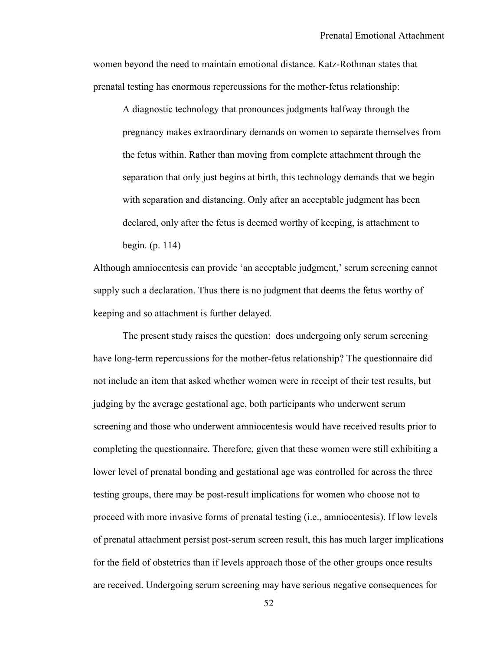women beyond the need to maintain emotional distance. Katz-Rothman states that prenatal testing has enormous repercussions for the mother-fetus relationship:

A diagnostic technology that pronounces judgments halfway through the pregnancy makes extraordinary demands on women to separate themselves from the fetus within. Rather than moving from complete attachment through the separation that only just begins at birth, this technology demands that we begin with separation and distancing. Only after an acceptable judgment has been declared, only after the fetus is deemed worthy of keeping, is attachment to begin. (p. 114)

Although amniocentesis can provide 'an acceptable judgment,' serum screening cannot supply such a declaration. Thus there is no judgment that deems the fetus worthy of keeping and so attachment is further delayed.

The present study raises the question: does undergoing only serum screening have long-term repercussions for the mother-fetus relationship? The questionnaire did not include an item that asked whether women were in receipt of their test results, but judging by the average gestational age, both participants who underwent serum screening and those who underwent amniocentesis would have received results prior to completing the questionnaire. Therefore, given that these women were still exhibiting a lower level of prenatal bonding and gestational age was controlled for across the three testing groups, there may be post-result implications for women who choose not to proceed with more invasive forms of prenatal testing (i.e., amniocentesis). If low levels of prenatal attachment persist post-serum screen result, this has much larger implications for the field of obstetrics than if levels approach those of the other groups once results are received. Undergoing serum screening may have serious negative consequences for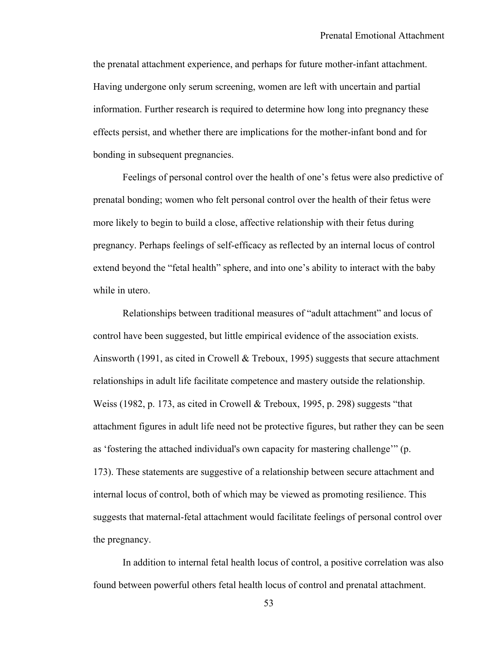the prenatal attachment experience, and perhaps for future mother-infant attachment. Having undergone only serum screening, women are left with uncertain and partial information. Further research is required to determine how long into pregnancy these effects persist, and whether there are implications for the mother-infant bond and for bonding in subsequent pregnancies.

Feelings of personal control over the health of one's fetus were also predictive of prenatal bonding; women who felt personal control over the health of their fetus were more likely to begin to build a close, affective relationship with their fetus during pregnancy. Perhaps feelings of self-efficacy as reflected by an internal locus of control extend beyond the "fetal health" sphere, and into one's ability to interact with the baby while in utero.

Relationships between traditional measures of "adult attachment" and locus of control have been suggested, but little empirical evidence of the association exists. Ainsworth (1991, as cited in Crowell & Treboux, 1995) suggests that secure attachment relationships in adult life facilitate competence and mastery outside the relationship. Weiss (1982, p. 173, as cited in Crowell & Treboux, 1995, p. 298) suggests "that attachment figures in adult life need not be protective figures, but rather they can be seen as 'fostering the attached individual's own capacity for mastering challenge'" (p. 173). These statements are suggestive of a relationship between secure attachment and internal locus of control, both of which may be viewed as promoting resilience. This suggests that maternal-fetal attachment would facilitate feelings of personal control over the pregnancy.

In addition to internal fetal health locus of control, a positive correlation was also found between powerful others fetal health locus of control and prenatal attachment.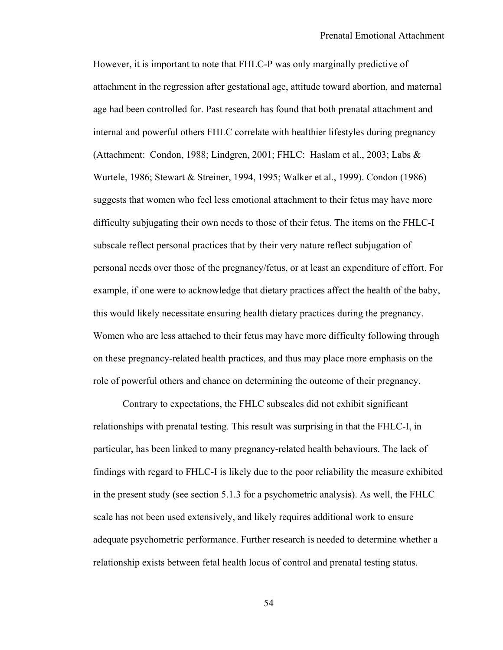However, it is important to note that FHLC-P was only marginally predictive of attachment in the regression after gestational age, attitude toward abortion, and maternal age had been controlled for. Past research has found that both prenatal attachment and internal and powerful others FHLC correlate with healthier lifestyles during pregnancy (Attachment: Condon, 1988; Lindgren, 2001; FHLC: Haslam et al., 2003; Labs & Wurtele, 1986; Stewart & Streiner, 1994, 1995; Walker et al., 1999). Condon (1986) suggests that women who feel less emotional attachment to their fetus may have more difficulty subjugating their own needs to those of their fetus. The items on the FHLC-I subscale reflect personal practices that by their very nature reflect subjugation of personal needs over those of the pregnancy/fetus, or at least an expenditure of effort. For example, if one were to acknowledge that dietary practices affect the health of the baby, this would likely necessitate ensuring health dietary practices during the pregnancy. Women who are less attached to their fetus may have more difficulty following through on these pregnancy-related health practices, and thus may place more emphasis on the role of powerful others and chance on determining the outcome of their pregnancy.

Contrary to expectations, the FHLC subscales did not exhibit significant relationships with prenatal testing. This result was surprising in that the FHLC-I, in particular, has been linked to many pregnancy-related health behaviours. The lack of findings with regard to FHLC-I is likely due to the poor reliability the measure exhibited in the present study (see section 5.1.3 for a psychometric analysis). As well, the FHLC scale has not been used extensively, and likely requires additional work to ensure adequate psychometric performance. Further research is needed to determine whether a relationship exists between fetal health locus of control and prenatal testing status.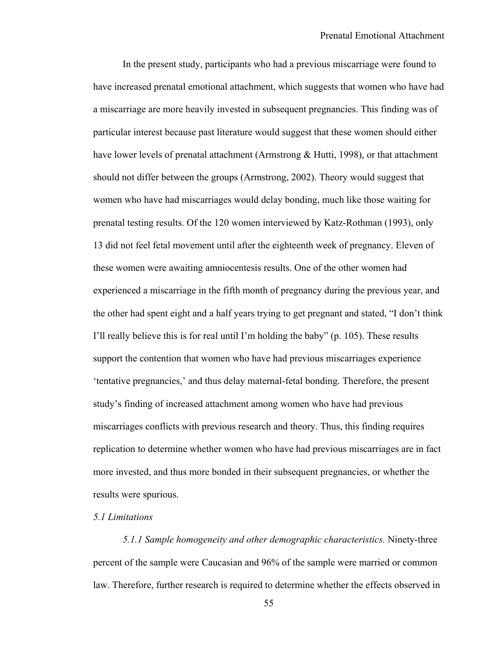In the present study, participants who had a previous miscarriage were found to have increased prenatal emotional attachment, which suggests that women who have had a miscarriage are more heavily invested in subsequent pregnancies. This finding was of particular interest because past literature would suggest that these women should either have lower levels of prenatal attachment (Armstrong & Hutti, 1998), or that attachment should not differ between the groups (Armstrong, 2002). Theory would suggest that women who have had miscarriages would delay bonding, much like those waiting for prenatal testing results. Of the 120 women interviewed by Katz-Rothman (1993), only 13 did not feel fetal movement until after the eighteenth week of pregnancy. Eleven of these women were awaiting amniocentesis results. One of the other women had experienced a miscarriage in the fifth month of pregnancy during the previous year, and the other had spent eight and a half years trying to get pregnant and stated, "I don't think I'll really believe this is for real until I'm holding the baby" (p. 105). These results support the contention that women who have had previous miscarriages experience 'tentative pregnancies,' and thus delay maternal-fetal bonding. Therefore, the present study's finding of increased attachment among women who have had previous miscarriages conflicts with previous research and theory. Thus, this finding requires replication to determine whether women who have had previous miscarriages are in fact more invested, and thus more bonded in their subsequent pregnancies, or whether the results were spurious.

## *5.1 Limitations*

*5.1.1 Sample homogeneity and other demographic characteristics.* Ninety-three percent of the sample were Caucasian and 96% of the sample were married or common law. Therefore, further research is required to determine whether the effects observed in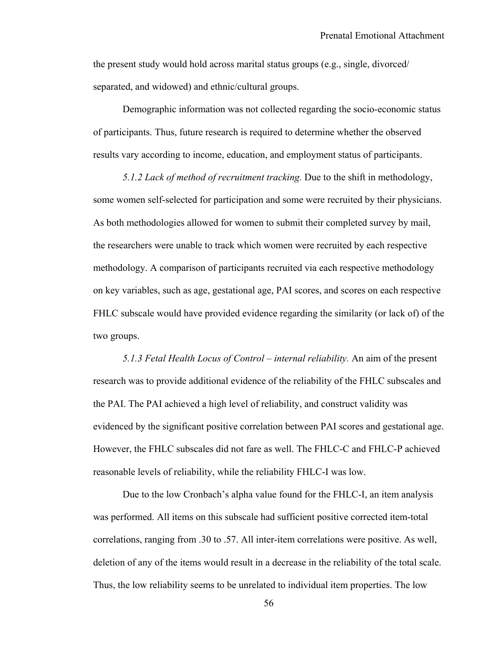the present study would hold across marital status groups (e.g., single, divorced/ separated, and widowed) and ethnic/cultural groups.

Demographic information was not collected regarding the socio-economic status of participants. Thus, future research is required to determine whether the observed results vary according to income, education, and employment status of participants.

*5.1.2 Lack of method of recruitment tracking.* Due to the shift in methodology, some women self-selected for participation and some were recruited by their physicians. As both methodologies allowed for women to submit their completed survey by mail, the researchers were unable to track which women were recruited by each respective methodology. A comparison of participants recruited via each respective methodology on key variables, such as age, gestational age, PAI scores, and scores on each respective FHLC subscale would have provided evidence regarding the similarity (or lack of) of the two groups.

*5.1.3 Fetal Health Locus of Control – internal reliability.* An aim of the present research was to provide additional evidence of the reliability of the FHLC subscales and the PAI. The PAI achieved a high level of reliability, and construct validity was evidenced by the significant positive correlation between PAI scores and gestational age. However, the FHLC subscales did not fare as well. The FHLC-C and FHLC-P achieved reasonable levels of reliability, while the reliability FHLC-I was low.

Due to the low Cronbach's alpha value found for the FHLC-I, an item analysis was performed. All items on this subscale had sufficient positive corrected item-total correlations, ranging from .30 to .57. All inter-item correlations were positive. As well, deletion of any of the items would result in a decrease in the reliability of the total scale. Thus, the low reliability seems to be unrelated to individual item properties. The low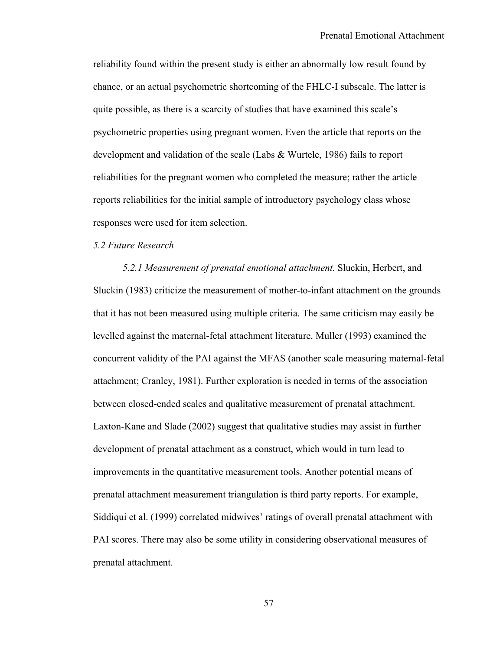reliability found within the present study is either an abnormally low result found by chance, or an actual psychometric shortcoming of the FHLC-I subscale. The latter is quite possible, as there is a scarcity of studies that have examined this scale's psychometric properties using pregnant women. Even the article that reports on the development and validation of the scale (Labs & Wurtele, 1986) fails to report reliabilities for the pregnant women who completed the measure; rather the article reports reliabilities for the initial sample of introductory psychology class whose responses were used for item selection.

# *5.2 Future Research*

*5.2.1 Measurement of prenatal emotional attachment.* Sluckin, Herbert, and Sluckin (1983) criticize the measurement of mother-to-infant attachment on the grounds that it has not been measured using multiple criteria. The same criticism may easily be levelled against the maternal-fetal attachment literature. Muller (1993) examined the concurrent validity of the PAI against the MFAS (another scale measuring maternal-fetal attachment; Cranley, 1981). Further exploration is needed in terms of the association between closed-ended scales and qualitative measurement of prenatal attachment. Laxton-Kane and Slade (2002) suggest that qualitative studies may assist in further development of prenatal attachment as a construct, which would in turn lead to improvements in the quantitative measurement tools. Another potential means of prenatal attachment measurement triangulation is third party reports. For example, Siddiqui et al. (1999) correlated midwives' ratings of overall prenatal attachment with PAI scores. There may also be some utility in considering observational measures of prenatal attachment.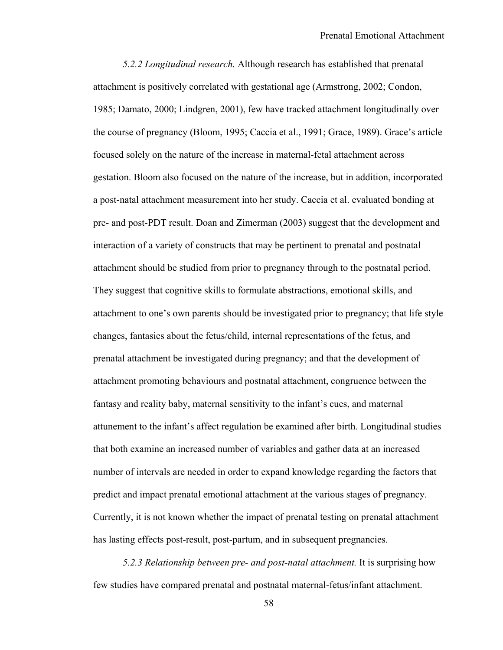*5.2.2 Longitudinal research.* Although research has established that prenatal attachment is positively correlated with gestational age (Armstrong, 2002; Condon, 1985; Damato, 2000; Lindgren, 2001), few have tracked attachment longitudinally over the course of pregnancy (Bloom, 1995; Caccia et al., 1991; Grace, 1989). Grace's article focused solely on the nature of the increase in maternal-fetal attachment across gestation. Bloom also focused on the nature of the increase, but in addition, incorporated a post-natal attachment measurement into her study. Caccia et al. evaluated bonding at pre- and post-PDT result. Doan and Zimerman (2003) suggest that the development and interaction of a variety of constructs that may be pertinent to prenatal and postnatal attachment should be studied from prior to pregnancy through to the postnatal period. They suggest that cognitive skills to formulate abstractions, emotional skills, and attachment to one's own parents should be investigated prior to pregnancy; that life style changes, fantasies about the fetus/child, internal representations of the fetus, and prenatal attachment be investigated during pregnancy; and that the development of attachment promoting behaviours and postnatal attachment, congruence between the fantasy and reality baby, maternal sensitivity to the infant's cues, and maternal attunement to the infant's affect regulation be examined after birth. Longitudinal studies that both examine an increased number of variables and gather data at an increased number of intervals are needed in order to expand knowledge regarding the factors that predict and impact prenatal emotional attachment at the various stages of pregnancy. Currently, it is not known whether the impact of prenatal testing on prenatal attachment has lasting effects post-result, post-partum, and in subsequent pregnancies.

*5.2.3 Relationship between pre- and post-natal attachment.* It is surprising how few studies have compared prenatal and postnatal maternal-fetus/infant attachment.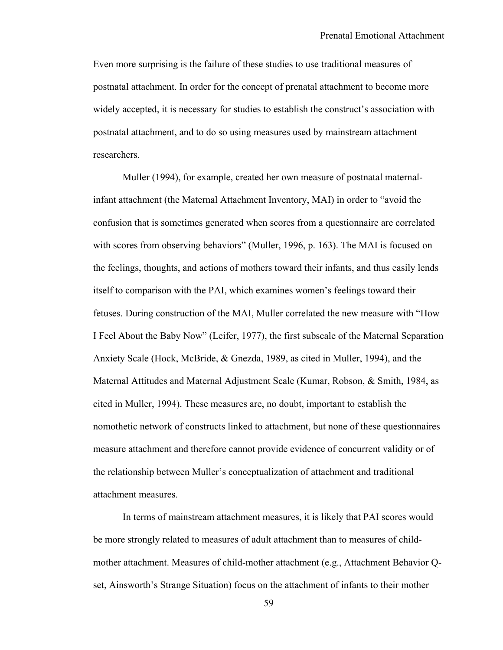Even more surprising is the failure of these studies to use traditional measures of postnatal attachment. In order for the concept of prenatal attachment to become more widely accepted, it is necessary for studies to establish the construct's association with postnatal attachment, and to do so using measures used by mainstream attachment researchers.

Muller (1994), for example, created her own measure of postnatal maternalinfant attachment (the Maternal Attachment Inventory, MAI) in order to "avoid the confusion that is sometimes generated when scores from a questionnaire are correlated with scores from observing behaviors" (Muller, 1996, p. 163). The MAI is focused on the feelings, thoughts, and actions of mothers toward their infants, and thus easily lends itself to comparison with the PAI, which examines women's feelings toward their fetuses. During construction of the MAI, Muller correlated the new measure with "How I Feel About the Baby Now" (Leifer, 1977), the first subscale of the Maternal Separation Anxiety Scale (Hock, McBride, & Gnezda, 1989, as cited in Muller, 1994), and the Maternal Attitudes and Maternal Adjustment Scale (Kumar, Robson, & Smith, 1984, as cited in Muller, 1994). These measures are, no doubt, important to establish the nomothetic network of constructs linked to attachment, but none of these questionnaires measure attachment and therefore cannot provide evidence of concurrent validity or of the relationship between Muller's conceptualization of attachment and traditional attachment measures.

In terms of mainstream attachment measures, it is likely that PAI scores would be more strongly related to measures of adult attachment than to measures of childmother attachment. Measures of child-mother attachment (e.g., Attachment Behavior Qset, Ainsworth's Strange Situation) focus on the attachment of infants to their mother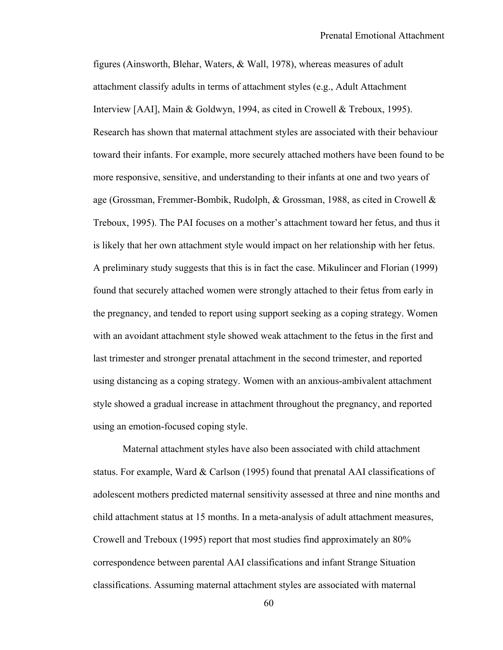figures (Ainsworth, Blehar, Waters, & Wall, 1978), whereas measures of adult attachment classify adults in terms of attachment styles (e.g., Adult Attachment Interview [AAI], Main & Goldwyn, 1994, as cited in Crowell & Treboux, 1995). Research has shown that maternal attachment styles are associated with their behaviour toward their infants. For example, more securely attached mothers have been found to be more responsive, sensitive, and understanding to their infants at one and two years of age (Grossman, Fremmer-Bombik, Rudolph, & Grossman, 1988, as cited in Crowell & Treboux, 1995). The PAI focuses on a mother's attachment toward her fetus, and thus it is likely that her own attachment style would impact on her relationship with her fetus. A preliminary study suggests that this is in fact the case. Mikulincer and Florian (1999) found that securely attached women were strongly attached to their fetus from early in the pregnancy, and tended to report using support seeking as a coping strategy. Women with an avoidant attachment style showed weak attachment to the fetus in the first and last trimester and stronger prenatal attachment in the second trimester, and reported using distancing as a coping strategy. Women with an anxious-ambivalent attachment style showed a gradual increase in attachment throughout the pregnancy, and reported using an emotion-focused coping style.

Maternal attachment styles have also been associated with child attachment status. For example, Ward & Carlson (1995) found that prenatal AAI classifications of adolescent mothers predicted maternal sensitivity assessed at three and nine months and child attachment status at 15 months. In a meta-analysis of adult attachment measures, Crowell and Treboux (1995) report that most studies find approximately an 80% correspondence between parental AAI classifications and infant Strange Situation classifications. Assuming maternal attachment styles are associated with maternal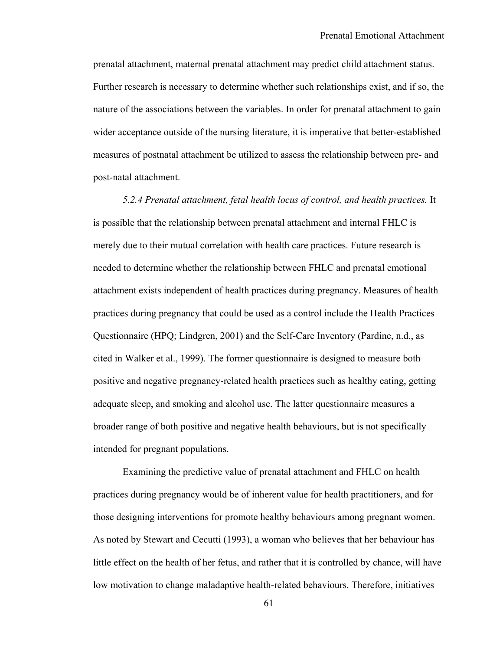prenatal attachment, maternal prenatal attachment may predict child attachment status. Further research is necessary to determine whether such relationships exist, and if so, the nature of the associations between the variables. In order for prenatal attachment to gain wider acceptance outside of the nursing literature, it is imperative that better-established measures of postnatal attachment be utilized to assess the relationship between pre- and post-natal attachment.

*5.2.4 Prenatal attachment, fetal health locus of control, and health practices.* It is possible that the relationship between prenatal attachment and internal FHLC is merely due to their mutual correlation with health care practices. Future research is needed to determine whether the relationship between FHLC and prenatal emotional attachment exists independent of health practices during pregnancy. Measures of health practices during pregnancy that could be used as a control include the Health Practices Questionnaire (HPQ; Lindgren, 2001) and the Self-Care Inventory (Pardine, n.d., as cited in Walker et al., 1999). The former questionnaire is designed to measure both positive and negative pregnancy-related health practices such as healthy eating, getting adequate sleep, and smoking and alcohol use. The latter questionnaire measures a broader range of both positive and negative health behaviours, but is not specifically intended for pregnant populations.

Examining the predictive value of prenatal attachment and FHLC on health practices during pregnancy would be of inherent value for health practitioners, and for those designing interventions for promote healthy behaviours among pregnant women. As noted by Stewart and Cecutti (1993), a woman who believes that her behaviour has little effect on the health of her fetus, and rather that it is controlled by chance, will have low motivation to change maladaptive health-related behaviours. Therefore, initiatives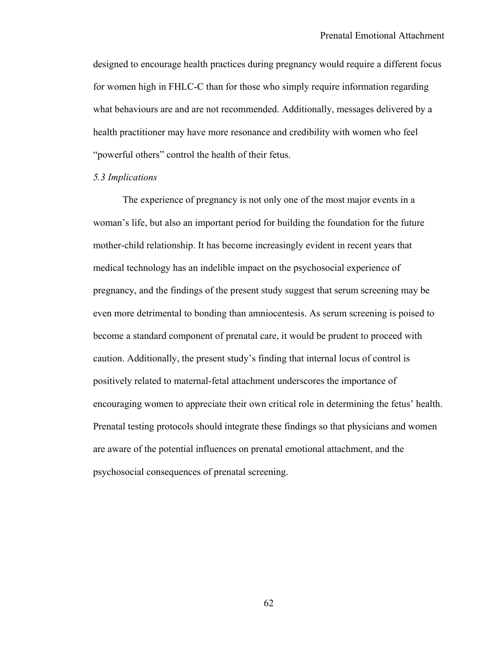designed to encourage health practices during pregnancy would require a different focus for women high in FHLC-C than for those who simply require information regarding what behaviours are and are not recommended. Additionally, messages delivered by a health practitioner may have more resonance and credibility with women who feel "powerful others" control the health of their fetus.

#### *5.3 Implications*

The experience of pregnancy is not only one of the most major events in a woman's life, but also an important period for building the foundation for the future mother-child relationship. It has become increasingly evident in recent years that medical technology has an indelible impact on the psychosocial experience of pregnancy, and the findings of the present study suggest that serum screening may be even more detrimental to bonding than amniocentesis. As serum screening is poised to become a standard component of prenatal care, it would be prudent to proceed with caution. Additionally, the present study's finding that internal locus of control is positively related to maternal-fetal attachment underscores the importance of encouraging women to appreciate their own critical role in determining the fetus' health. Prenatal testing protocols should integrate these findings so that physicians and women are aware of the potential influences on prenatal emotional attachment, and the psychosocial consequences of prenatal screening.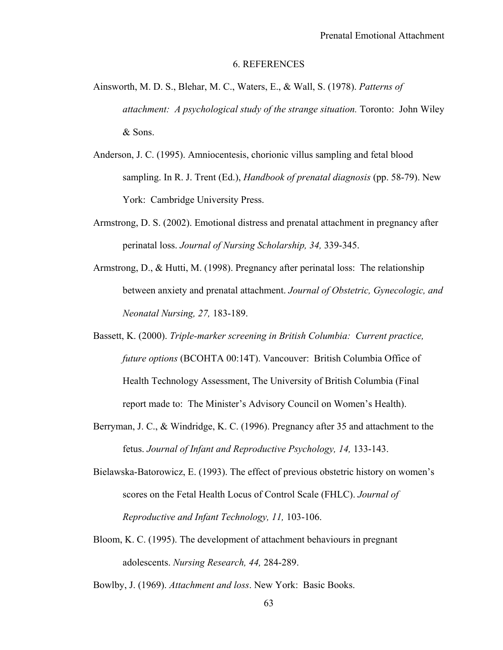#### 6. REFERENCES

- Ainsworth, M. D. S., Blehar, M. C., Waters, E., & Wall, S. (1978). *Patterns of attachment: A psychological study of the strange situation.* Toronto: John Wiley & Sons.
- Anderson, J. C. (1995). Amniocentesis, chorionic villus sampling and fetal blood sampling. In R. J. Trent (Ed.), *Handbook of prenatal diagnosis* (pp. 58-79). New York: Cambridge University Press.
- Armstrong, D. S. (2002). Emotional distress and prenatal attachment in pregnancy after perinatal loss. *Journal of Nursing Scholarship, 34,* 339-345.
- Armstrong, D., & Hutti, M. (1998). Pregnancy after perinatal loss: The relationship between anxiety and prenatal attachment. *Journal of Obstetric, Gynecologic, and Neonatal Nursing, 27,* 183-189.
- Bassett, K. (2000). *Triple-marker screening in British Columbia: Current practice, future options* (BCOHTA 00:14T). Vancouver: British Columbia Office of Health Technology Assessment, The University of British Columbia (Final report made to: The Minister's Advisory Council on Women's Health).
- Berryman, J. C., & Windridge, K. C. (1996). Pregnancy after 35 and attachment to the fetus. *Journal of Infant and Reproductive Psychology, 14,* 133-143.
- Bielawska-Batorowicz, E. (1993). The effect of previous obstetric history on women's scores on the Fetal Health Locus of Control Scale (FHLC). *Journal of Reproductive and Infant Technology, 11,* 103-106.
- Bloom, K. C. (1995). The development of attachment behaviours in pregnant adolescents. *Nursing Research, 44,* 284-289.
- Bowlby, J. (1969). *Attachment and loss*. New York: Basic Books.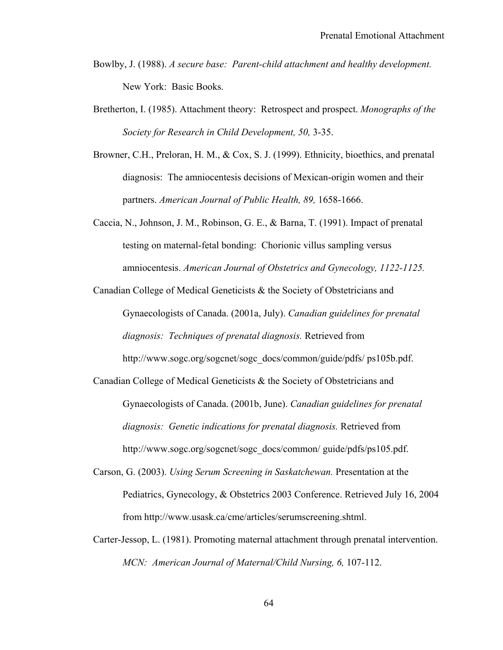- Bowlby, J. (1988). *A secure base: Parent-child attachment and healthy development.*  New York: Basic Books.
- Bretherton, I. (1985). Attachment theory: Retrospect and prospect. *Monographs of the Society for Research in Child Development, 50,* 3-35.
- Browner, C.H., Preloran, H. M., & Cox, S. J. (1999). Ethnicity, bioethics, and prenatal diagnosis: The amniocentesis decisions of Mexican-origin women and their partners. *American Journal of Public Health, 89,* 1658-1666.
- Caccia, N., Johnson, J. M., Robinson, G. E., & Barna, T. (1991). Impact of prenatal testing on maternal-fetal bonding: Chorionic villus sampling versus amniocentesis. *American Journal of Obstetrics and Gynecology, 1122-1125.*

Canadian College of Medical Geneticists & the Society of Obstetricians and Gynaecologists of Canada. (2001a, July). *Canadian guidelines for prenatal diagnosis: Techniques of prenatal diagnosis.* Retrieved from http://www.sogc.org/sogcnet/sogc\_docs/common/guide/pdfs/ ps105b.pdf.

- Canadian College of Medical Geneticists & the Society of Obstetricians and Gynaecologists of Canada. (2001b, June). *Canadian guidelines for prenatal diagnosis: Genetic indications for prenatal diagnosis.* Retrieved from http://www.sogc.org/sogcnet/sogc\_docs/common/ guide/pdfs/ps105.pdf.
- Carson, G. (2003). *Using Serum Screening in Saskatchewan.* Presentation at the Pediatrics, Gynecology, & Obstetrics 2003 Conference. Retrieved July 16, 2004 from http://www.usask.ca/cme/articles/serumscreening.shtml.
- Carter-Jessop, L. (1981). Promoting maternal attachment through prenatal intervention. *MCN: American Journal of Maternal/Child Nursing, 6,* 107-112.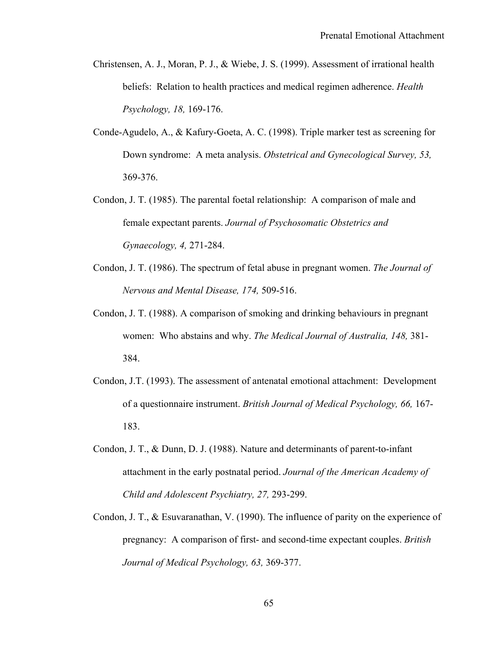- Christensen, A. J., Moran, P. J., & Wiebe, J. S. (1999). Assessment of irrational health beliefs: Relation to health practices and medical regimen adherence. *Health Psychology, 18,* 169-176.
- Conde-Agudelo, A., & Kafury-Goeta, A. C. (1998). Triple marker test as screening for Down syndrome: A meta analysis. *Obstetrical and Gynecological Survey, 53,*  369-376.
- Condon, J. T. (1985). The parental foetal relationship: A comparison of male and female expectant parents. *Journal of Psychosomatic Obstetrics and Gynaecology, 4,* 271-284.
- Condon, J. T. (1986). The spectrum of fetal abuse in pregnant women. *The Journal of Nervous and Mental Disease, 174,* 509-516.
- Condon, J. T. (1988). A comparison of smoking and drinking behaviours in pregnant women: Who abstains and why. *The Medical Journal of Australia, 148,* 381- 384.
- Condon, J.T. (1993). The assessment of antenatal emotional attachment: Development of a questionnaire instrument. *British Journal of Medical Psychology, 66,* 167- 183.
- Condon, J. T., & Dunn, D. J. (1988). Nature and determinants of parent-to-infant attachment in the early postnatal period. *Journal of the American Academy of Child and Adolescent Psychiatry, 27,* 293-299.
- Condon, J. T., & Esuvaranathan, V. (1990). The influence of parity on the experience of pregnancy: A comparison of first- and second-time expectant couples. *British Journal of Medical Psychology, 63,* 369-377.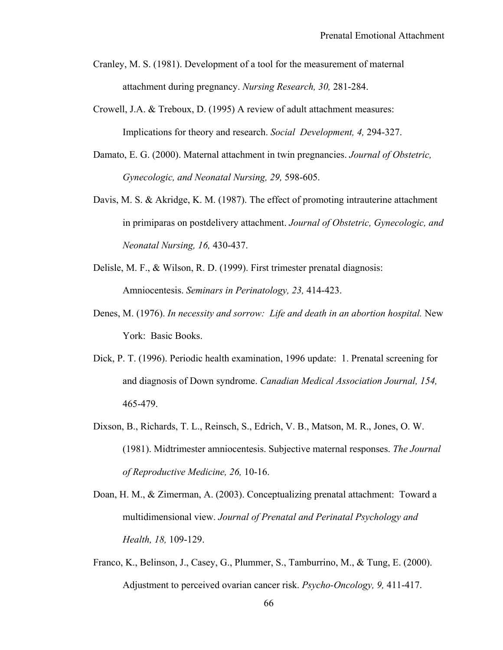- Cranley, M. S. (1981). Development of a tool for the measurement of maternal attachment during pregnancy. *Nursing Research, 30,* 281-284.
- Crowell, J.A. & Treboux, D. (1995) A review of adult attachment measures: Implications for theory and research. *Social Development, 4,* 294-327.
- Damato, E. G. (2000). Maternal attachment in twin pregnancies. *Journal of Obstetric, Gynecologic, and Neonatal Nursing, 29,* 598-605.
- Davis, M. S. & Akridge, K. M. (1987). The effect of promoting intrauterine attachment in primiparas on postdelivery attachment. *Journal of Obstetric, Gynecologic, and Neonatal Nursing, 16,* 430-437.
- Delisle, M. F., & Wilson, R. D. (1999). First trimester prenatal diagnosis: Amniocentesis. *Seminars in Perinatology, 23,* 414-423.
- Denes, M. (1976). *In necessity and sorrow: Life and death in an abortion hospital.* New York: Basic Books.
- Dick, P. T. (1996). Periodic health examination, 1996 update: 1. Prenatal screening for and diagnosis of Down syndrome. *Canadian Medical Association Journal, 154,* 465-479.
- Dixson, B., Richards, T. L., Reinsch, S., Edrich, V. B., Matson, M. R., Jones, O. W. (1981). Midtrimester amniocentesis. Subjective maternal responses. *The Journal of Reproductive Medicine, 26,* 10-16.
- Doan, H. M., & Zimerman, A. (2003). Conceptualizing prenatal attachment: Toward a multidimensional view. *Journal of Prenatal and Perinatal Psychology and Health, 18,* 109-129.
- Franco, K., Belinson, J., Casey, G., Plummer, S., Tamburrino, M., & Tung, E. (2000). Adjustment to perceived ovarian cancer risk. *Psycho-Oncology, 9,* 411-417.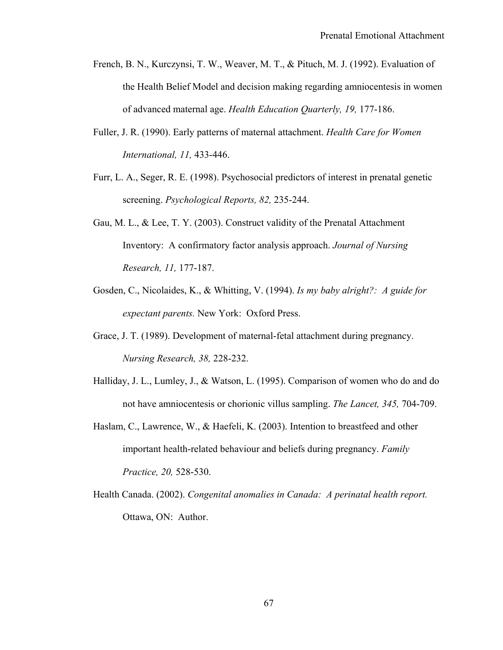- French, B. N., Kurczynsi, T. W., Weaver, M. T., & Pituch, M. J. (1992). Evaluation of the Health Belief Model and decision making regarding amniocentesis in women of advanced maternal age. *Health Education Quarterly, 19,* 177-186.
- Fuller, J. R. (1990). Early patterns of maternal attachment. *Health Care for Women International, 11,* 433-446.
- Furr, L. A., Seger, R. E. (1998). Psychosocial predictors of interest in prenatal genetic screening. *Psychological Reports, 82,* 235-244.
- Gau, M. L., & Lee, T. Y. (2003). Construct validity of the Prenatal Attachment Inventory: A confirmatory factor analysis approach. *Journal of Nursing Research, 11,* 177-187.
- Gosden, C., Nicolaides, K., & Whitting, V. (1994). *Is my baby alright?: A guide for expectant parents.* New York: Oxford Press.
- Grace, J. T. (1989). Development of maternal-fetal attachment during pregnancy. *Nursing Research, 38,* 228-232.
- Halliday, J. L., Lumley, J., & Watson, L. (1995). Comparison of women who do and do not have amniocentesis or chorionic villus sampling. *The Lancet, 345,* 704-709.
- Haslam, C., Lawrence, W., & Haefeli, K. (2003). Intention to breastfeed and other important health-related behaviour and beliefs during pregnancy. *Family Practice, 20,* 528-530.
- Health Canada. (2002). *Congenital anomalies in Canada: A perinatal health report.* Ottawa, ON: Author.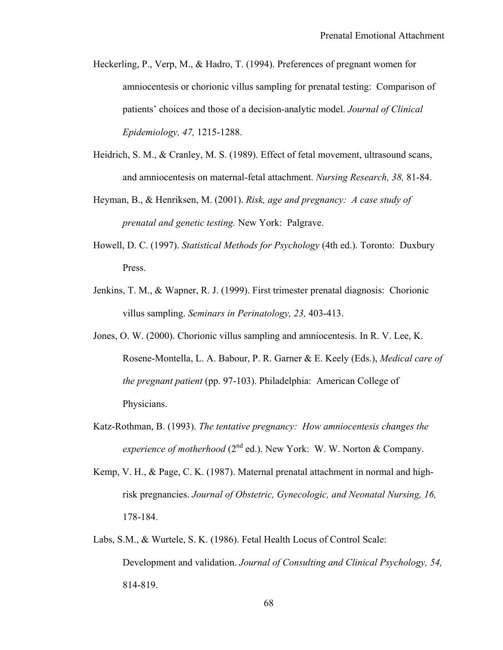- Heckerling, P., Verp, M., & Hadro, T. (1994). Preferences of pregnant women for amniocentesis or chorionic villus sampling for prenatal testing: Comparison of patients' choices and those of a decision-analytic model. *Journal of Clinical Epidemiology, 47,* 1215-1288.
- Heidrich, S. M., & Cranley, M. S. (1989). Effect of fetal movement, ultrasound scans, and amniocentesis on maternal-fetal attachment. *Nursing Research, 38,* 81-84.
- Heyman, B., & Henriksen, M. (2001). *Risk, age and pregnancy: A case study of prenatal and genetic testing.* New York: Palgrave.
- Howell, D. C. (1997). *Statistical Methods for Psychology* (4th ed.). Toronto: Duxbury Press.
- Jenkins, T. M., & Wapner, R. J. (1999). First trimester prenatal diagnosis: Chorionic villus sampling. *Seminars in Perinatology, 23,* 403-413.
- Jones, O. W. (2000). Chorionic villus sampling and amniocentesis. In R. V. Lee, K. Rosene-Montella, L. A. Babour, P. R. Garner & E. Keely (Eds.), *Medical care of the pregnant patient* (pp. 97-103). Philadelphia: American College of Physicians.
- Katz-Rothman, B. (1993). *The tentative pregnancy: How amniocentesis changes the experience of motherhood* ( $2^{nd}$  ed.). New York: W. W. Norton & Company.
- Kemp, V. H., & Page, C. K. (1987). Maternal prenatal attachment in normal and highrisk pregnancies. *Journal of Obstetric, Gynecologic, and Neonatal Nursing, 16,* 178-184.
- Labs, S.M., & Wurtele, S. K. (1986). Fetal Health Locus of Control Scale: Development and validation. *Journal of Consulting and Clinical Psychology, 54,* 814-819.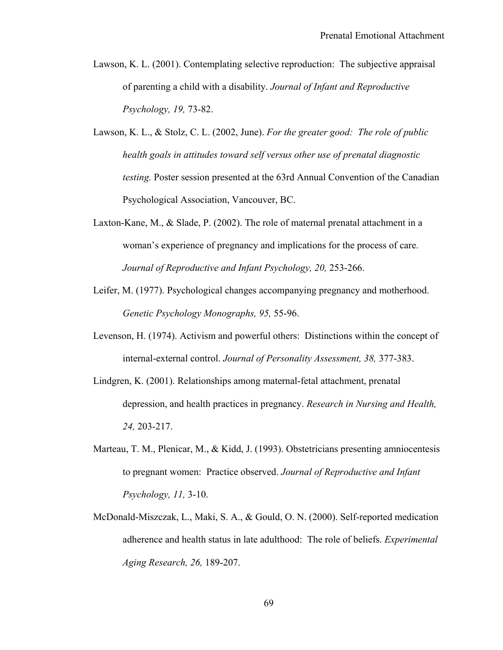- Lawson, K. L. (2001). Contemplating selective reproduction: The subjective appraisal of parenting a child with a disability. *Journal of Infant and Reproductive Psychology, 19,* 73-82.
- Lawson, K. L., & Stolz, C. L. (2002, June). *For the greater good: The role of public health goals in attitudes toward self versus other use of prenatal diagnostic testing.* Poster session presented at the 63rd Annual Convention of the Canadian Psychological Association, Vancouver, BC.
- Laxton-Kane, M., & Slade, P. (2002). The role of maternal prenatal attachment in a woman's experience of pregnancy and implications for the process of care. *Journal of Reproductive and Infant Psychology, 20,* 253-266.
- Leifer, M. (1977). Psychological changes accompanying pregnancy and motherhood. *Genetic Psychology Monographs, 95,* 55-96.
- Levenson, H. (1974). Activism and powerful others: Distinctions within the concept of internal-external control. *Journal of Personality Assessment, 38,* 377-383.
- Lindgren, K. (2001). Relationships among maternal-fetal attachment, prenatal depression, and health practices in pregnancy. *Research in Nursing and Health, 24,* 203-217.
- Marteau, T. M., Plenicar, M., & Kidd, J. (1993). Obstetricians presenting amniocentesis to pregnant women: Practice observed. *Journal of Reproductive and Infant Psychology, 11,* 3-10.
- McDonald-Miszczak, L., Maki, S. A., & Gould, O. N. (2000). Self-reported medication adherence and health status in late adulthood: The role of beliefs. *Experimental Aging Research, 26,* 189-207.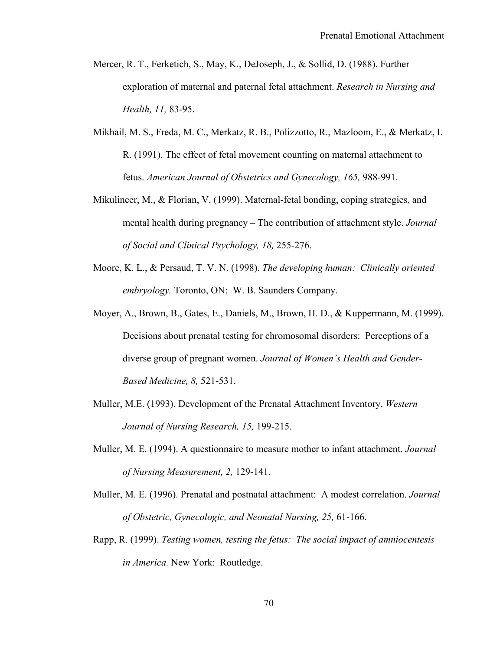- Mercer, R. T., Ferketich, S., May, K., DeJoseph, J., & Sollid, D. (1988). Further exploration of maternal and paternal fetal attachment. *Research in Nursing and Health, 11,* 83-95.
- Mikhail, M. S., Freda, M. C., Merkatz, R. B., Polizzotto, R., Mazloom, E., & Merkatz, I. R. (1991). The effect of fetal movement counting on maternal attachment to fetus. *American Journal of Obstetrics and Gynecology, 165,* 988-991.
- Mikulincer, M., & Florian, V. (1999). Maternal-fetal bonding, coping strategies, and mental health during pregnancy – The contribution of attachment style. *Journal of Social and Clinical Psychology, 18,* 255-276.
- Moore, K. L., & Persaud, T. V. N. (1998). *The developing human: Clinically oriented embryology.* Toronto, ON: W. B. Saunders Company.
- Moyer, A., Brown, B., Gates, E., Daniels, M., Brown, H. D., & Kuppermann, M. (1999). Decisions about prenatal testing for chromosomal disorders: Perceptions of a diverse group of pregnant women. *Journal of Women's Health and Gender-Based Medicine, 8,* 521-531.
- Muller, M.E. (1993). Development of the Prenatal Attachment Inventory. *Western Journal of Nursing Research, 15,* 199-215.
- Muller, M. E. (1994). A questionnaire to measure mother to infant attachment. *Journal of Nursing Measurement, 2,* 129-141.
- Muller, M. E. (1996). Prenatal and postnatal attachment: A modest correlation. *Journal of Obstetric, Gynecologic, and Neonatal Nursing, 25,* 61-166.
- Rapp, R. (1999). *Testing women, testing the fetus: The social impact of amniocentesis in America.* New York: Routledge.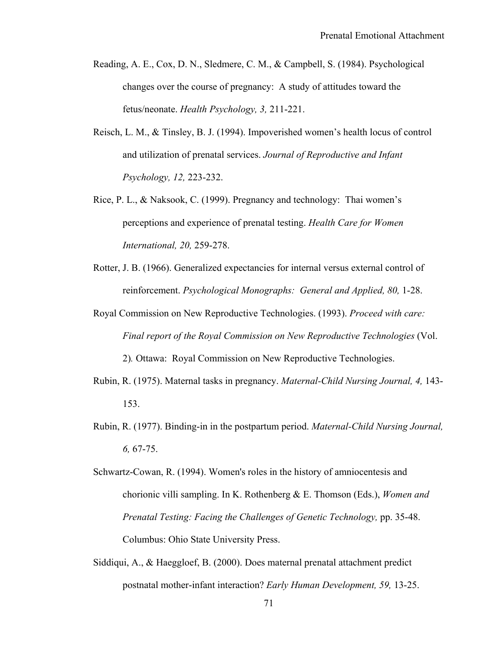- Reading, A. E., Cox, D. N., Sledmere, C. M., & Campbell, S. (1984). Psychological changes over the course of pregnancy: A study of attitudes toward the fetus/neonate. *Health Psychology, 3,* 211-221.
- Reisch, L. M., & Tinsley, B. J. (1994). Impoverished women's health locus of control and utilization of prenatal services. *Journal of Reproductive and Infant Psychology, 12,* 223-232.
- Rice, P. L., & Naksook, C. (1999). Pregnancy and technology: Thai women's perceptions and experience of prenatal testing. *Health Care for Women International, 20,* 259-278.
- Rotter, J. B. (1966). Generalized expectancies for internal versus external control of reinforcement. *Psychological Monographs: General and Applied, 80,* 1-28.
- Royal Commission on New Reproductive Technologies. (1993). *Proceed with care: Final report of the Royal Commission on New Reproductive Technologies* (Vol. 2)*.* Ottawa: Royal Commission on New Reproductive Technologies.
- Rubin, R. (1975). Maternal tasks in pregnancy. *Maternal-Child Nursing Journal, 4,* 143- 153.
- Rubin, R. (1977). Binding-in in the postpartum period. *Maternal-Child Nursing Journal, 6,* 67-75.
- Schwartz-Cowan, R. (1994). Women's roles in the history of amniocentesis and chorionic villi sampling. In K. Rothenberg & E. Thomson (Eds.), *Women and Prenatal Testing: Facing the Challenges of Genetic Technology,* pp. 35-48. Columbus: Ohio State University Press.
- Siddiqui, A., & Haeggloef, B. (2000). Does maternal prenatal attachment predict postnatal mother-infant interaction? *Early Human Development, 59,* 13-25.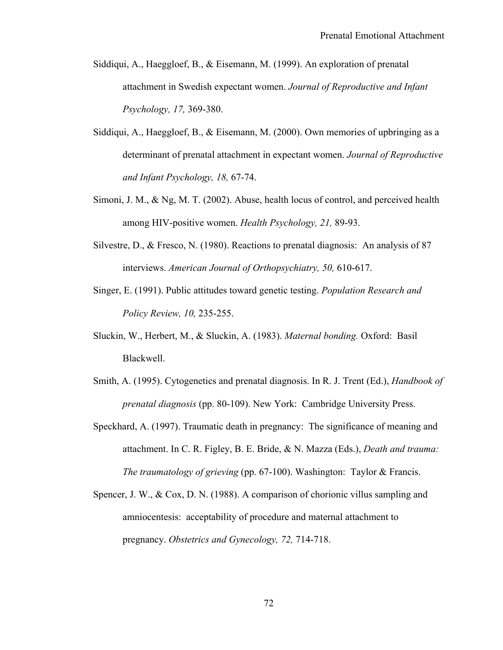- Siddiqui, A., Haeggloef, B., & Eisemann, M. (1999). An exploration of prenatal attachment in Swedish expectant women. *Journal of Reproductive and Infant Psychology, 17,* 369-380.
- Siddiqui, A., Haeggloef, B., & Eisemann, M. (2000). Own memories of upbringing as a determinant of prenatal attachment in expectant women. *Journal of Reproductive and Infant Psychology, 18,* 67-74.
- Simoni, J. M., & Ng, M. T. (2002). Abuse, health locus of control, and perceived health among HIV-positive women. *Health Psychology, 21,* 89-93.
- Silvestre, D., & Fresco, N. (1980). Reactions to prenatal diagnosis: An analysis of 87 interviews. *American Journal of Orthopsychiatry, 50,* 610-617.
- Singer, E. (1991). Public attitudes toward genetic testing. *Population Research and Policy Review, 10,* 235-255.
- Sluckin, W., Herbert, M., & Sluckin, A. (1983). *Maternal bonding.* Oxford: Basil Blackwell.
- Smith, A. (1995). Cytogenetics and prenatal diagnosis. In R. J. Trent (Ed.), *Handbook of prenatal diagnosis* (pp. 80-109). New York: Cambridge University Press.
- Speckhard, A. (1997). Traumatic death in pregnancy: The significance of meaning and attachment. In C. R. Figley, B. E. Bride, & N. Mazza (Eds.), *Death and trauma: The traumatology of grieving* (pp. 67-100). Washington: Taylor & Francis.
- Spencer, J. W., & Cox, D. N. (1988). A comparison of chorionic villus sampling and amniocentesis: acceptability of procedure and maternal attachment to pregnancy. *Obstetrics and Gynecology, 72,* 714-718.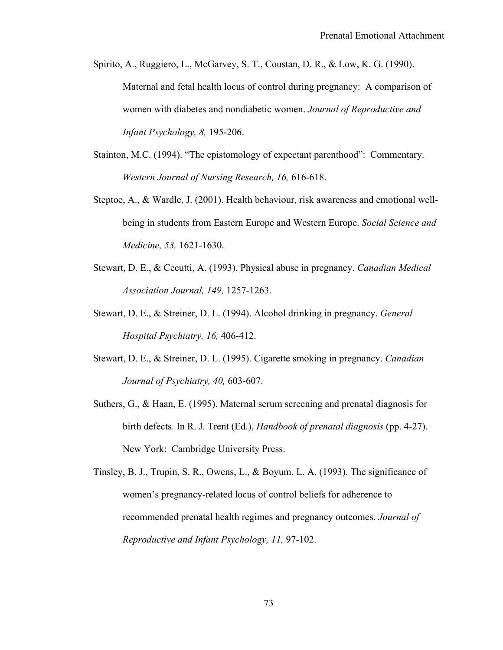Spirito, A., Ruggiero, L., McGarvey, S. T., Coustan, D. R., & Low, K. G. (1990). Maternal and fetal health locus of control during pregnancy: A comparison of women with diabetes and nondiabetic women. *Journal of Reproductive and Infant Psychology, 8,* 195-206.

- Stainton, M.C. (1994). "The epistomology of expectant parenthood": Commentary. *Western Journal of Nursing Research, 16,* 616-618.
- Steptoe, A., & Wardle, J. (2001). Health behaviour, risk awareness and emotional wellbeing in students from Eastern Europe and Western Europe. *Social Science and Medicine, 53,* 1621-1630.
- Stewart, D. E., & Cecutti, A. (1993). Physical abuse in pregnancy. *Canadian Medical Association Journal, 149,* 1257-1263.
- Stewart, D. E., & Streiner, D. L. (1994). Alcohol drinking in pregnancy. *General Hospital Psychiatry, 16,* 406-412.
- Stewart, D. E., & Streiner, D. L. (1995). Cigarette smoking in pregnancy. *Canadian Journal of Psychiatry, 40,* 603-607.
- Suthers, G., & Haan, E. (1995). Maternal serum screening and prenatal diagnosis for birth defects. In R. J. Trent (Ed.), *Handbook of prenatal diagnosis* (pp. 4-27). New York: Cambridge University Press.
- Tinsley, B. J., Trupin, S. R., Owens, L., & Boyum, L. A. (1993). The significance of women's pregnancy-related locus of control beliefs for adherence to recommended prenatal health regimes and pregnancy outcomes. *Journal of Reproductive and Infant Psychology, 11,* 97-102.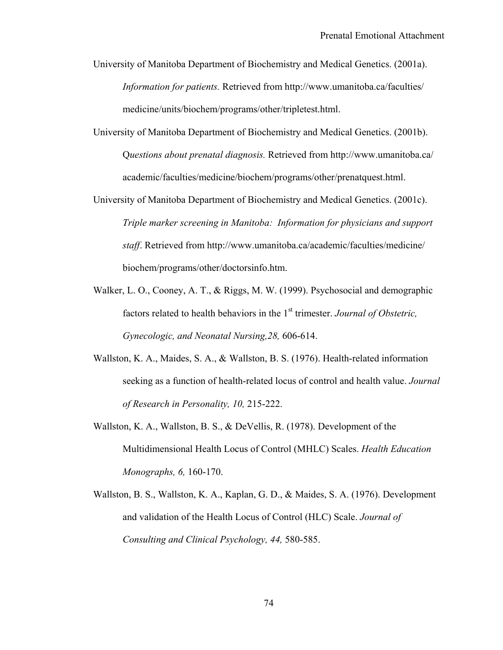University of Manitoba Department of Biochemistry and Medical Genetics. (2001a). *Information for patients.* Retrieved from http://www.umanitoba.ca/faculties/ medicine/units/biochem/programs/other/tripletest.html.

- University of Manitoba Department of Biochemistry and Medical Genetics. (2001b). Q*uestions about prenatal diagnosis.* Retrieved from http://www.umanitoba.ca/ academic/faculties/medicine/biochem/programs/other/prenatquest.html.
- University of Manitoba Department of Biochemistry and Medical Genetics. (2001c). *Triple marker screening in Manitoba: Information for physicians and support staff*. Retrieved from http://www.umanitoba.ca/academic/faculties/medicine/ biochem/programs/other/doctorsinfo.htm.
- Walker, L. O., Cooney, A. T., & Riggs, M. W. (1999). Psychosocial and demographic factors related to health behaviors in the 1<sup>st</sup> trimester. *Journal of Obstetric*, *Gynecologic, and Neonatal Nursing,28,* 606-614.
- Wallston, K. A., Maides, S. A., & Wallston, B. S. (1976). Health-related information seeking as a function of health-related locus of control and health value. *Journal of Research in Personality, 10,* 215-222.
- Wallston, K. A., Wallston, B. S., & DeVellis, R. (1978). Development of the Multidimensional Health Locus of Control (MHLC) Scales. *Health Education Monographs, 6,* 160-170.
- Wallston, B. S., Wallston, K. A., Kaplan, G. D., & Maides, S. A. (1976). Development and validation of the Health Locus of Control (HLC) Scale. *Journal of Consulting and Clinical Psychology, 44,* 580-585.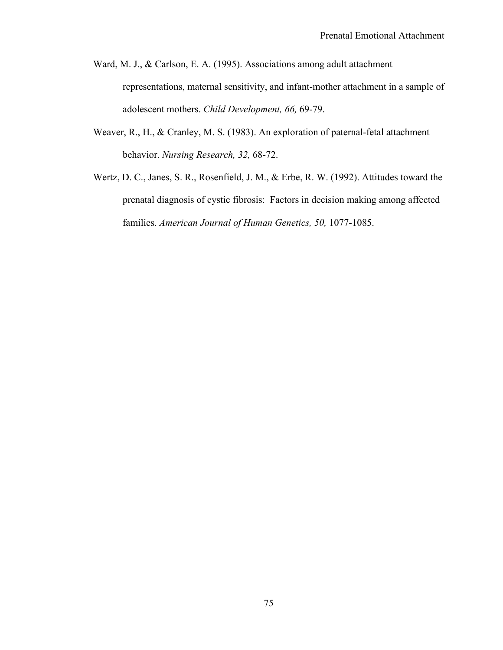- Ward, M. J., & Carlson, E. A. (1995). Associations among adult attachment representations, maternal sensitivity, and infant-mother attachment in a sample of adolescent mothers. *Child Development, 66,* 69-79.
- Weaver, R., H., & Cranley, M. S. (1983). An exploration of paternal-fetal attachment behavior. *Nursing Research, 32,* 68-72.
- Wertz, D. C., Janes, S. R., Rosenfield, J. M., & Erbe, R. W. (1992). Attitudes toward the prenatal diagnosis of cystic fibrosis: Factors in decision making among affected families. *American Journal of Human Genetics, 50,* 1077-1085.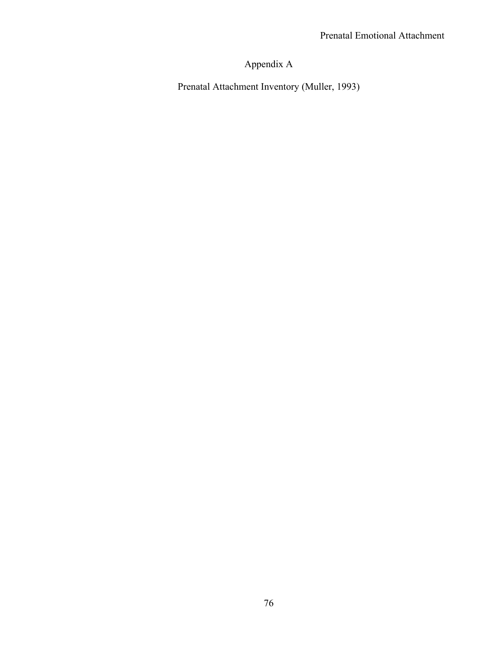# Appendix A

Prenatal Attachment Inventory (Muller, 1993)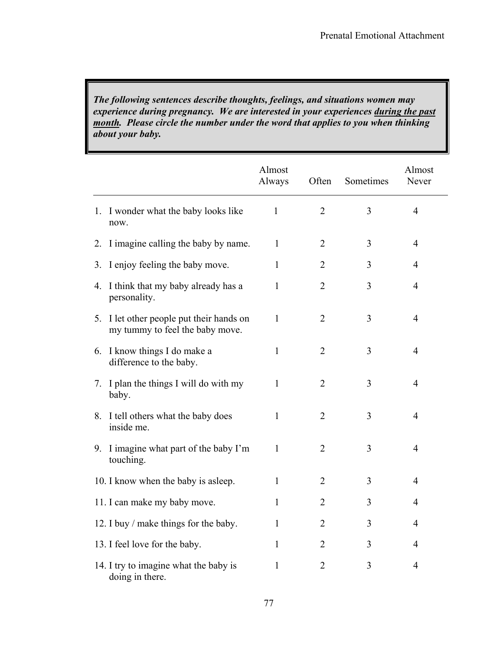*The following sentences describe thoughts, feelings, and situations women may experience during pregnancy. We are interested in your experiences during the past month. Please circle the number under the word that applies to you when thinking about your baby.* 

|                                                                                            | Almost<br>Always | Often          | Sometimes | Almost<br>Never |
|--------------------------------------------------------------------------------------------|------------------|----------------|-----------|-----------------|
| 1. I wonder what the baby looks like<br>now.                                               | $\mathbf{1}$     | $\overline{2}$ | 3         | $\overline{4}$  |
| I imagine calling the baby by name.<br>2.                                                  | $\mathbf{1}$     | $\overline{2}$ | 3         | $\overline{4}$  |
| I enjoy feeling the baby move.<br>3.                                                       | 1                | $\overline{2}$ | 3         | $\overline{4}$  |
| I think that my baby already has a<br>4.<br>personality.                                   | $\mathbf{1}$     | $\overline{2}$ | 3         | $\overline{4}$  |
| I let other people put their hands on<br>5 <sub>1</sub><br>my tummy to feel the baby move. | $\mathbf{1}$     | $\overline{2}$ | 3         | $\overline{4}$  |
| I know things I do make a<br>6.<br>difference to the baby.                                 | 1                | $\overline{2}$ | 3         | $\overline{4}$  |
| I plan the things I will do with my<br>7.<br>baby.                                         | 1                | $\overline{2}$ | 3         | $\overline{4}$  |
| I tell others what the baby does<br>8.<br>inside me.                                       | 1                | 2              | 3         | $\overline{4}$  |
| I imagine what part of the baby I'm<br>9.<br>touching.                                     | 1                | $\overline{2}$ | 3         | $\overline{4}$  |
| 10. I know when the baby is asleep.                                                        | $\mathbf{1}$     | $\overline{2}$ | 3         | $\overline{4}$  |
| 11. I can make my baby move.                                                               | 1                | $\overline{2}$ | 3         | $\overline{4}$  |
| 12. I buy / make things for the baby.                                                      | 1                | $\overline{2}$ | 3         | $\overline{4}$  |
| 13. I feel love for the baby.                                                              | 1                | $\overline{2}$ | 3         | $\overline{4}$  |
| 14. I try to imagine what the baby is<br>doing in there.                                   | 1                | $\overline{2}$ | 3         | $\overline{4}$  |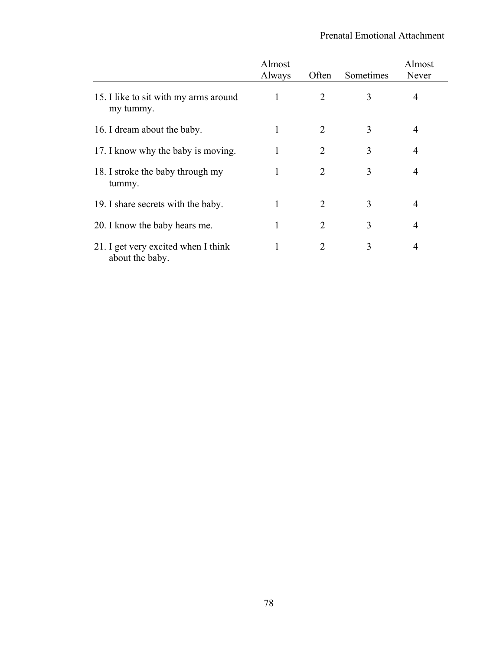|                                                        | Almost<br>Always | Often          | Sometimes | Almost<br>Never |
|--------------------------------------------------------|------------------|----------------|-----------|-----------------|
| 15. I like to sit with my arms around<br>my tummy.     |                  | 2              | 3         | 4               |
| 16. I dream about the baby.                            | 1                | $\overline{2}$ | 3         | $\overline{4}$  |
| 17. I know why the baby is moving.                     |                  | $\overline{2}$ | 3         | $\overline{4}$  |
| 18. I stroke the baby through my<br>tummy.             |                  | 2              | 3         | 4               |
| 19. I share secrets with the baby.                     |                  | 2              | 3         | $\overline{4}$  |
| 20. I know the baby hears me.                          |                  | 2              | 3         | 4               |
| 21. I get very excited when I think<br>about the baby. |                  | 2              | 3         | 4               |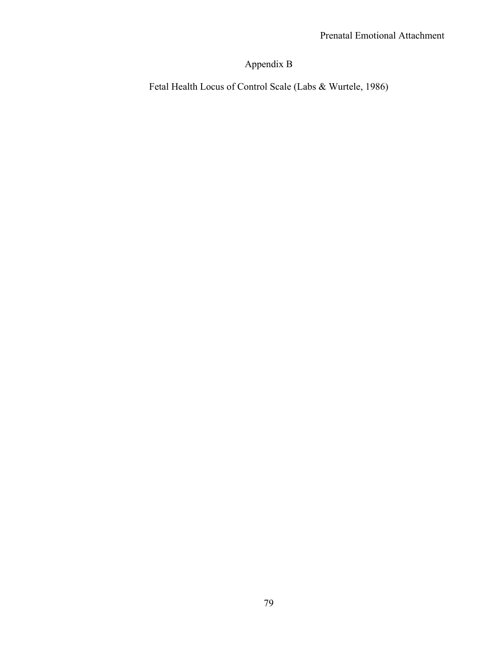## Appendix B

Fetal Health Locus of Control Scale (Labs & Wurtele, 1986)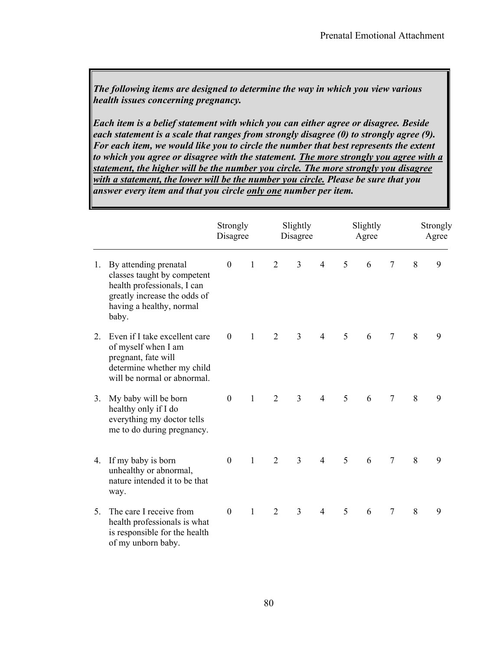*The following items are designed to determine the way in which you view various health issues concerning pregnancy.* 

*Each item is a belief statement with which you can either agree or disagree. Beside each statement is a scale that ranges from strongly disagree (0) to strongly agree (9). For each item, we would like you to circle the number that best represents the extent to which you agree or disagree with the statement. The more strongly you agree with a statement, the higher will be the number you circle. The more strongly you disagree with a statement, the lower will be the number you circle. Please be sure that you answer every item and that you circle only one number per item.* 

|                  |                                                                                                                                                          | Strongly<br>Disagree |              |                | Slightly<br>Disagree |                |   | Slightly<br>Agree |                |   | Strongly<br>Agree |
|------------------|----------------------------------------------------------------------------------------------------------------------------------------------------------|----------------------|--------------|----------------|----------------------|----------------|---|-------------------|----------------|---|-------------------|
| 1.               | By attending prenatal<br>classes taught by competent<br>health professionals, I can<br>greatly increase the odds of<br>having a healthy, normal<br>baby. | $\boldsymbol{0}$     | $\mathbf{1}$ | $\overline{2}$ | $\overline{3}$       | $\overline{4}$ | 5 | 6                 | $\overline{7}$ | 8 | 9                 |
| $\overline{2}$ . | Even if I take excellent care<br>of myself when I am<br>pregnant, fate will<br>determine whether my child<br>will be normal or abnormal.                 | $\mathbf{0}$         | $\mathbf{1}$ | $\overline{2}$ | $\overline{3}$       | $\overline{4}$ | 5 | 6                 | $\tau$         | 8 | 9                 |
| 3.               | My baby will be born<br>healthy only if I do<br>everything my doctor tells<br>me to do during pregnancy.                                                 | $\overline{0}$       | $\mathbf{1}$ | 2              | $\overline{3}$       | $\overline{4}$ | 5 | 6                 | $\overline{7}$ | 8 | 9                 |
| 4.               | If my baby is born<br>unhealthy or abnormal,<br>nature intended it to be that<br>way.                                                                    | $\overline{0}$       | $\mathbf{1}$ | $\overline{2}$ | $\overline{3}$       | $\overline{4}$ | 5 | 6                 | $\overline{7}$ | 8 | 9                 |
| 5.               | The care I receive from<br>health professionals is what<br>is responsible for the health<br>of my unborn baby.                                           | $\mathbf{0}$         | $\mathbf{1}$ | $\overline{2}$ | $\overline{3}$       | $\overline{4}$ | 5 | 6                 | $\overline{7}$ | 8 | 9                 |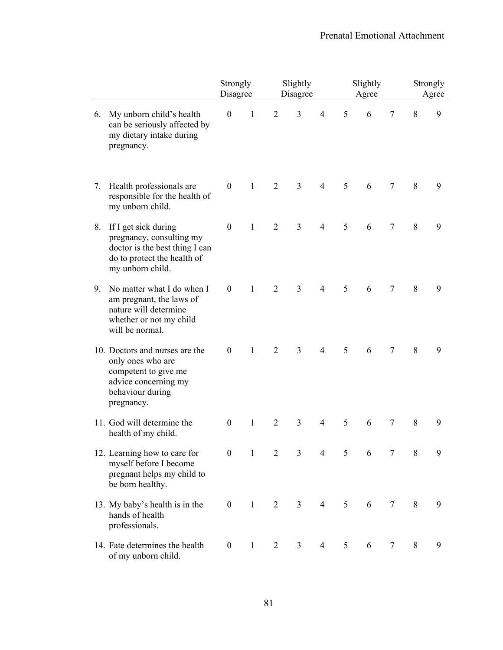|    |                                                                                                                                       | Strongly<br>Disagree |              |                | Slightly<br>Disagree |                |   | Slightly<br>Agree |                |   | Strongly<br>Agree |
|----|---------------------------------------------------------------------------------------------------------------------------------------|----------------------|--------------|----------------|----------------------|----------------|---|-------------------|----------------|---|-------------------|
| 6. | My unborn child's health<br>can be seriously affected by<br>my dietary intake during<br>pregnancy.                                    | $\boldsymbol{0}$     | $\mathbf{1}$ | 2              | $\overline{3}$       | $\overline{4}$ | 5 | 6                 | $\tau$         | 8 | 9                 |
| 7. | Health professionals are<br>responsible for the health of<br>my unborn child.                                                         | $\boldsymbol{0}$     | $\mathbf{1}$ | $\overline{2}$ | $\overline{3}$       | $\overline{4}$ | 5 | 6                 | $\tau$         | 8 | 9                 |
| 8. | If I get sick during<br>pregnancy, consulting my<br>doctor is the best thing I can<br>do to protect the health of<br>my unborn child. | $\boldsymbol{0}$     | $\mathbf{1}$ | $\overline{2}$ | $\overline{3}$       | $\overline{4}$ | 5 | 6                 | $\overline{7}$ | 8 | 9                 |
| 9. | No matter what I do when I<br>am pregnant, the laws of<br>nature will determine<br>whether or not my child<br>will be normal.         | $\boldsymbol{0}$     | $\mathbf{1}$ | $\overline{2}$ | $\overline{3}$       | $\overline{4}$ | 5 | 6                 | $\overline{7}$ | 8 | 9                 |
|    | 10. Doctors and nurses are the<br>only ones who are<br>competent to give me<br>advice concerning my<br>behaviour during<br>pregnancy. | $\theta$             | 1            | $\overline{2}$ | $\overline{3}$       | $\overline{4}$ | 5 | 6                 | 7              | 8 | 9                 |
|    | 11. God will determine the<br>health of my child.                                                                                     | $\boldsymbol{0}$     | $\mathbf{1}$ | $\overline{2}$ | $\overline{3}$       | $\overline{4}$ | 5 | 6                 | $\tau$         | 8 | 9                 |
|    | 12. Learning how to care for<br>myself before I become<br>pregnant helps my child to<br>be born healthy.                              | $\boldsymbol{0}$     | $\mathbf{1}$ | $\overline{2}$ | $\overline{3}$       | $\overline{4}$ | 5 | 6                 | 7              | 8 | 9                 |
|    | 13. My baby's health is in the<br>hands of health<br>professionals.                                                                   | $\boldsymbol{0}$     | $\mathbf{1}$ | $\overline{2}$ | $\overline{3}$       | $\overline{4}$ | 5 | 6                 | $\overline{7}$ | 8 | 9                 |
|    | 14. Fate determines the health<br>of my unborn child.                                                                                 | $\boldsymbol{0}$     | $\mathbf{1}$ | 2              | $\overline{3}$       | $\overline{4}$ | 5 | 6                 | $\tau$         | 8 | 9                 |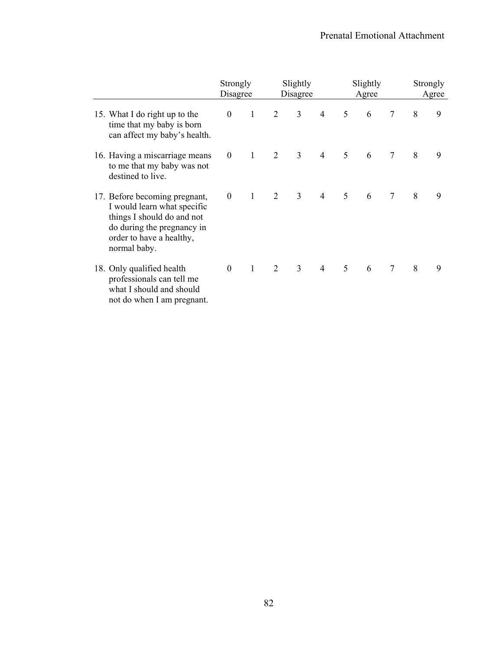|                                                                                                                                                                      | Strongly<br>Disagree |              |   | Slightly<br>Disagree |                |                | Slightly<br>Agree |                |   | Strongly<br>Agree |
|----------------------------------------------------------------------------------------------------------------------------------------------------------------------|----------------------|--------------|---|----------------------|----------------|----------------|-------------------|----------------|---|-------------------|
| 15. What I do right up to the<br>time that my baby is born<br>can affect my baby's health.                                                                           | $\boldsymbol{0}$     | $\mathbf{1}$ | 2 | $\overline{3}$       | $\overline{4}$ | 5              | 6                 | 7              | 8 | 9                 |
| 16. Having a miscarriage means<br>to me that my baby was not<br>destined to live.                                                                                    | $\boldsymbol{0}$     | $\mathbf{1}$ | 2 | $\overline{3}$       | $\overline{4}$ | $\mathfrak{S}$ | 6                 |                | 8 | 9                 |
| 17. Before becoming pregnant,<br>I would learn what specific<br>things I should do and not<br>do during the pregnancy in<br>order to have a healthy,<br>normal baby. | $\theta$             | $\mathbf{1}$ | 2 | $\overline{3}$       | $\overline{4}$ | 5              | 6                 | 7              | 8 | 9                 |
| 18. Only qualified health<br>professionals can tell me<br>what I should and should<br>not do when I am pregnant.                                                     | $\overline{0}$       | $\mathbf{1}$ | 2 | $\overline{3}$       | $\overline{4}$ | 5              | 6                 | $\overline{7}$ | 8 | 9                 |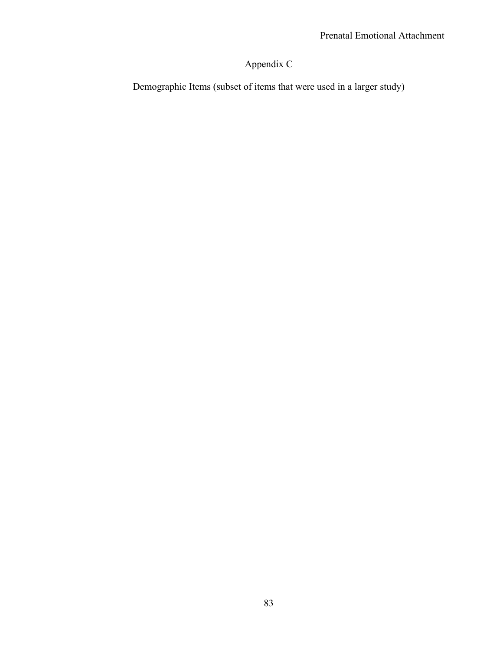## Appendix C

Demographic Items (subset of items that were used in a larger study)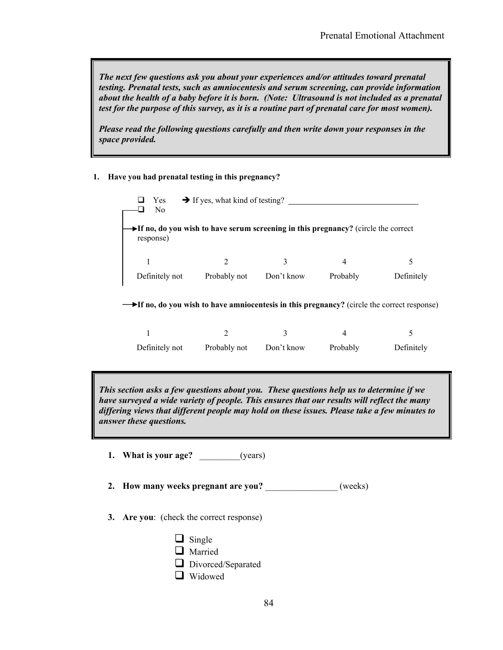*The next few questions ask you about your experiences and/or attitudes toward prenatal testing. Prenatal tests, such as amniocentesis and serum screening, can provide information about the health of a baby before it is born. (Note: Ultrasound is not included as a prenatal test for the purpose of this survey, as it is a routine part of prenatal care for most women).* 

*Please read the following questions carefully and then write down your responses in the space provided.* 

#### **1. Have you had prenatal testing in this pregnancy?**

| Yes<br>No.                                                                                                           | $\rightarrow$ If yes, what kind of testing? |            |          |            |
|----------------------------------------------------------------------------------------------------------------------|---------------------------------------------|------------|----------|------------|
| $\blacktriangleright$ If no, do you wish to have serum screening in this pregnancy? (circle the correct<br>response) |                                             |            |          |            |
|                                                                                                                      |                                             | 3          | 4        | 5          |
| Definitely not                                                                                                       | Probably not                                | Don't know | Probably | Definitely |

**If no, do you wish to have amniocentesis in this pregnancy?** (circle the correct response)

| Definitely not | Probably not | Don't know | Probably | Definitely |
|----------------|--------------|------------|----------|------------|

*This section asks a few questions about you. These questions help us to determine if we have surveyed a wide variety of people. This ensures that our results will reflect the many differing views that different people may hold on these issues. Please take a few minutes to answer these questions.* 

**1. What is your age?** \_\_\_\_\_\_\_\_\_(years)

**2. How many weeks pregnant are you?** \_\_\_\_\_\_\_\_\_\_\_\_\_\_\_\_ (weeks)

**3. Are you**: (check the correct response)

| $\Box$ Single      |
|--------------------|
| $\Box$ Married     |
| Divorced/Separated |
| $\Box$ Widowed     |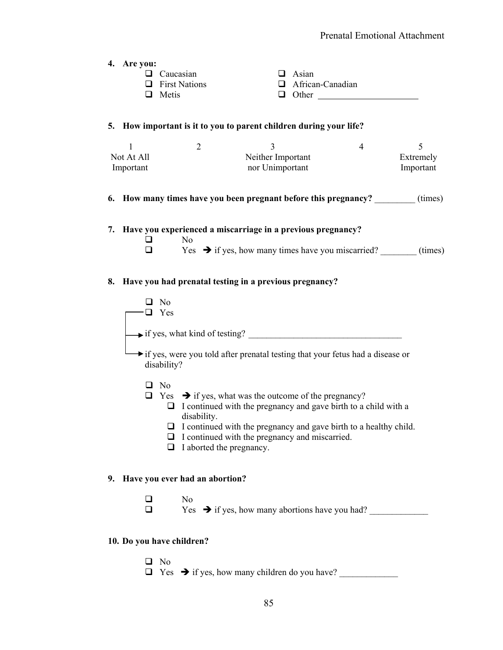**4. Are you:**

| $\Box$ Caucasian     | $\Box$ Asian            |
|----------------------|-------------------------|
| $\Box$ First Nations | $\Box$ African-Canadian |
| $\Box$ Metis         | $\Box$ Other            |

#### **5. How important is it to you to parent children during your life?**

| Not At All | Neither Important | Extremely |
|------------|-------------------|-----------|
| Important  | nor Unimportant   | Important |

#### **6.** How many times have you been pregnant before this pregnancy? (times)

#### **7. Have you experienced a miscarriage in a previous pregnancy?**

 $\Box$  No  $\Box$  Yes  $\rightarrow$  if yes, how many times have you miscarried? (times)

#### **8. Have you had prenatal testing in a previous pregnancy?**



# $\Box$  No

 $\Box$  Yes  $\rightarrow$  if yes, how many abortions have you had?

#### **10. Do you have children?**

 $\Box$  No  $\Box$  Yes  $\rightarrow$  if yes, how many children do you have?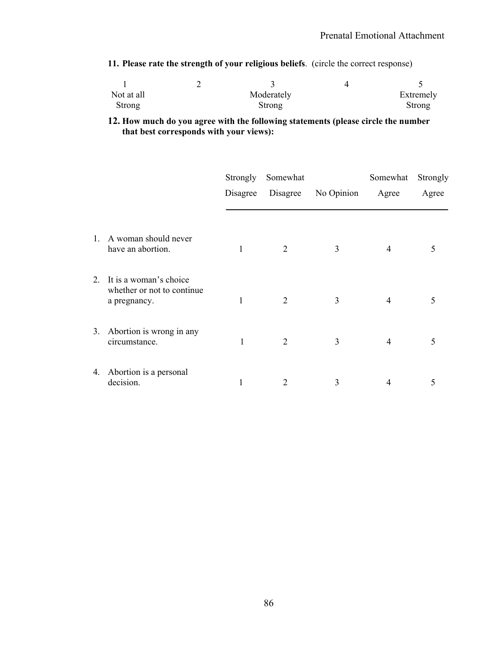**11. Please rate the strength of your religious beliefs**. (circle the correct response)

| Not at all | Moderately | Extremely |
|------------|------------|-----------|
| Strong     | Strong     | Strong    |

#### **12. How much do you agree with the following statements (please circle the number that best corresponds with your views):**

|                |                                                                       | Strongly<br>Disagree | Somewhat<br>Disagree        | No Opinion | Somewhat<br>Agree | Strongly<br>Agree |
|----------------|-----------------------------------------------------------------------|----------------------|-----------------------------|------------|-------------------|-------------------|
| $\mathbf{1}$ . | A woman should never<br>have an abortion.                             |                      | 2                           | 3          | 4                 | 5                 |
| $2_{-}$        | It is a woman's choice<br>whether or not to continue.<br>a pregnancy. | 1                    | $\overline{2}$              | 3          | 4                 | 5                 |
| 3.             | Abortion is wrong in any<br>circumstance.                             | 1                    | $\mathcal{D}_{\mathcal{L}}$ | 3          | 4                 | 5                 |
| 4.             | Abortion is a personal<br>decision.                                   |                      | $\overline{2}$              | 3          | 4                 | 5                 |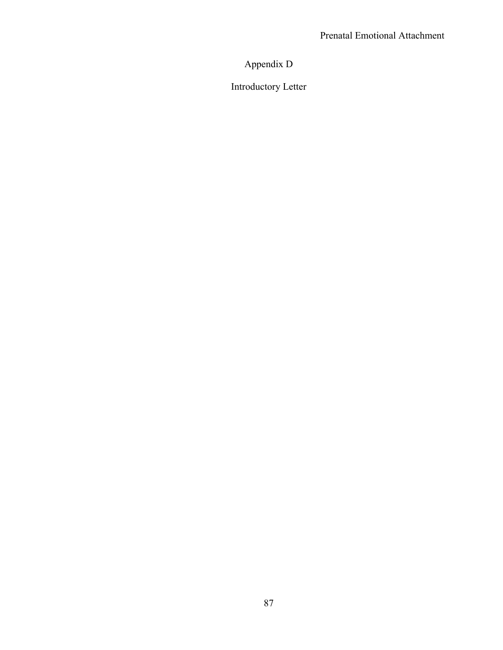Appendix D

Introductory Letter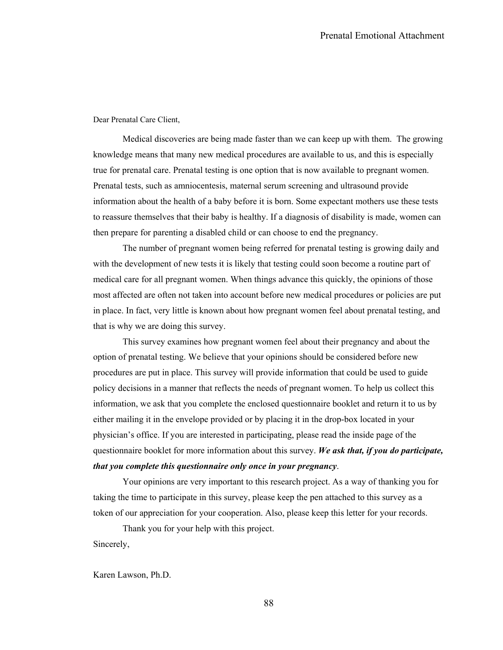Dear Prenatal Care Client,

Medical discoveries are being made faster than we can keep up with them. The growing knowledge means that many new medical procedures are available to us, and this is especially true for prenatal care. Prenatal testing is one option that is now available to pregnant women. Prenatal tests, such as amniocentesis, maternal serum screening and ultrasound provide information about the health of a baby before it is born. Some expectant mothers use these tests to reassure themselves that their baby is healthy. If a diagnosis of disability is made, women can then prepare for parenting a disabled child or can choose to end the pregnancy.

 The number of pregnant women being referred for prenatal testing is growing daily and with the development of new tests it is likely that testing could soon become a routine part of medical care for all pregnant women. When things advance this quickly, the opinions of those most affected are often not taken into account before new medical procedures or policies are put in place. In fact, very little is known about how pregnant women feel about prenatal testing, and that is why we are doing this survey.

 This survey examines how pregnant women feel about their pregnancy and about the option of prenatal testing. We believe that your opinions should be considered before new procedures are put in place. This survey will provide information that could be used to guide policy decisions in a manner that reflects the needs of pregnant women. To help us collect this information, we ask that you complete the enclosed questionnaire booklet and return it to us by either mailing it in the envelope provided or by placing it in the drop-box located in your physician's office. If you are interested in participating, please read the inside page of the questionnaire booklet for more information about this survey. *We ask that, if you do participate, that you complete this questionnaire only once in your pregnancy*.

 Your opinions are very important to this research project. As a way of thanking you for taking the time to participate in this survey, please keep the pen attached to this survey as a token of our appreciation for your cooperation. Also, please keep this letter for your records.

Thank you for your help with this project.

Sincerely,

Karen Lawson, Ph.D.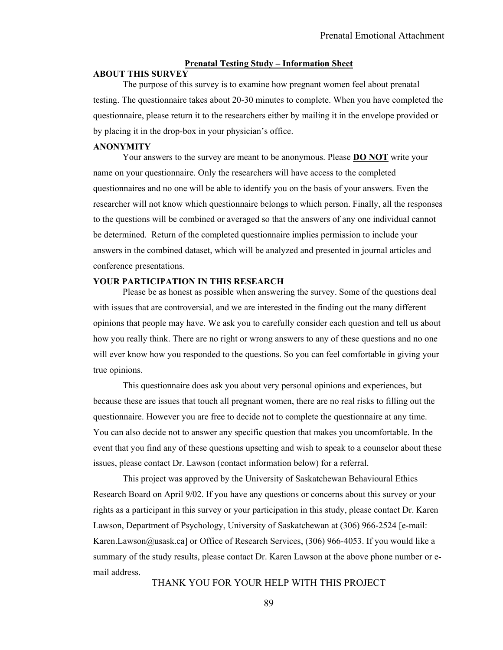#### **Prenatal Testing Study – Information Sheet**

#### **ABOUT THIS SURVEY**

 The purpose of this survey is to examine how pregnant women feel about prenatal testing. The questionnaire takes about 20-30 minutes to complete. When you have completed the questionnaire, please return it to the researchers either by mailing it in the envelope provided or by placing it in the drop-box in your physician's office.

#### **ANONYMITY**

 Your answers to the survey are meant to be anonymous. Please **DO NOT** write your name on your questionnaire. Only the researchers will have access to the completed questionnaires and no one will be able to identify you on the basis of your answers. Even the researcher will not know which questionnaire belongs to which person. Finally, all the responses to the questions will be combined or averaged so that the answers of any one individual cannot be determined. Return of the completed questionnaire implies permission to include your answers in the combined dataset, which will be analyzed and presented in journal articles and conference presentations.

#### **YOUR PARTICIPATION IN THIS RESEARCH**

 Please be as honest as possible when answering the survey. Some of the questions deal with issues that are controversial, and we are interested in the finding out the many different opinions that people may have. We ask you to carefully consider each question and tell us about how you really think. There are no right or wrong answers to any of these questions and no one will ever know how you responded to the questions. So you can feel comfortable in giving your true opinions.

 This questionnaire does ask you about very personal opinions and experiences, but because these are issues that touch all pregnant women, there are no real risks to filling out the questionnaire. However you are free to decide not to complete the questionnaire at any time. You can also decide not to answer any specific question that makes you uncomfortable. In the event that you find any of these questions upsetting and wish to speak to a counselor about these issues, please contact Dr. Lawson (contact information below) for a referral.

 This project was approved by the University of Saskatchewan Behavioural Ethics Research Board on April 9/02. If you have any questions or concerns about this survey or your rights as a participant in this survey or your participation in this study, please contact Dr. Karen Lawson, Department of Psychology, University of Saskatchewan at (306) 966-2524 [e-mail: Karen.Lawson@usask.ca] or Office of Research Services, (306) 966-4053. If you would like a summary of the study results, please contact Dr. Karen Lawson at the above phone number or email address.

THANK YOU FOR YOUR HELP WITH THIS PROJECT

89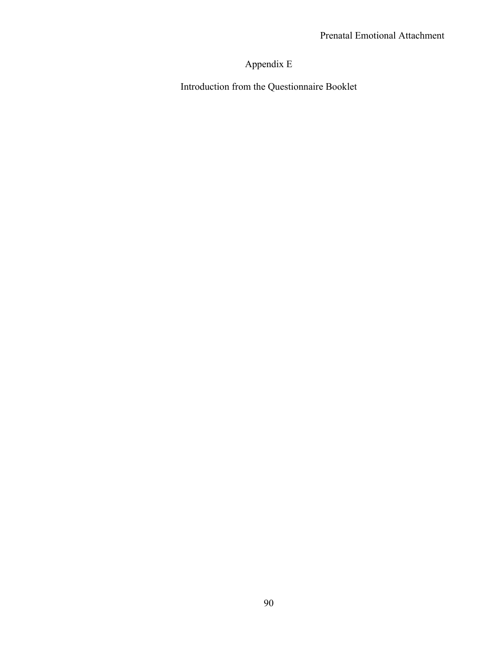# Appendix E

Introduction from the Questionnaire Booklet